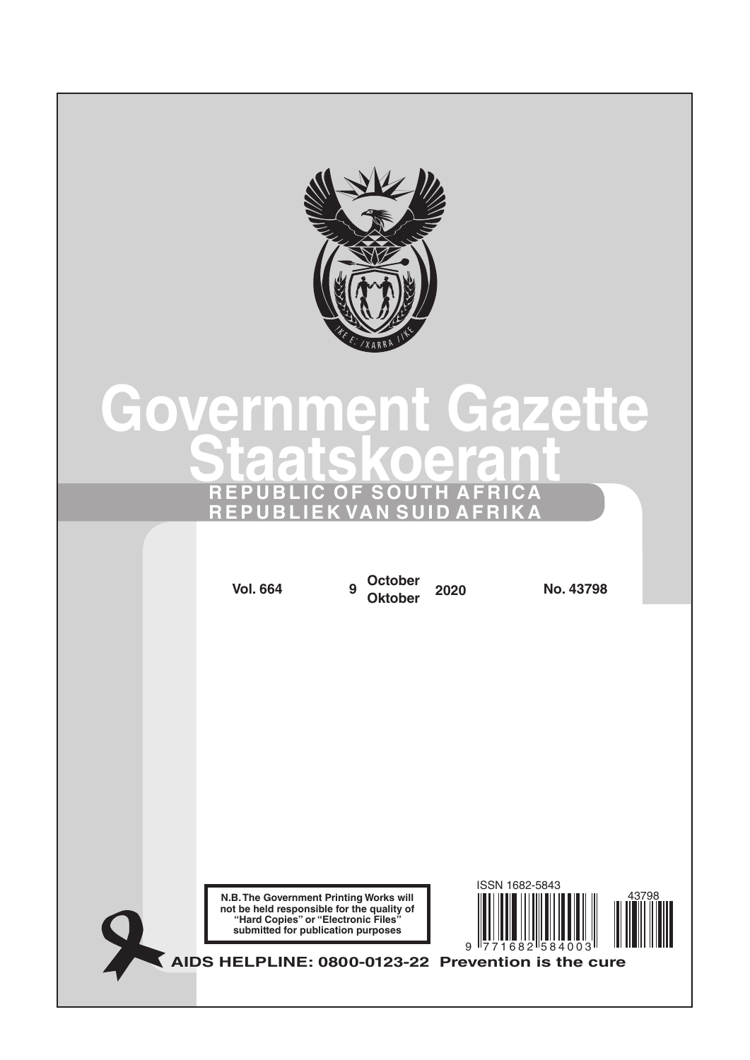

# **Government Gazette Staatskoerant REPUBLIC OF SOUTH AFRICA REPUBLIEK VAN SUID AFRIKA**

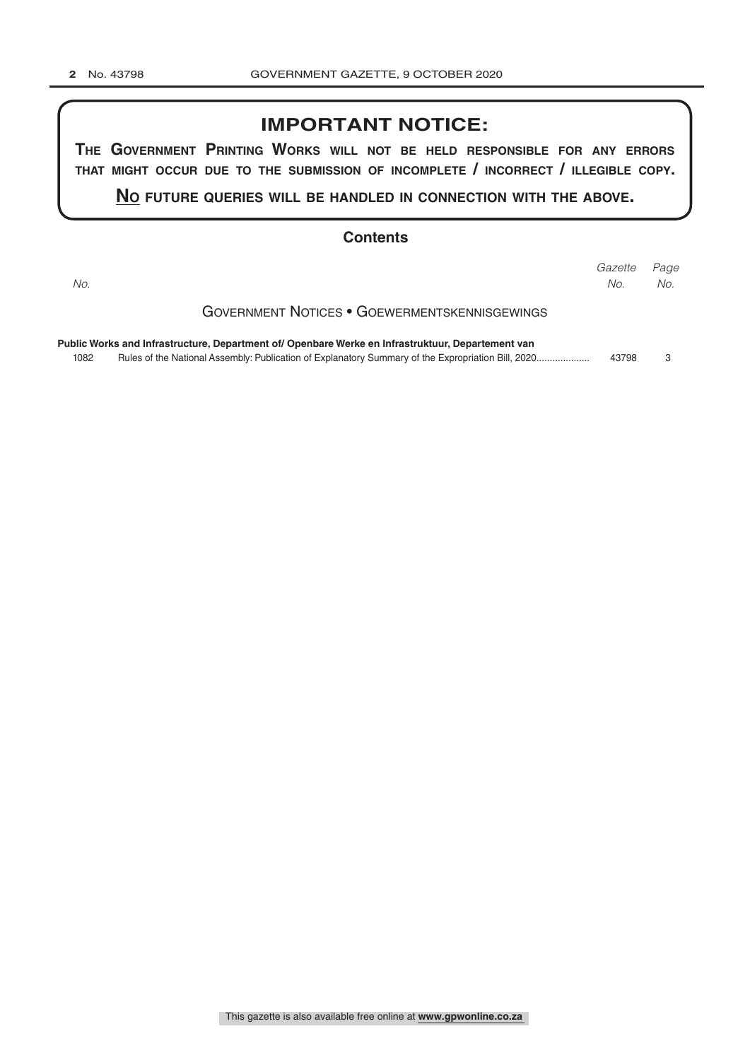# **IMPORTANT NOTICE:**

**The GovernmenT PrinTinG Works Will noT be held resPonsible for any errors ThaT miGhT occur due To The submission of incomPleTe / incorrecT / illeGible coPy.**

**no fuTure queries Will be handled in connecTion WiTh The above.**

#### **Contents**

| No.  |                                                                                                   | Gazette<br>No. | Page<br>No. |
|------|---------------------------------------------------------------------------------------------------|----------------|-------------|
|      | GOVERNMENT NOTICES • GOEWERMENTSKENNISGEWINGS                                                     |                |             |
| 1082 | Public Works and Infrastructure, Department of/ Openbare Werke en Infrastruktuur, Departement van | 43798          | 3           |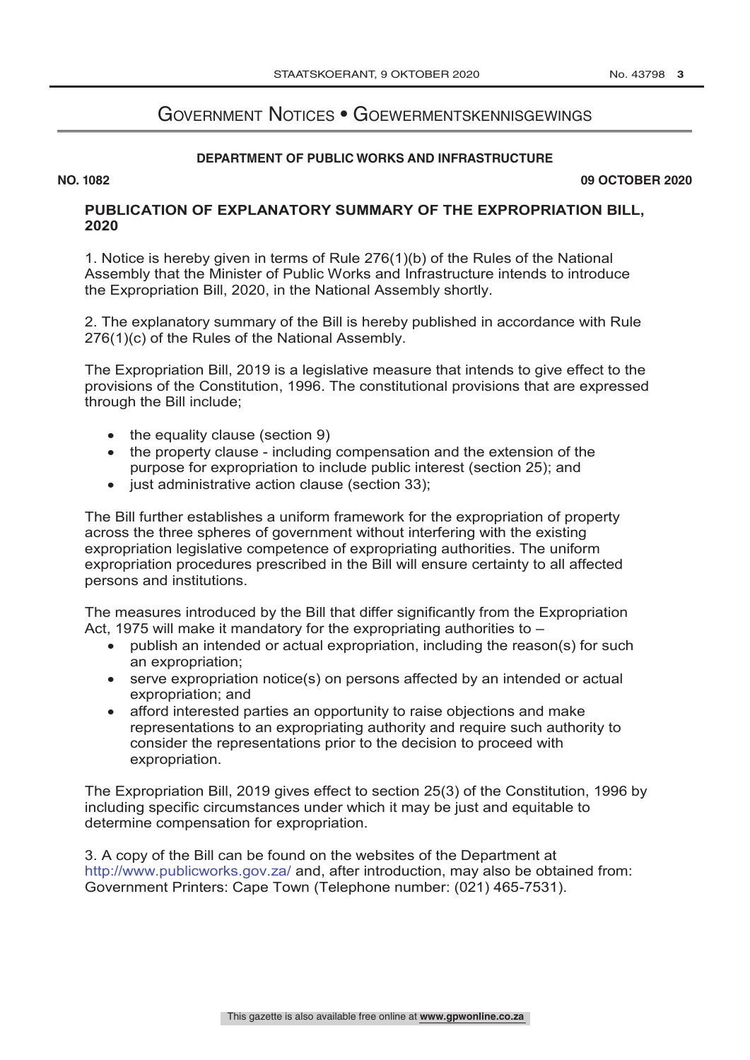# Government Notices • Goewermentskennisgewings

#### **DEPARTMENT OF PUBLIC WORKS AND INFRASTRUCTURE**

**NO. 1082 09 OCTOBER 2020**

# **PUBLICATION OF EXPLANATORY SUMMARY OF THE EXPROPRIATION BILL, 2020**

1. Notice is hereby given in terms of Rule 276(1)(b) of the Rules of the National Assembly that the Minister of Public Works and Infrastructure intends to introduce the Expropriation Bill, 2020, in the National Assembly shortly.

2. The explanatory summary of the Bill is hereby published in accordance with Rule 276(1)(c) of the Rules of the National Assembly.

The Expropriation Bill, 2019 is a legislative measure that intends to give effect to the provisions of the Constitution, 1996. The constitutional provisions that are expressed through the Bill include;

- the equality clause (section 9)
- the property clause including compensation and the extension of the purpose for expropriation to include public interest (section 25); and
- just administrative action clause (section 33);

The Bill further establishes a uniform framework for the expropriation of property across the three spheres of government without interfering with the existing expropriation legislative competence of expropriating authorities. The uniform expropriation procedures prescribed in the Bill will ensure certainty to all affected persons and institutions.

The measures introduced by the Bill that differ significantly from the Expropriation Act, 1975 will make it mandatory for the expropriating authorities to  $-$ 

- publish an intended or actual expropriation, including the reason(s) for such an expropriation;
- serve expropriation notice(s) on persons affected by an intended or actual expropriation; and
- afford interested parties an opportunity to raise objections and make representations to an expropriating authority and require such authority to consider the representations prior to the decision to proceed with expropriation.

The Expropriation Bill, 2019 gives effect to section 25(3) of the Constitution, 1996 by including specific circumstances under which it may be just and equitable to determine compensation for expropriation.

3. A copy of the Bill can be found on the websites of the Department at http://www.publicworks.gov.za/ and, after introduction, may also be obtained from: Government Printers: Cape Town (Telephone number: (021) 465-7531).

**DEPARTMENT OF PUBLIC WORKS AND INFRASTRUCTURE OF PUBLIC WORKS AND INFRASTRUCTURE**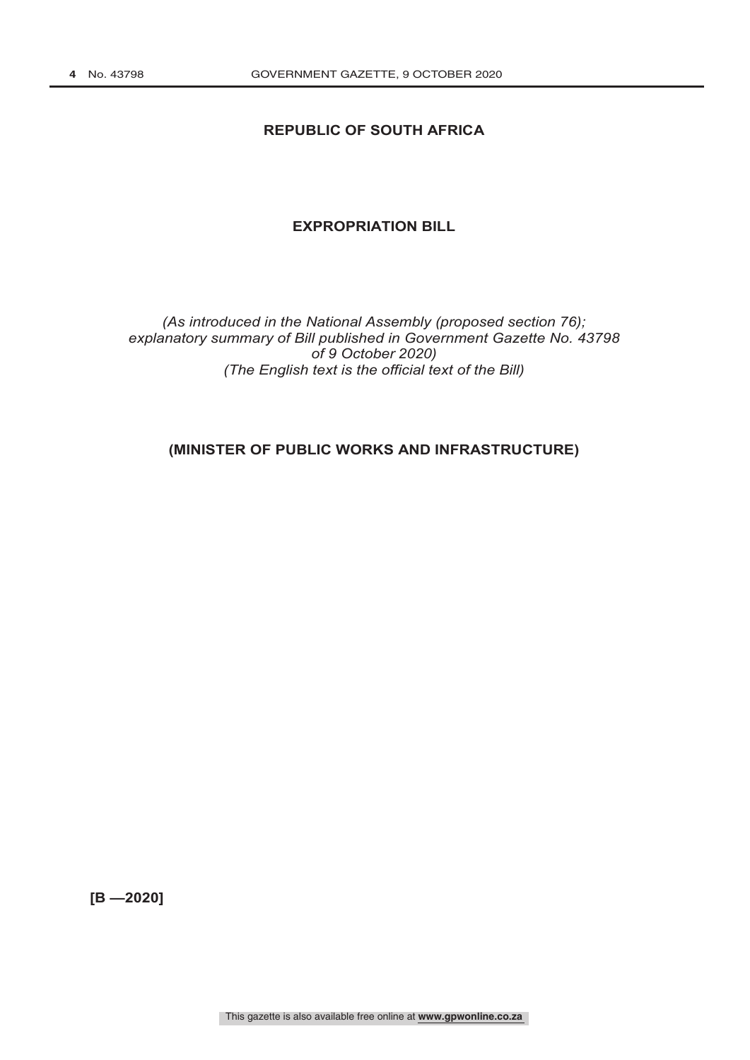### **REPUBLIC OF SOUTH AFRICA**

#### **EXPROPRIATION BILL**

#### *(As introduced in the National Assembly (proposed section 76); explanatory summary of Bill published in Government Gazette No. 43798 of 9 October 2020) (The English text is the official text of the Bill)*

# **(MINISTER OF PUBLIC WORKS AND INFRASTRUCTURE)**

**[B —2020]**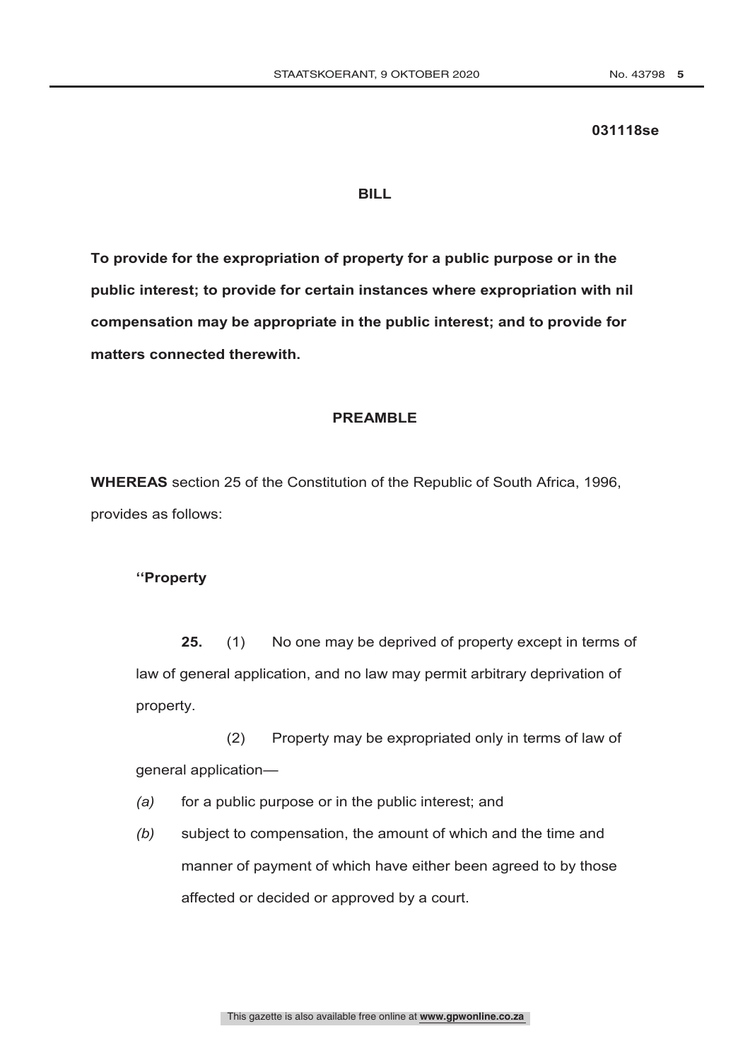#### **031118se**

#### **BILL**

**To provide for the expropriation of property for a public purpose or in the public interest; to provide for certain instances where expropriation with nil compensation may be appropriate in the public interest; and to provide for matters connected therewith.**

#### **PREAMBLE**

**WHEREAS** section 25 of the Constitution of the Republic of South Africa, 1996, provides as follows:

#### **''Property**

**25.** (1) No one may be deprived of property except in terms of law of general application, and no law may permit arbitrary deprivation of property.

(2) Property may be expropriated only in terms of law of general application—

- *(a)* for a public purpose or in the public interest; and
- *(b)* subject to compensation, the amount of which and the time and manner of payment of which have either been agreed to by those affected or decided or approved by a court.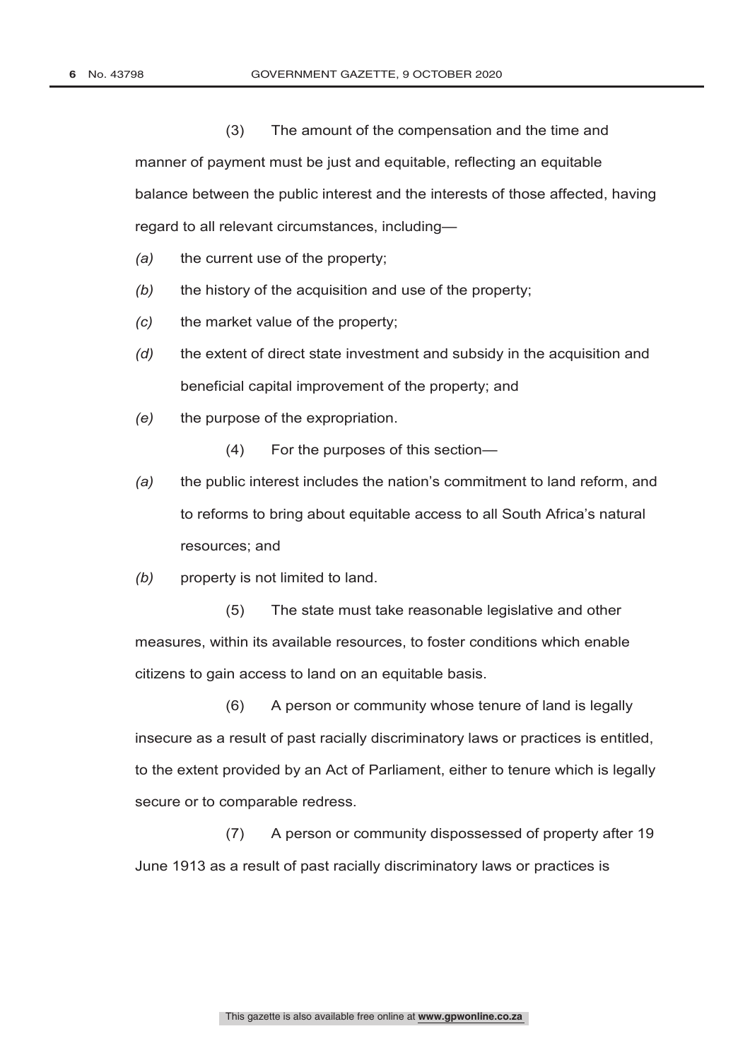(3) The amount of the compensation and the time and manner of payment must be just and equitable, reflecting an equitable balance between the public interest and the interests of those affected, having regard to all relevant circumstances, including—

- *(a)* the current use of the property;
- *(b)* the history of the acquisition and use of the property;
- *(c)* the market value of the property;
- *(d)* the extent of direct state investment and subsidy in the acquisition and beneficial capital improvement of the property; and
- *(e)* the purpose of the expropriation.
	- (4) For the purposes of this section—
- *(a)* the public interest includes the nation's commitment to land reform, and to reforms to bring about equitable access to all South Africa's natural resources; and
- *(b)* property is not limited to land.

(5) The state must take reasonable legislative and other measures, within its available resources, to foster conditions which enable citizens to gain access to land on an equitable basis.

(6) A person or community whose tenure of land is legally insecure as a result of past racially discriminatory laws or practices is entitled, to the extent provided by an Act of Parliament, either to tenure which is legally secure or to comparable redress.

(7) A person or community dispossessed of property after 19 June 1913 as a result of past racially discriminatory laws or practices is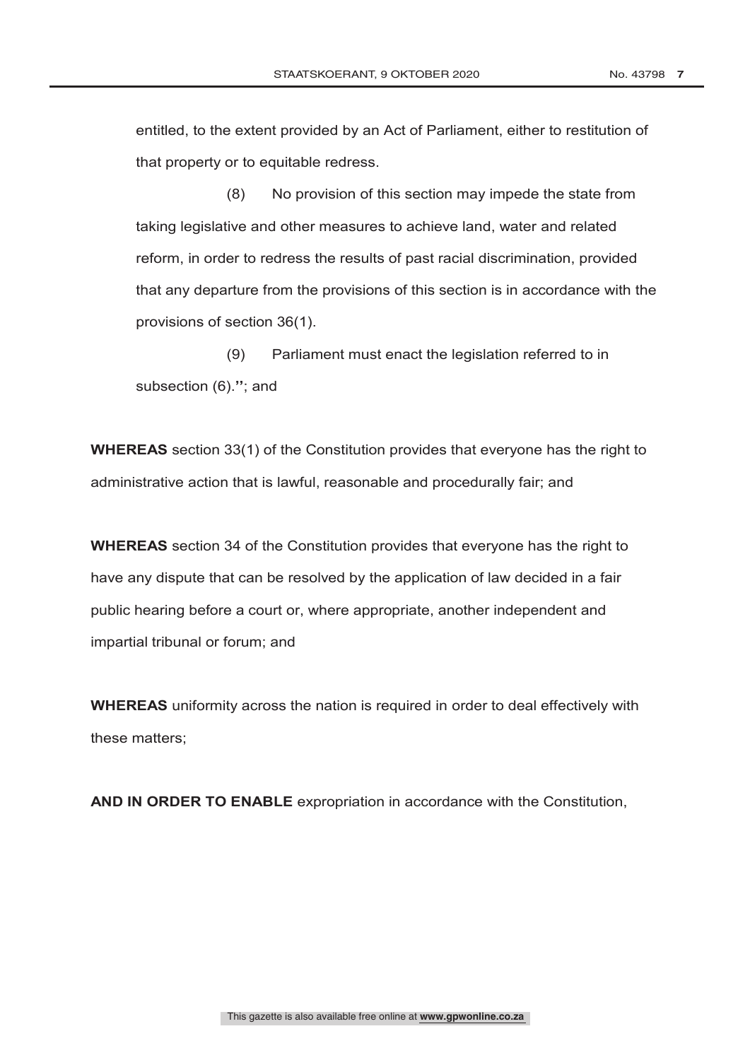entitled, to the extent provided by an Act of Parliament, either to restitution of that property or to equitable redress.

(8) No provision of this section may impede the state from taking legislative and other measures to achieve land, water and related reform, in order to redress the results of past racial discrimination, provided that any departure from the provisions of this section is in accordance with the provisions of section 36(1).

(9) Parliament must enact the legislation referred to in subsection (6).**''**; and

**WHEREAS** section 33(1) of the Constitution provides that everyone has the right to administrative action that is lawful, reasonable and procedurally fair; and

**WHEREAS** section 34 of the Constitution provides that everyone has the right to have any dispute that can be resolved by the application of law decided in a fair public hearing before a court or, where appropriate, another independent and impartial tribunal or forum; and

**WHEREAS** uniformity across the nation is required in order to deal effectively with these matters;

**AND IN ORDER TO ENABLE** expropriation in accordance with the Constitution,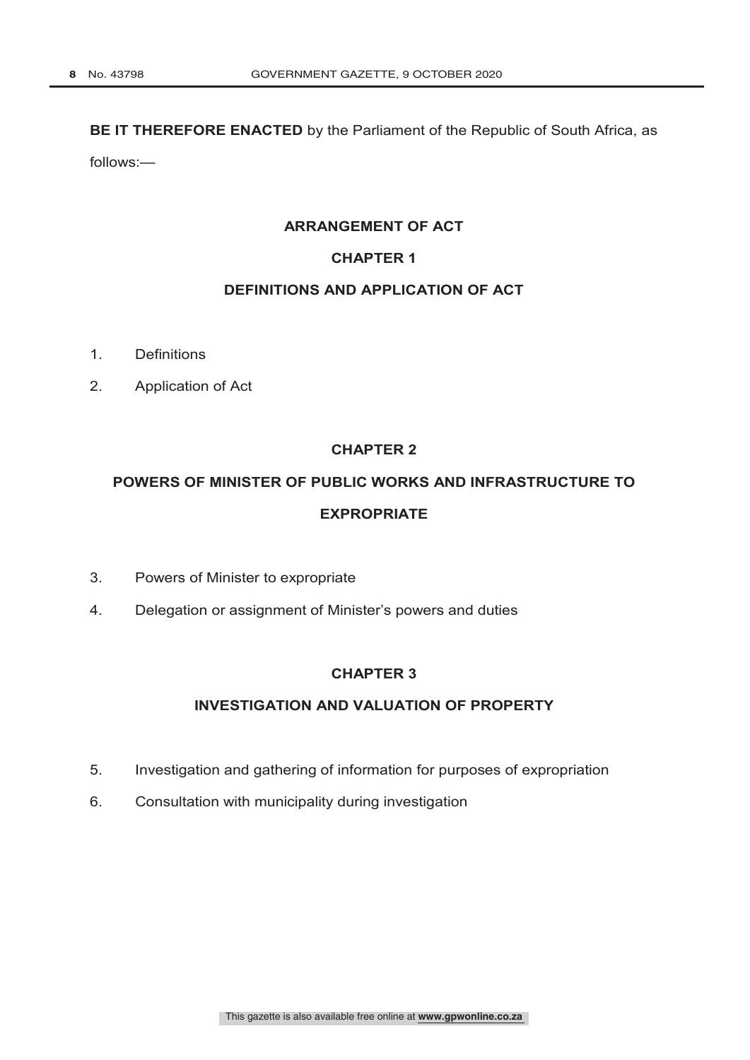#### **BE IT THEREFORE ENACTED** by the Parliament of the Republic of South Africa, as

follows:—

#### **ARRANGEMENT OF ACT**

# **CHAPTER 1**

# **DEFINITIONS AND APPLICATION OF ACT**

- 1. Definitions
- 2. Application of Act

# **CHAPTER 2**

# **POWERS OF MINISTER OF PUBLIC WORKS AND INFRASTRUCTURE TO EXPROPRIATE**

- 3. Powers of Minister to expropriate
- 4. Delegation or assignment of Minister's powers and duties

# **CHAPTER 3**

# **INVESTIGATION AND VALUATION OF PROPERTY**

- 5. Investigation and gathering of information for purposes of expropriation
- 6. Consultation with municipality during investigation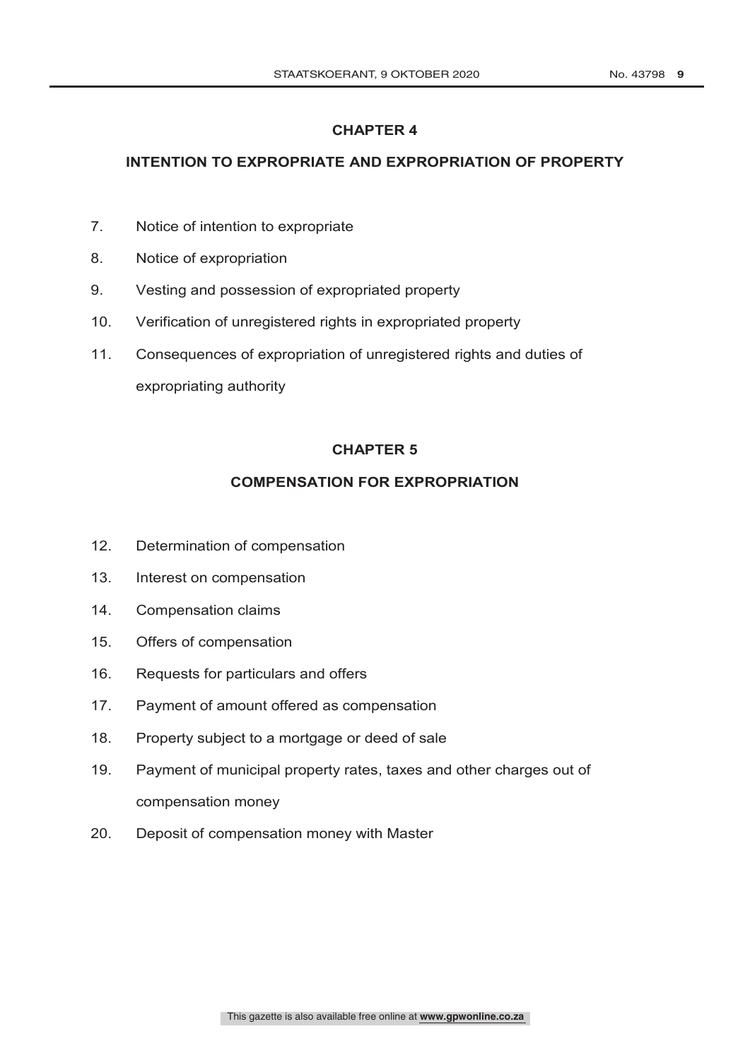# **INTENTION TO EXPROPRIATE AND EXPROPRIATION OF PROPERTY**

- 7. Notice of intention to expropriate
- 8. Notice of expropriation
- 9. Vesting and possession of expropriated property
- 10. Verification of unregistered rights in expropriated property
- 11. Consequences of expropriation of unregistered rights and duties of expropriating authority

# **CHAPTER 5**

# **COMPENSATION FOR EXPROPRIATION**

- 12. Determination of compensation
- 13. Interest on compensation
- 14. Compensation claims
- 15. Offers of compensation
- 16. Requests for particulars and offers
- 17. Payment of amount offered as compensation
- 18. Property subject to a mortgage or deed of sale
- 19. Payment of municipal property rates, taxes and other charges out of compensation money
- 20. Deposit of compensation money with Master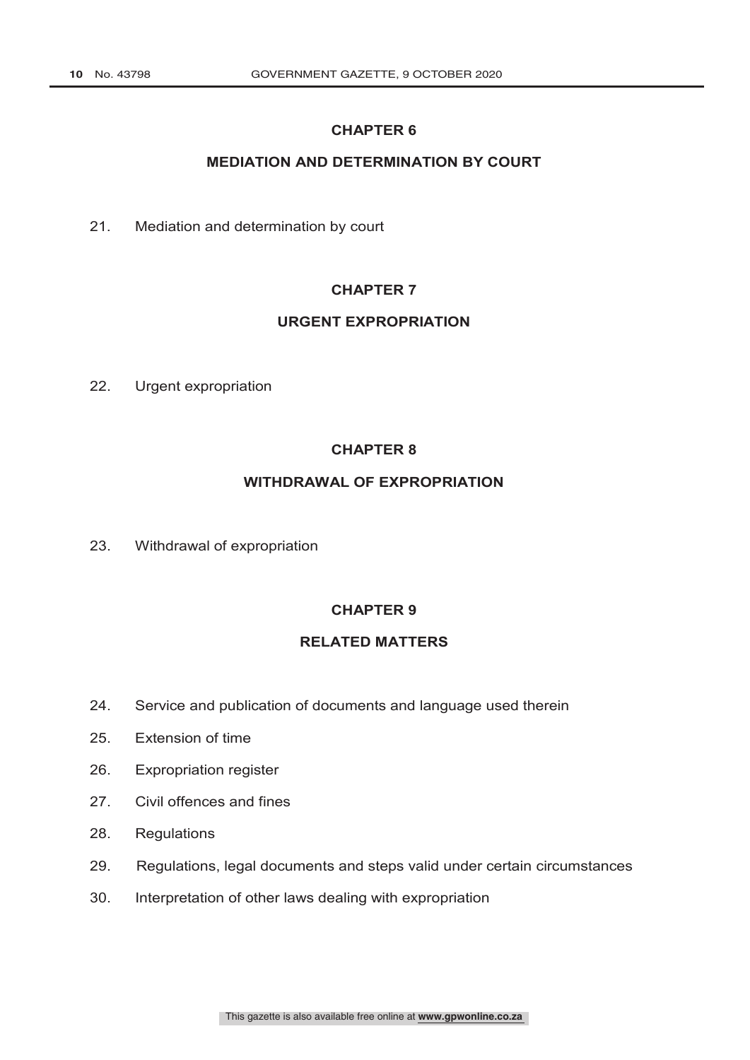# **MEDIATION AND DETERMINATION BY COURT**

21. Mediation and determination by court

# **CHAPTER 7**

#### **URGENT EXPROPRIATION**

22. Urgent expropriation

# **CHAPTER 8**

# **WITHDRAWAL OF EXPROPRIATION**

23. Withdrawal of expropriation

### **CHAPTER 9**

# **RELATED MATTERS**

- 24. Service and publication of documents and language used therein
- 25. Extension of time
- 26. Expropriation register
- 27. Civil offences and fines
- 28. Regulations
- 29. Regulations, legal documents and steps valid under certain circumstances
- 30. Interpretation of other laws dealing with expropriation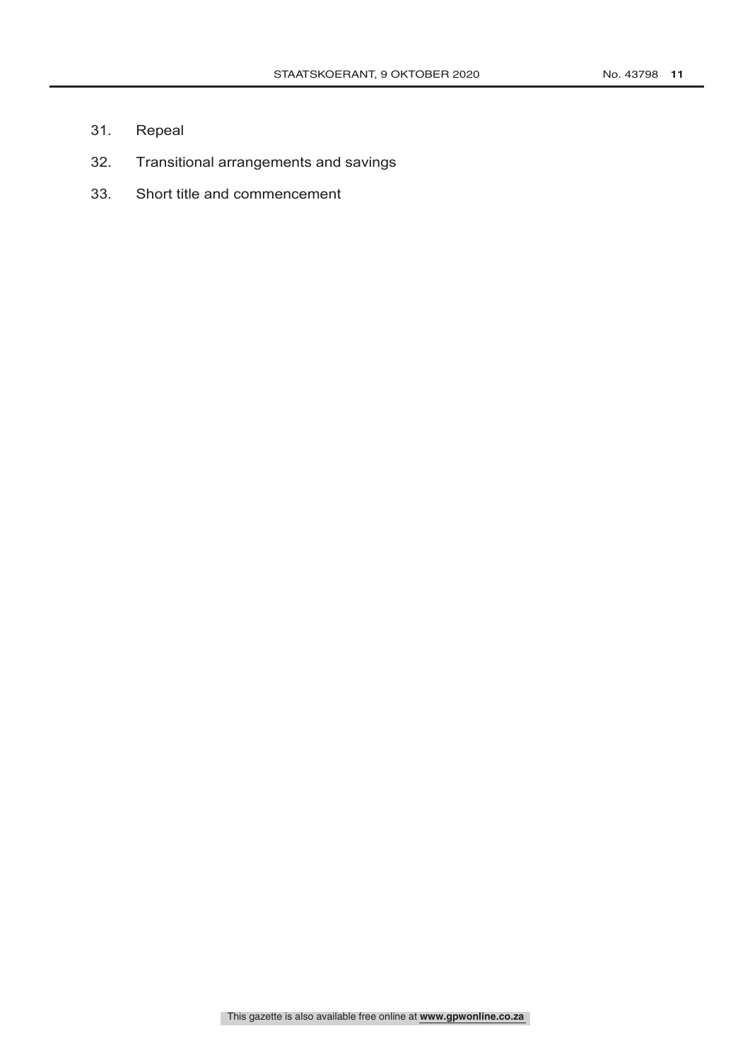- 31. Repeal
- 32. Transitional arrangements and savings
- 33. Short title and commencement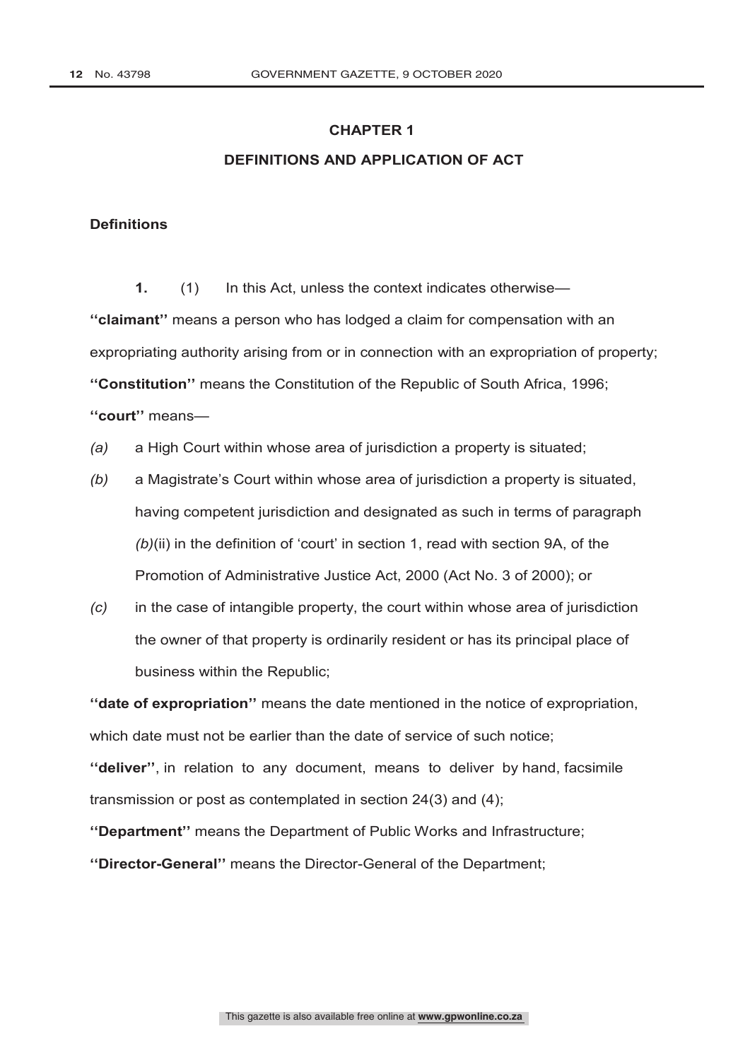# **DEFINITIONS AND APPLICATION OF ACT**

#### **Definitions**

**1.** (1) In this Act, unless the context indicates otherwise— **''claimant''** means a person who has lodged a claim for compensation with an expropriating authority arising from or in connection with an expropriation of property; **''Constitution''** means the Constitution of the Republic of South Africa, 1996; **''court''** means—

- *(a)* a High Court within whose area of jurisdiction a property is situated;
- *(b)* a Magistrate's Court within whose area of jurisdiction a property is situated, having competent jurisdiction and designated as such in terms of paragraph *(b)*(ii) in the definition of 'court' in section 1, read with section 9A, of the Promotion of Administrative Justice Act, 2000 (Act No. 3 of 2000); or
- *(c)* in the case of intangible property, the court within whose area of jurisdiction the owner of that property is ordinarily resident or has its principal place of business within the Republic;

**''date of expropriation''** means the date mentioned in the notice of expropriation, which date must not be earlier than the date of service of such notice: **''deliver''**, in relation to any document, means to deliver by hand, facsimile transmission or post as contemplated in section 24(3) and (4);

**''Department''** means the Department of Public Works and Infrastructure; **''Director-General''** means the Director-General of the Department;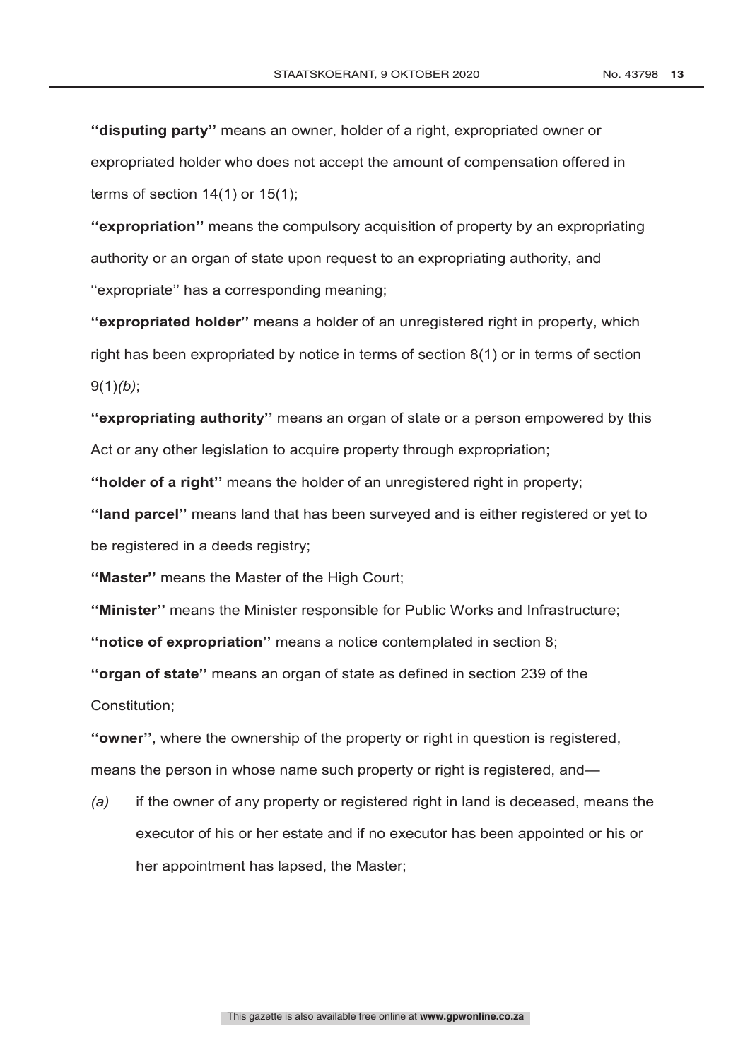**''disputing party''** means an owner, holder of a right, expropriated owner or expropriated holder who does not accept the amount of compensation offered in terms of section  $14(1)$  or  $15(1)$ ;

**''expropriation''** means the compulsory acquisition of property by an expropriating authority or an organ of state upon request to an expropriating authority, and ''expropriate'' has a corresponding meaning;

**''expropriated holder''** means a holder of an unregistered right in property, which right has been expropriated by notice in terms of section 8(1) or in terms of section 9(1)*(b)*;

**''expropriating authority''** means an organ of state or a person empowered by this Act or any other legislation to acquire property through expropriation;

**''holder of a right''** means the holder of an unregistered right in property;

**''land parcel''** means land that has been surveyed and is either registered or yet to be registered in a deeds registry;

**''Master''** means the Master of the High Court;

**''Minister''** means the Minister responsible for Public Works and Infrastructure;

**''notice of expropriation''** means a notice contemplated in section 8;

**''organ of state''** means an organ of state as defined in section 239 of the Constitution;

**''owner''**, where the ownership of the property or right in question is registered, means the person in whose name such property or right is registered, and—

*(a)* if the owner of any property or registered right in land is deceased, means the executor of his or her estate and if no executor has been appointed or his or her appointment has lapsed, the Master;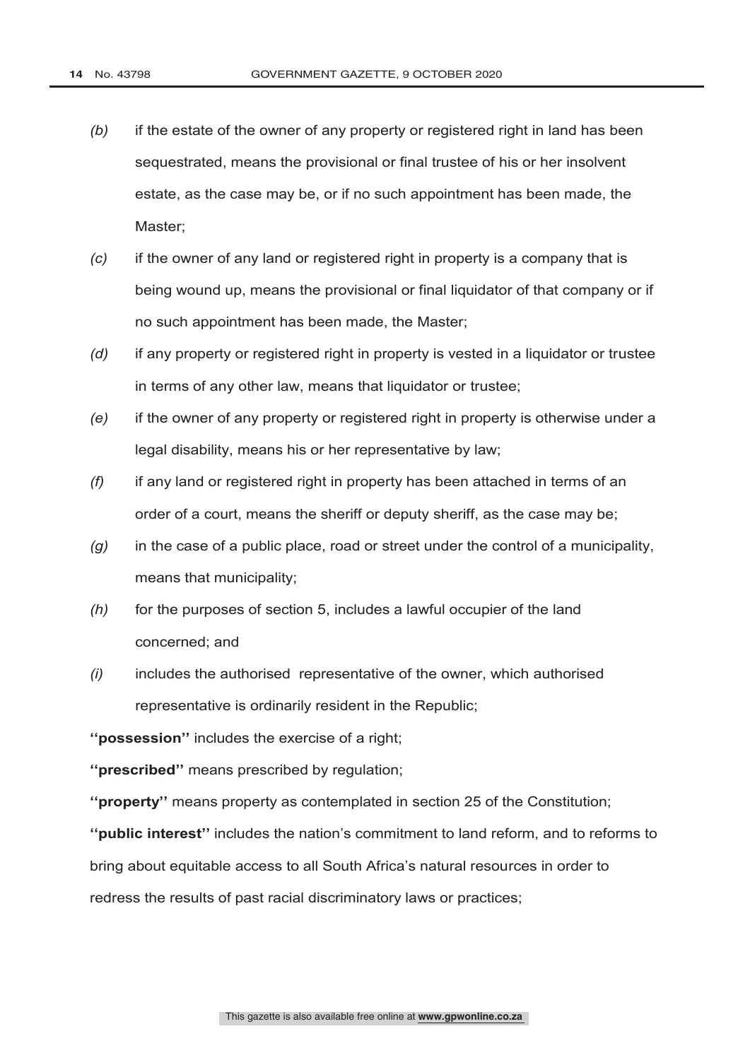- *(b)* if the estate of the owner of any property or registered right in land has been sequestrated, means the provisional or final trustee of his or her insolvent estate, as the case may be, or if no such appointment has been made, the Master;
- *(c)* if the owner of any land or registered right in property is a company that is being wound up, means the provisional or final liquidator of that company or if no such appointment has been made, the Master;
- *(d)* if any property or registered right in property is vested in a liquidator or trustee in terms of any other law, means that liquidator or trustee;
- *(e)* if the owner of any property or registered right in property is otherwise under a legal disability, means his or her representative by law;
- *(f)* if any land or registered right in property has been attached in terms of an order of a court, means the sheriff or deputy sheriff, as the case may be;
- *(g)* in the case of a public place, road or street under the control of a municipality, means that municipality;
- *(h)* for the purposes of section 5, includes a lawful occupier of the land concerned; and
- *(i)* includes the authorised representative of the owner, which authorised representative is ordinarily resident in the Republic;

**''possession''** includes the exercise of a right;

**''prescribed''** means prescribed by regulation;

**''property''** means property as contemplated in section 25 of the Constitution;

**''public interest''** includes the nation's commitment to land reform, and to reforms to bring about equitable access to all South Africa's natural resources in order to redress the results of past racial discriminatory laws or practices;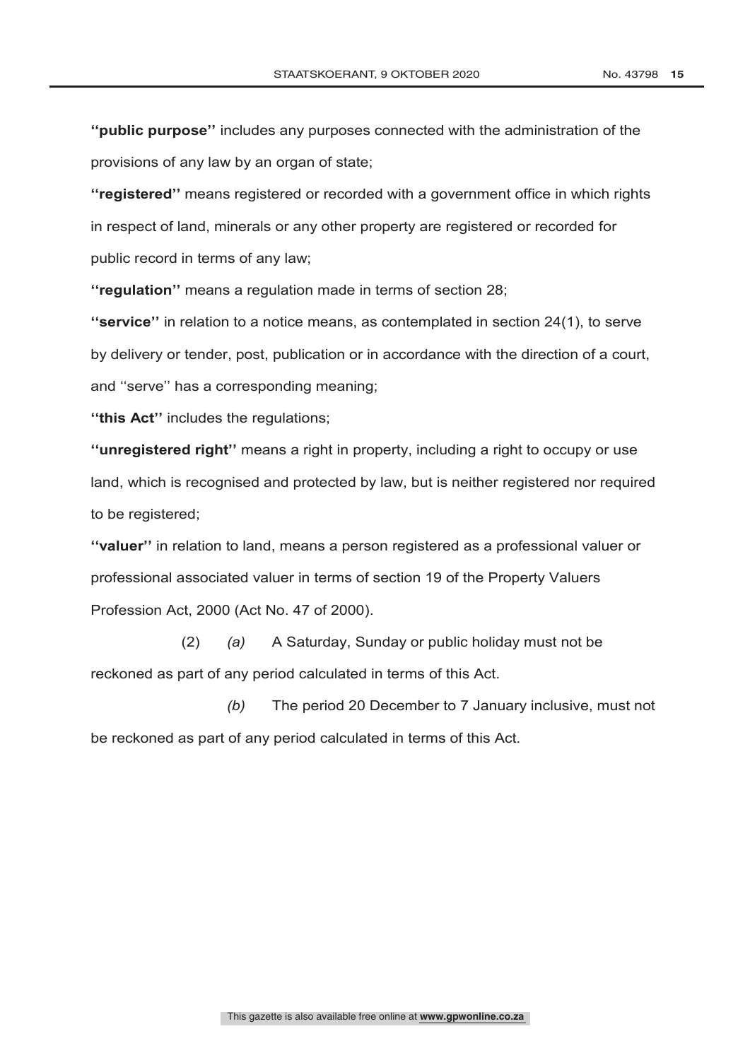**''public purpose''** includes any purposes connected with the administration of the provisions of any law by an organ of state;

**''registered''** means registered or recorded with a government office in which rights in respect of land, minerals or any other property are registered or recorded for public record in terms of any law;

**''regulation''** means a regulation made in terms of section 28;

**''service''** in relation to a notice means, as contemplated in section 24(1), to serve by delivery or tender, post, publication or in accordance with the direction of a court, and ''serve'' has a corresponding meaning;

**''this Act''** includes the regulations;

**''unregistered right''** means a right in property, including a right to occupy or use land, which is recognised and protected by law, but is neither registered nor required to be registered;

**''valuer''** in relation to land, means a person registered as a professional valuer or professional associated valuer in terms of section 19 of the Property Valuers Profession Act, 2000 (Act No. 47 of 2000).

(2) *(a)* A Saturday, Sunday or public holiday must not be reckoned as part of any period calculated in terms of this Act.

*(b)* The period 20 December to 7 January inclusive, must not be reckoned as part of any period calculated in terms of this Act.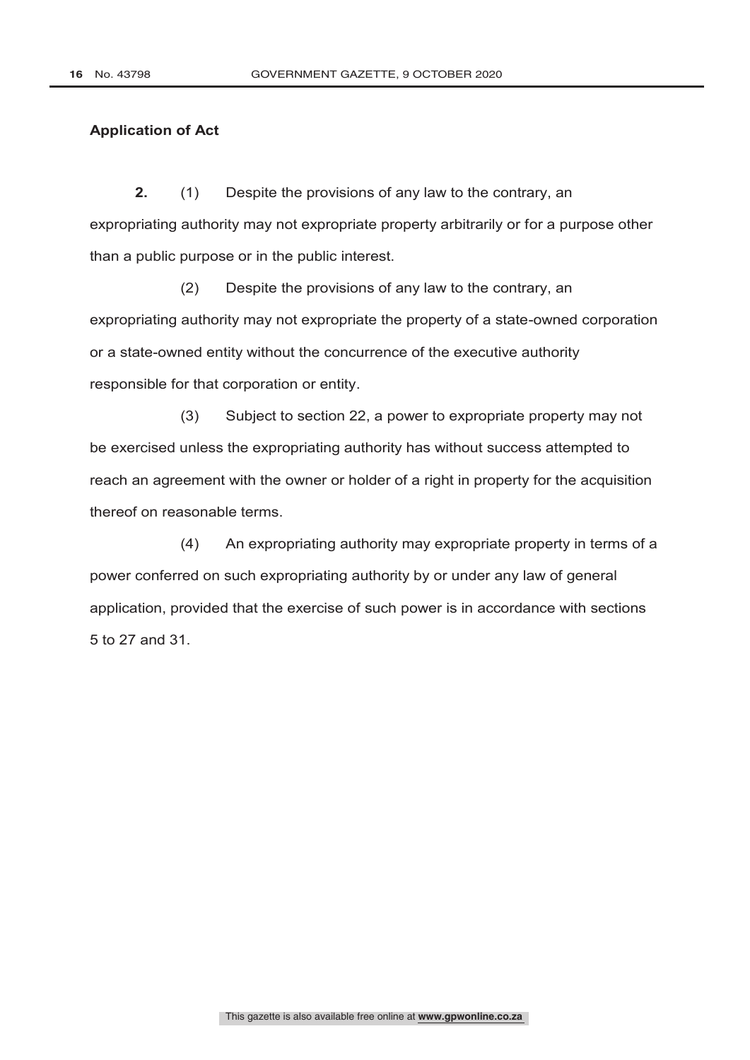#### **Application of Act**

**2.** (1) Despite the provisions of any law to the contrary, an expropriating authority may not expropriate property arbitrarily or for a purpose other than a public purpose or in the public interest.

(2) Despite the provisions of any law to the contrary, an expropriating authority may not expropriate the property of a state-owned corporation or a state-owned entity without the concurrence of the executive authority responsible for that corporation or entity.

(3) Subject to section 22, a power to expropriate property may not be exercised unless the expropriating authority has without success attempted to reach an agreement with the owner or holder of a right in property for the acquisition thereof on reasonable terms.

(4) An expropriating authority may expropriate property in terms of a power conferred on such expropriating authority by or under any law of general application, provided that the exercise of such power is in accordance with sections 5 to 27 and 31.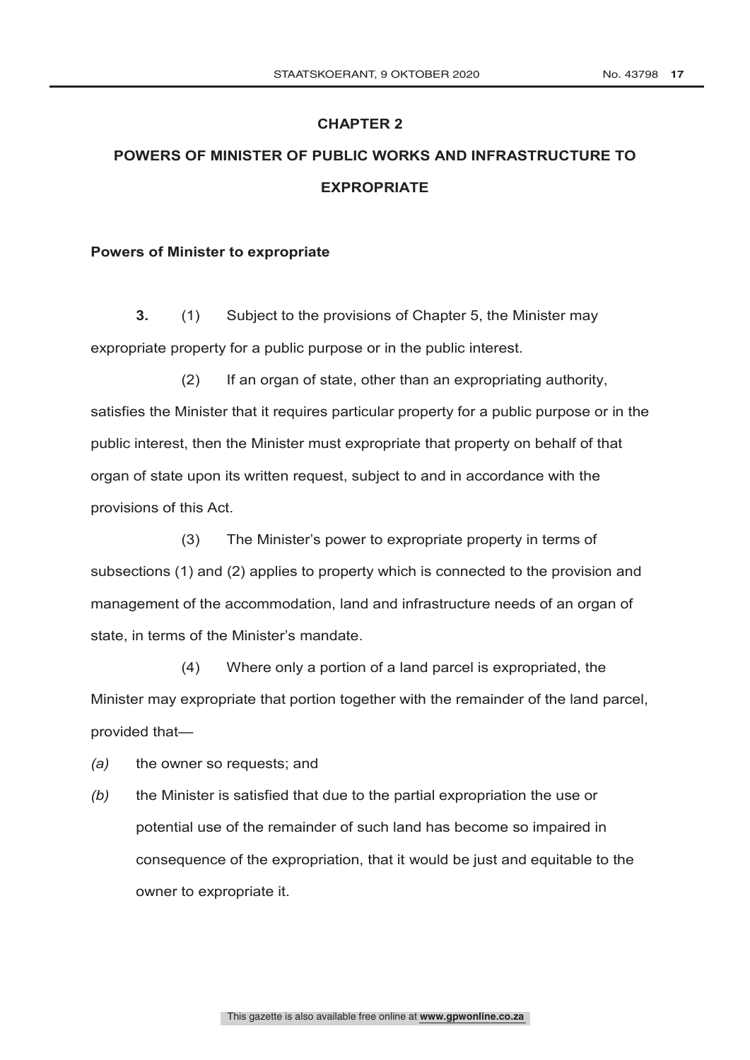# **POWERS OF MINISTER OF PUBLIC WORKS AND INFRASTRUCTURE TO EXPROPRIATE**

#### **Powers of Minister to expropriate**

**3.** (1) Subject to the provisions of Chapter 5, the Minister may expropriate property for a public purpose or in the public interest.

(2) If an organ of state, other than an expropriating authority, satisfies the Minister that it requires particular property for a public purpose or in the public interest, then the Minister must expropriate that property on behalf of that organ of state upon its written request, subject to and in accordance with the provisions of this Act.

(3) The Minister's power to expropriate property in terms of subsections (1) and (2) applies to property which is connected to the provision and management of the accommodation, land and infrastructure needs of an organ of state, in terms of the Minister's mandate.

(4) Where only a portion of a land parcel is expropriated, the Minister may expropriate that portion together with the remainder of the land parcel, provided that—

*(a)* the owner so requests; and

*(b)* the Minister is satisfied that due to the partial expropriation the use or potential use of the remainder of such land has become so impaired in consequence of the expropriation, that it would be just and equitable to the owner to expropriate it.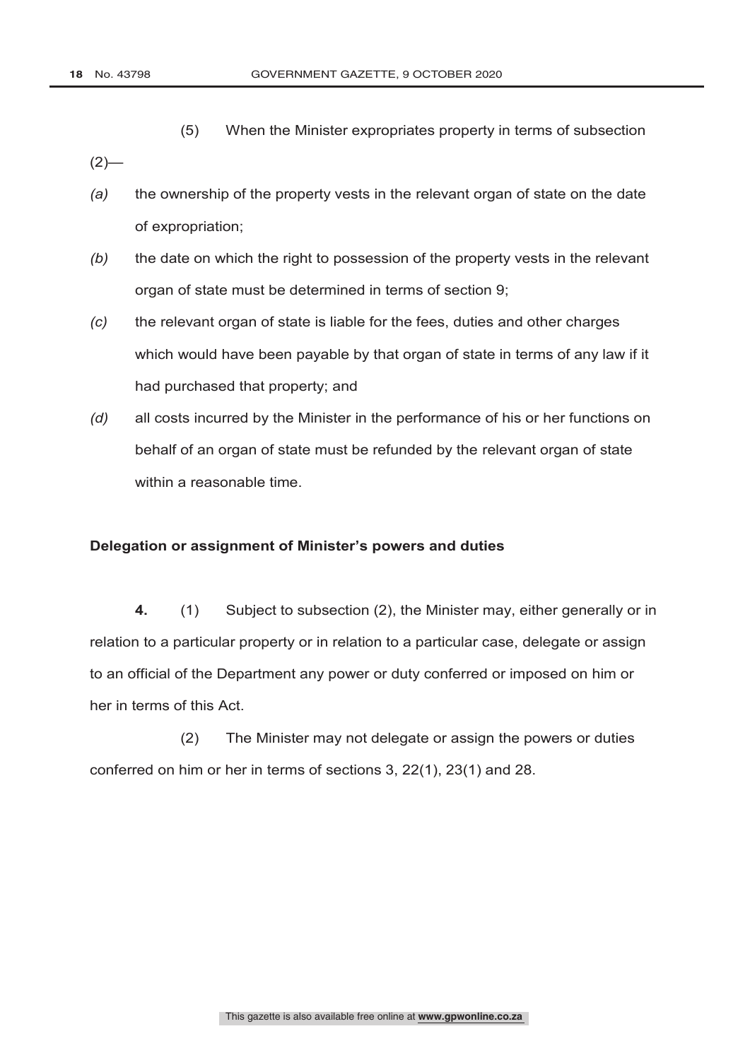(5) When the Minister expropriates property in terms of subsection

 $(2)$ —

- *(a)* the ownership of the property vests in the relevant organ of state on the date of expropriation;
- *(b)* the date on which the right to possession of the property vests in the relevant organ of state must be determined in terms of section 9;
- *(c)* the relevant organ of state is liable for the fees, duties and other charges which would have been payable by that organ of state in terms of any law if it had purchased that property; and
- *(d)* all costs incurred by the Minister in the performance of his or her functions on behalf of an organ of state must be refunded by the relevant organ of state within a reasonable time.

#### **Delegation or assignment of Minister's powers and duties**

**4.** (1) Subject to subsection (2), the Minister may, either generally or in relation to a particular property or in relation to a particular case, delegate or assign to an official of the Department any power or duty conferred or imposed on him or her in terms of this Act.

(2) The Minister may not delegate or assign the powers or duties conferred on him or her in terms of sections 3, 22(1), 23(1) and 28.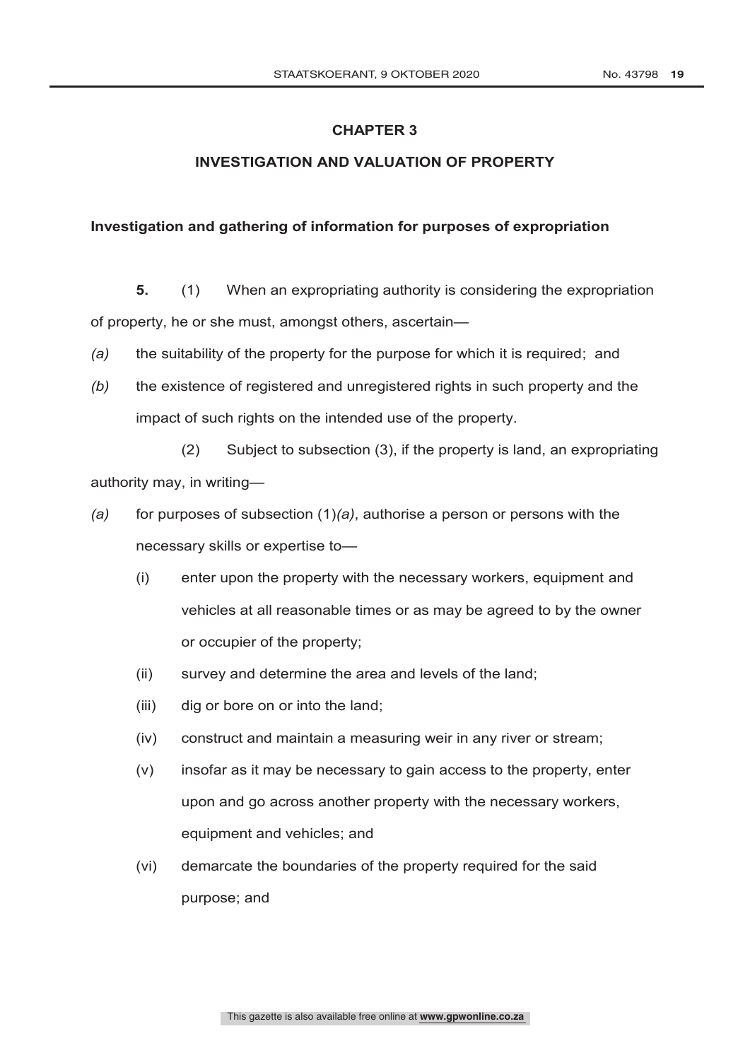# **INVESTIGATION AND VALUATION OF PROPERTY**

#### **Investigation and gathering of information for purposes of expropriation**

**5.** (1) When an expropriating authority is considering the expropriation of property, he or she must, amongst others, ascertain—

- *(a)* the suitability of the property for the purpose for which it is required; and
- *(b)* the existence of registered and unregistered rights in such property and the impact of such rights on the intended use of the property.

(2) Subject to subsection (3), if the property is land, an expropriating authority may, in writing—

- *(a)* for purposes of subsection (1)*(a)*, authorise a person or persons with the necessary skills or expertise to—
	- (i) enter upon the property with the necessary workers, equipment and vehicles at all reasonable times or as may be agreed to by the owner or occupier of the property;
	- (ii) survey and determine the area and levels of the land;
	- (iii) dig or bore on or into the land;
	- (iv) construct and maintain a measuring weir in any river or stream;
	- (v) insofar as it may be necessary to gain access to the property, enter upon and go across another property with the necessary workers, equipment and vehicles; and
	- (vi) demarcate the boundaries of the property required for the said purpose; and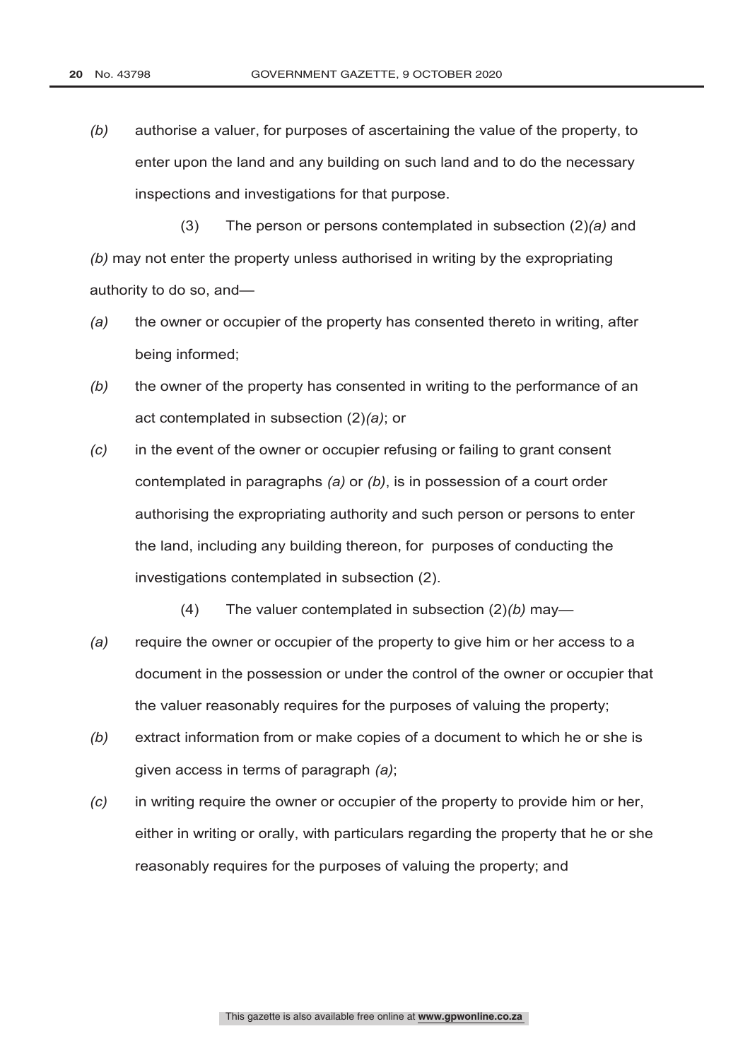*(b)* authorise a valuer, for purposes of ascertaining the value of the property, to enter upon the land and any building on such land and to do the necessary inspections and investigations for that purpose.

(3) The person or persons contemplated in subsection (2)*(a)* and *(b)* may not enter the property unless authorised in writing by the expropriating authority to do so, and—

- *(a)* the owner or occupier of the property has consented thereto in writing, after being informed;
- *(b)* the owner of the property has consented in writing to the performance of an act contemplated in subsection (2)*(a)*; or
- *(c)* in the event of the owner or occupier refusing or failing to grant consent contemplated in paragraphs *(a)* or *(b)*, is in possession of a court order authorising the expropriating authority and such person or persons to enter the land, including any building thereon, for purposes of conducting the investigations contemplated in subsection (2).
	- (4) The valuer contemplated in subsection (2)*(b)* may—
- *(a)* require the owner or occupier of the property to give him or her access to a document in the possession or under the control of the owner or occupier that the valuer reasonably requires for the purposes of valuing the property;
- *(b)* extract information from or make copies of a document to which he or she is given access in terms of paragraph *(a)*;
- *(c)* in writing require the owner or occupier of the property to provide him or her, either in writing or orally, with particulars regarding the property that he or she reasonably requires for the purposes of valuing the property; and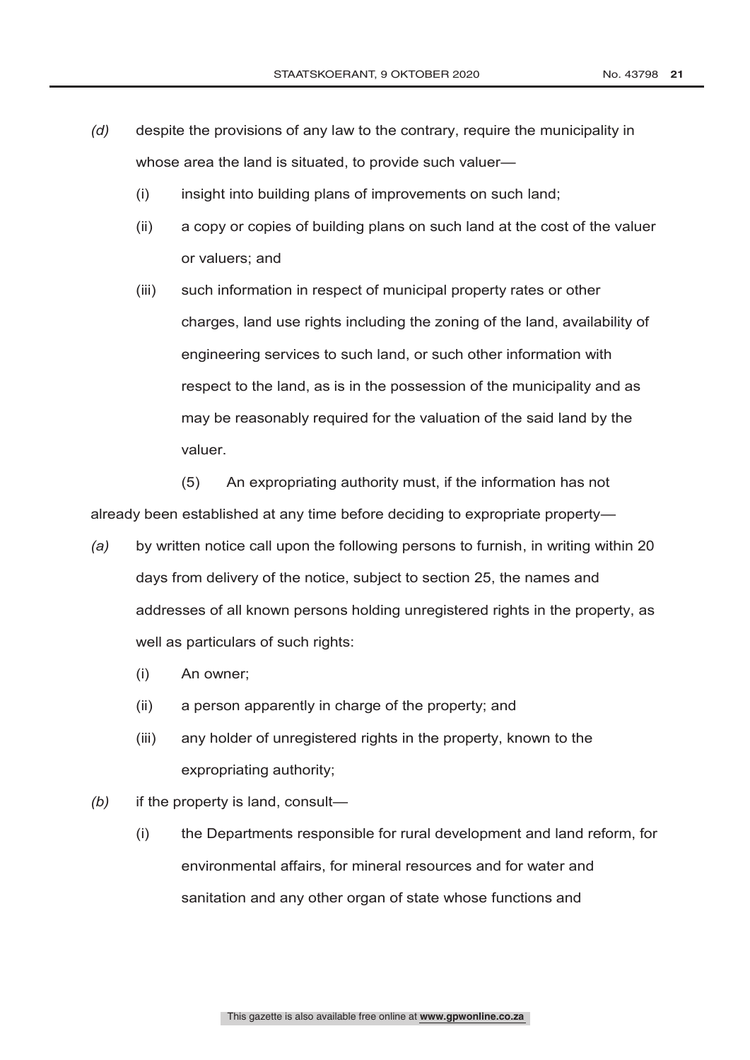- *(d)* despite the provisions of any law to the contrary, require the municipality in whose area the land is situated, to provide such valuer—
	- (i) insight into building plans of improvements on such land;
	- (ii) a copy or copies of building plans on such land at the cost of the valuer or valuers; and
	- (iii) such information in respect of municipal property rates or other charges, land use rights including the zoning of the land, availability of engineering services to such land, or such other information with respect to the land, as is in the possession of the municipality and as may be reasonably required for the valuation of the said land by the valuer.

(5) An expropriating authority must, if the information has not already been established at any time before deciding to expropriate property—

- *(a)* by written notice call upon the following persons to furnish, in writing within 20 days from delivery of the notice, subject to section 25, the names and addresses of all known persons holding unregistered rights in the property, as well as particulars of such rights:
	- (i) An owner;
	- (ii) a person apparently in charge of the property; and
	- (iii) any holder of unregistered rights in the property, known to the expropriating authority;
- *(b)* if the property is land, consult—
	- (i) the Departments responsible for rural development and land reform, for environmental affairs, for mineral resources and for water and sanitation and any other organ of state whose functions and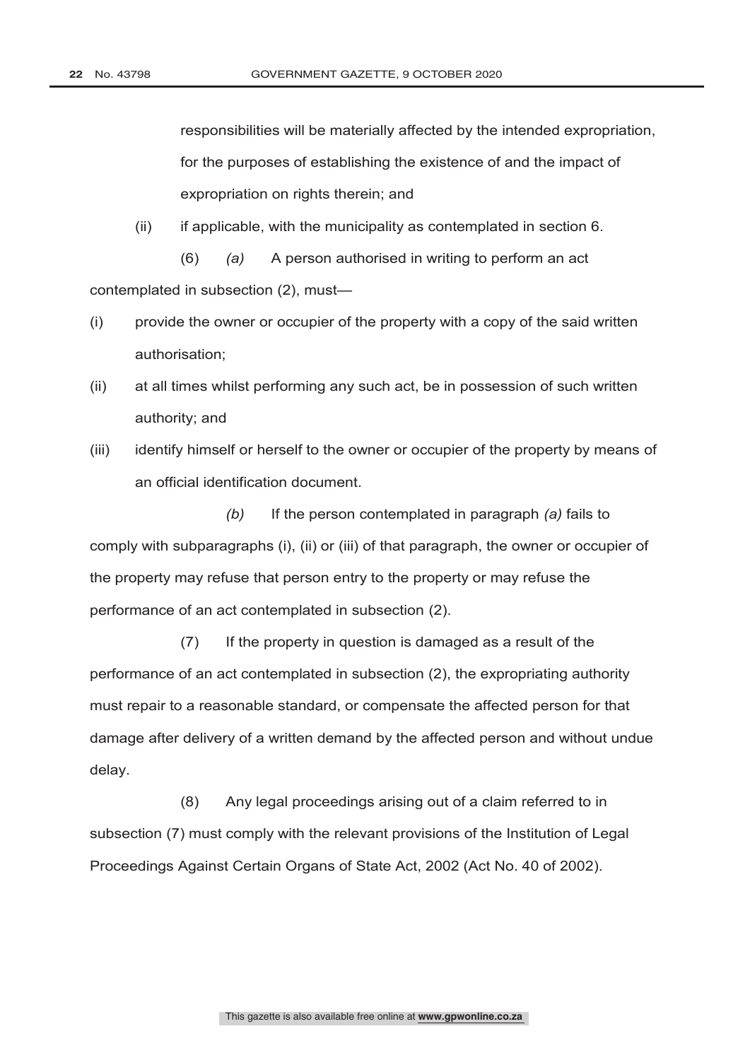responsibilities will be materially affected by the intended expropriation, for the purposes of establishing the existence of and the impact of expropriation on rights therein; and

(ii) if applicable, with the municipality as contemplated in section 6.

(6) *(a)* A person authorised in writing to perform an act contemplated in subsection (2), must—

- (i) provide the owner or occupier of the property with a copy of the said written authorisation;
- (ii) at all times whilst performing any such act, be in possession of such written authority; and
- (iii) identify himself or herself to the owner or occupier of the property by means of an official identification document.

*(b)* If the person contemplated in paragraph *(a)* fails to comply with subparagraphs (i), (ii) or (iii) of that paragraph, the owner or occupier of the property may refuse that person entry to the property or may refuse the performance of an act contemplated in subsection (2).

(7) If the property in question is damaged as a result of the performance of an act contemplated in subsection (2), the expropriating authority must repair to a reasonable standard, or compensate the affected person for that damage after delivery of a written demand by the affected person and without undue delay.

(8) Any legal proceedings arising out of a claim referred to in subsection (7) must comply with the relevant provisions of the Institution of Legal Proceedings Against Certain Organs of State Act, 2002 (Act No. 40 of 2002).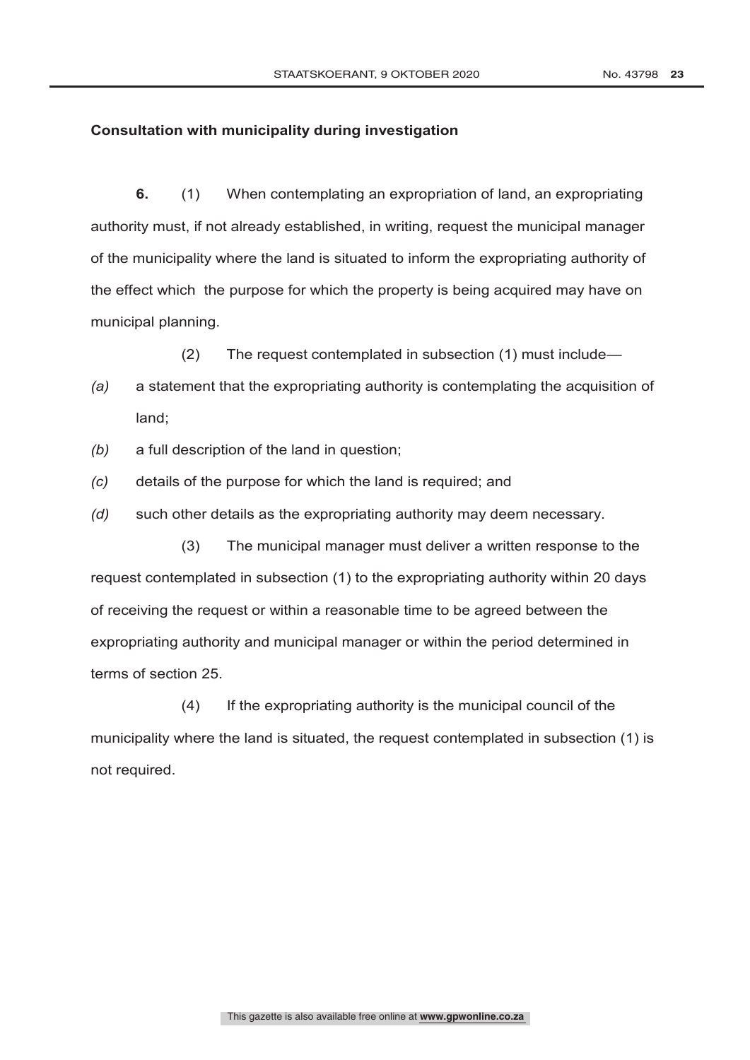#### **Consultation with municipality during investigation**

**6.** (1) When contemplating an expropriation of land, an expropriating authority must, if not already established, in writing, request the municipal manager of the municipality where the land is situated to inform the expropriating authority of the effect which the purpose for which the property is being acquired may have on municipal planning.

(2) The request contemplated in subsection (1) must include—

- *(a)* a statement that the expropriating authority is contemplating the acquisition of land;
- *(b)* a full description of the land in question;
- *(c)* details of the purpose for which the land is required; and
- *(d)* such other details as the expropriating authority may deem necessary.

(3) The municipal manager must deliver a written response to the request contemplated in subsection (1) to the expropriating authority within 20 days of receiving the request or within a reasonable time to be agreed between the expropriating authority and municipal manager or within the period determined in terms of section 25.

(4) If the expropriating authority is the municipal council of the municipality where the land is situated, the request contemplated in subsection (1) is not required.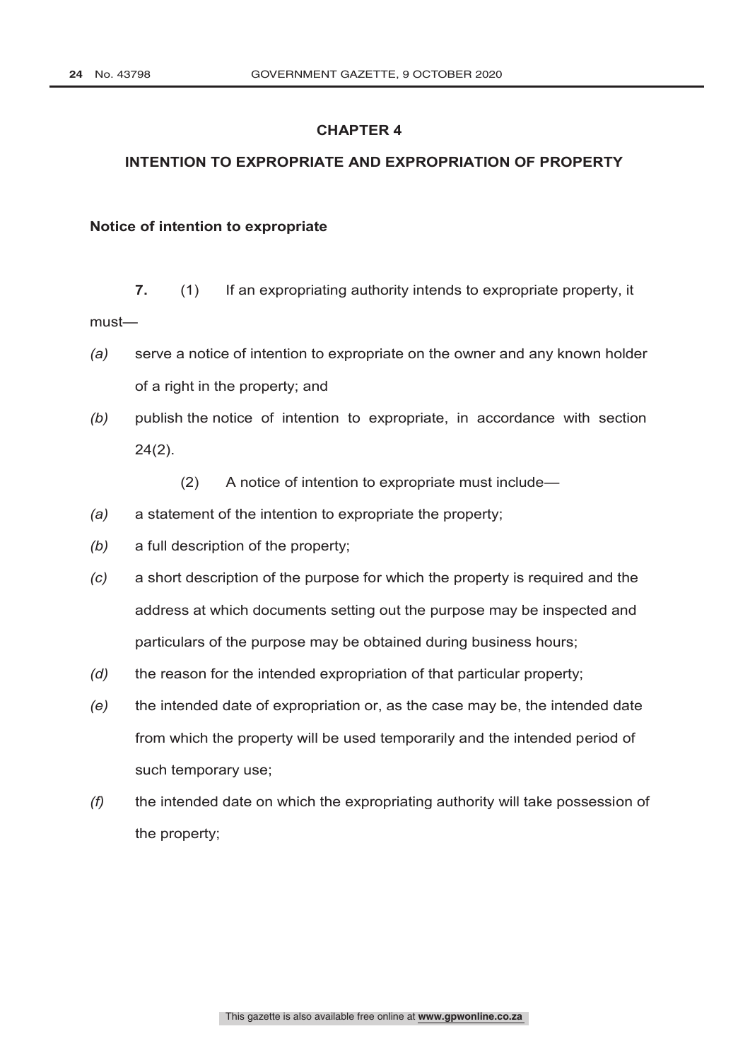# **INTENTION TO EXPROPRIATE AND EXPROPRIATION OF PROPERTY**

#### **Notice of intention to expropriate**

- **7.** (1) If an expropriating authority intends to expropriate property, it must—
- *(a)* serve a notice of intention to expropriate on the owner and any known holder of a right in the property; and
- *(b)* publish the notice of intention to expropriate, in accordance with section 24(2).
	- (2) A notice of intention to expropriate must include—
- *(a)* a statement of the intention to expropriate the property;
- *(b)* a full description of the property;
- *(c)* a short description of the purpose for which the property is required and the address at which documents setting out the purpose may be inspected and particulars of the purpose may be obtained during business hours;
- *(d)* the reason for the intended expropriation of that particular property;
- *(e)* the intended date of expropriation or, as the case may be, the intended date from which the property will be used temporarily and the intended period of such temporary use;
- *(f)* the intended date on which the expropriating authority will take possession of the property;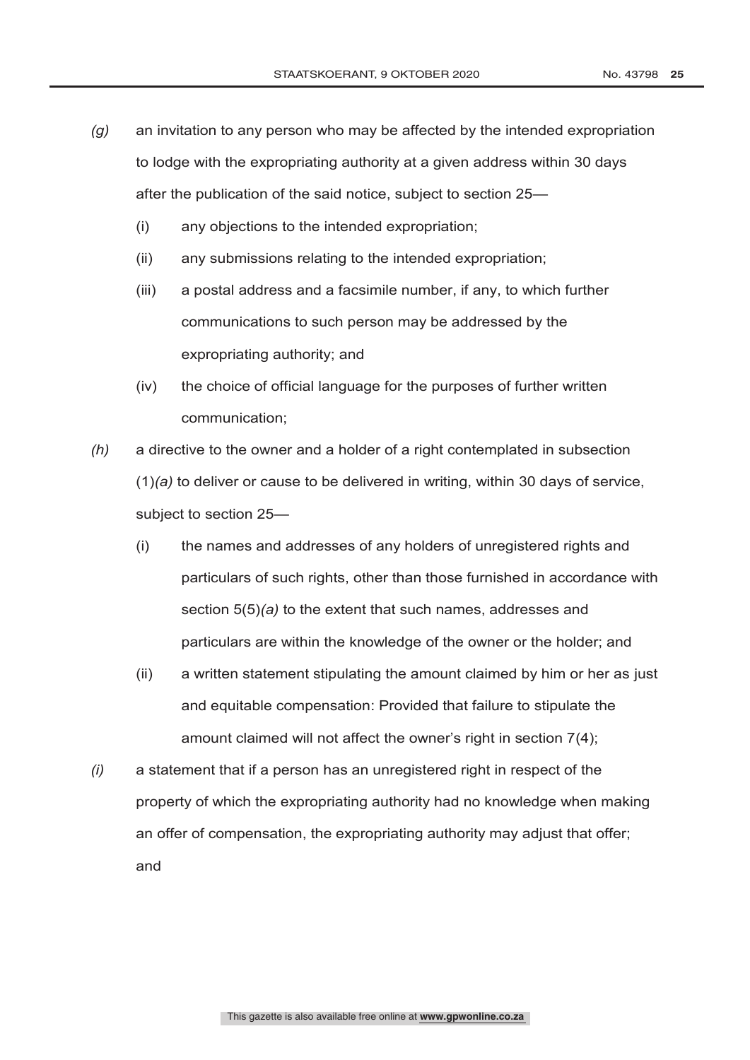- *(g)* an invitation to any person who may be affected by the intended expropriation to lodge with the expropriating authority at a given address within 30 days after the publication of the said notice, subject to section 25—
	- (i) any objections to the intended expropriation;
	- (ii) any submissions relating to the intended expropriation;
	- (iii) a postal address and a facsimile number, if any, to which further communications to such person may be addressed by the expropriating authority; and
	- (iv) the choice of official language for the purposes of further written communication;
- *(h)* a directive to the owner and a holder of a right contemplated in subsection (1)*(a)* to deliver or cause to be delivered in writing, within 30 days of service, subject to section 25—
	- (i) the names and addresses of any holders of unregistered rights and particulars of such rights, other than those furnished in accordance with section 5(5)*(a)* to the extent that such names, addresses and particulars are within the knowledge of the owner or the holder; and
	- (ii) a written statement stipulating the amount claimed by him or her as just and equitable compensation: Provided that failure to stipulate the amount claimed will not affect the owner's right in section 7(4);
- *(i)* a statement that if a person has an unregistered right in respect of the property of which the expropriating authority had no knowledge when making an offer of compensation, the expropriating authority may adjust that offer; and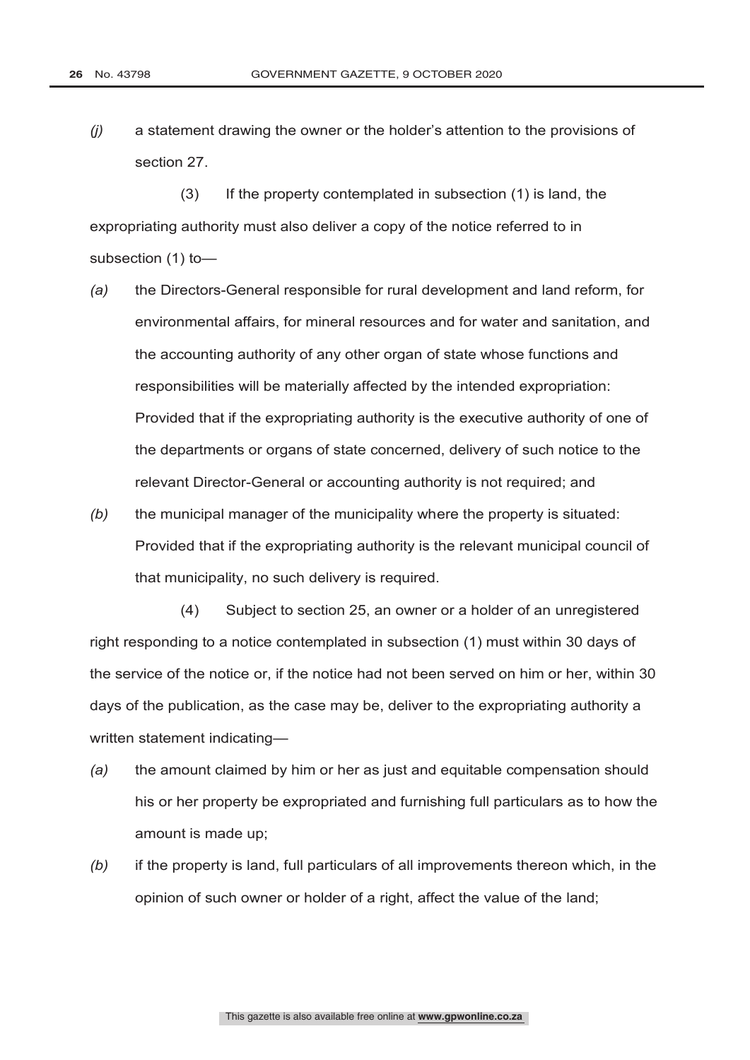*(j)* a statement drawing the owner or the holder's attention to the provisions of section 27.

(3) If the property contemplated in subsection (1) is land, the expropriating authority must also deliver a copy of the notice referred to in subsection (1) to—

- *(a)* the Directors-General responsible for rural development and land reform, for environmental affairs, for mineral resources and for water and sanitation, and the accounting authority of any other organ of state whose functions and responsibilities will be materially affected by the intended expropriation: Provided that if the expropriating authority is the executive authority of one of the departments or organs of state concerned, delivery of such notice to the relevant Director-General or accounting authority is not required; and
- *(b)* the municipal manager of the municipality where the property is situated: Provided that if the expropriating authority is the relevant municipal council of that municipality, no such delivery is required.

(4) Subject to section 25, an owner or a holder of an unregistered right responding to a notice contemplated in subsection (1) must within 30 days of the service of the notice or, if the notice had not been served on him or her, within 30 days of the publication, as the case may be, deliver to the expropriating authority a written statement indicating—

- *(a)* the amount claimed by him or her as just and equitable compensation should his or her property be expropriated and furnishing full particulars as to how the amount is made up;
- *(b)* if the property is land, full particulars of all improvements thereon which, in the opinion of such owner or holder of a right, affect the value of the land;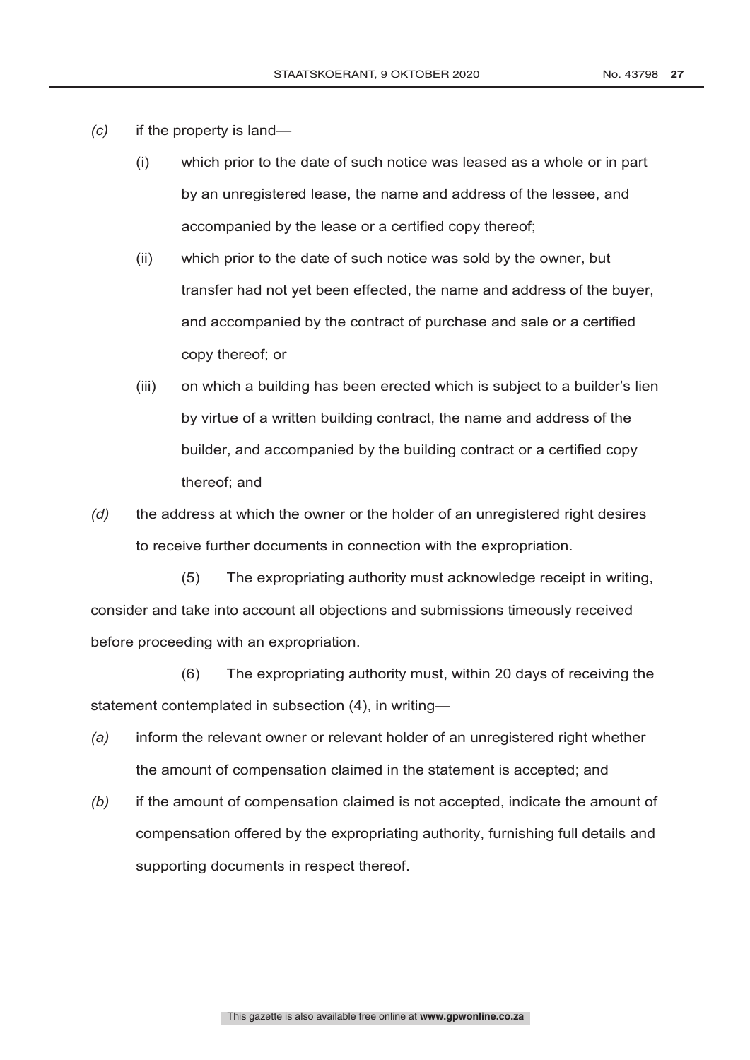- *(c)* if the property is land—
	- (i) which prior to the date of such notice was leased as a whole or in part by an unregistered lease, the name and address of the lessee, and accompanied by the lease or a certified copy thereof;
	- (ii) which prior to the date of such notice was sold by the owner, but transfer had not yet been effected, the name and address of the buyer, and accompanied by the contract of purchase and sale or a certified copy thereof; or
	- (iii) on which a building has been erected which is subject to a builder's lien by virtue of a written building contract, the name and address of the builder, and accompanied by the building contract or a certified copy thereof; and
- *(d)* the address at which the owner or the holder of an unregistered right desires to receive further documents in connection with the expropriation.

(5) The expropriating authority must acknowledge receipt in writing, consider and take into account all objections and submissions timeously received before proceeding with an expropriation.

(6) The expropriating authority must, within 20 days of receiving the statement contemplated in subsection (4), in writing—

- *(a)* inform the relevant owner or relevant holder of an unregistered right whether the amount of compensation claimed in the statement is accepted; and
- *(b)* if the amount of compensation claimed is not accepted, indicate the amount of compensation offered by the expropriating authority, furnishing full details and supporting documents in respect thereof.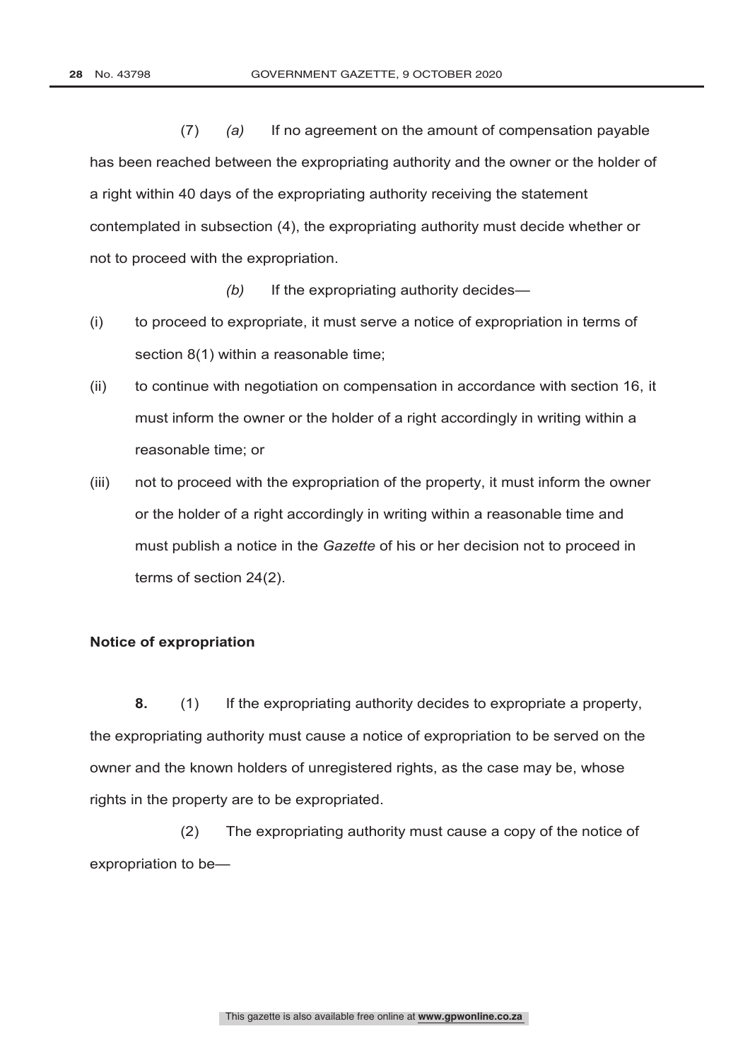(7) *(a)* If no agreement on the amount of compensation payable has been reached between the expropriating authority and the owner or the holder of a right within 40 days of the expropriating authority receiving the statement contemplated in subsection (4), the expropriating authority must decide whether or not to proceed with the expropriation.

*(b)* If the expropriating authority decides—

- (i) to proceed to expropriate, it must serve a notice of expropriation in terms of section 8(1) within a reasonable time;
- (ii) to continue with negotiation on compensation in accordance with section 16, it must inform the owner or the holder of a right accordingly in writing within a reasonable time; or
- (iii) not to proceed with the expropriation of the property, it must inform the owner or the holder of a right accordingly in writing within a reasonable time and must publish a notice in the *Gazette* of his or her decision not to proceed in terms of section 24(2).

#### **Notice of expropriation**

**8.** (1) If the expropriating authority decides to expropriate a property, the expropriating authority must cause a notice of expropriation to be served on the owner and the known holders of unregistered rights, as the case may be, whose rights in the property are to be expropriated.

(2) The expropriating authority must cause a copy of the notice of expropriation to be—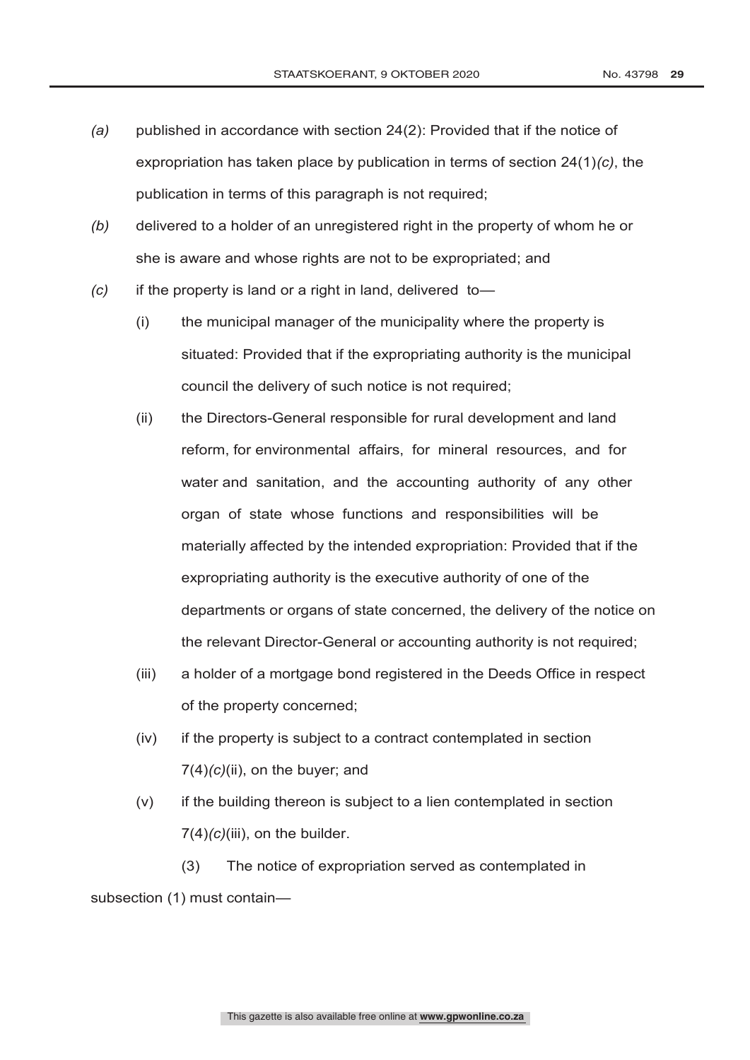- *(a)* published in accordance with section 24(2): Provided that if the notice of expropriation has taken place by publication in terms of section 24(1)*(c)*, the publication in terms of this paragraph is not required;
- *(b)* delivered to a holder of an unregistered right in the property of whom he or she is aware and whose rights are not to be expropriated; and
- *(c)* if the property is land or a right in land, delivered to—
	- (i) the municipal manager of the municipality where the property is situated: Provided that if the expropriating authority is the municipal council the delivery of such notice is not required;
	- (ii) the Directors-General responsible for rural development and land reform, for environmental affairs, for mineral resources, and for water and sanitation, and the accounting authority of any other organ of state whose functions and responsibilities will be materially affected by the intended expropriation: Provided that if the expropriating authority is the executive authority of one of the departments or organs of state concerned, the delivery of the notice on the relevant Director-General or accounting authority is not required;
	- (iii) a holder of a mortgage bond registered in the Deeds Office in respect of the property concerned;
	- (iv) if the property is subject to a contract contemplated in section 7(4)*(c)*(ii), on the buyer; and
	- (v) if the building thereon is subject to a lien contemplated in section 7(4)*(c)*(iii), on the builder.

(3) The notice of expropriation served as contemplated in subsection (1) must contain—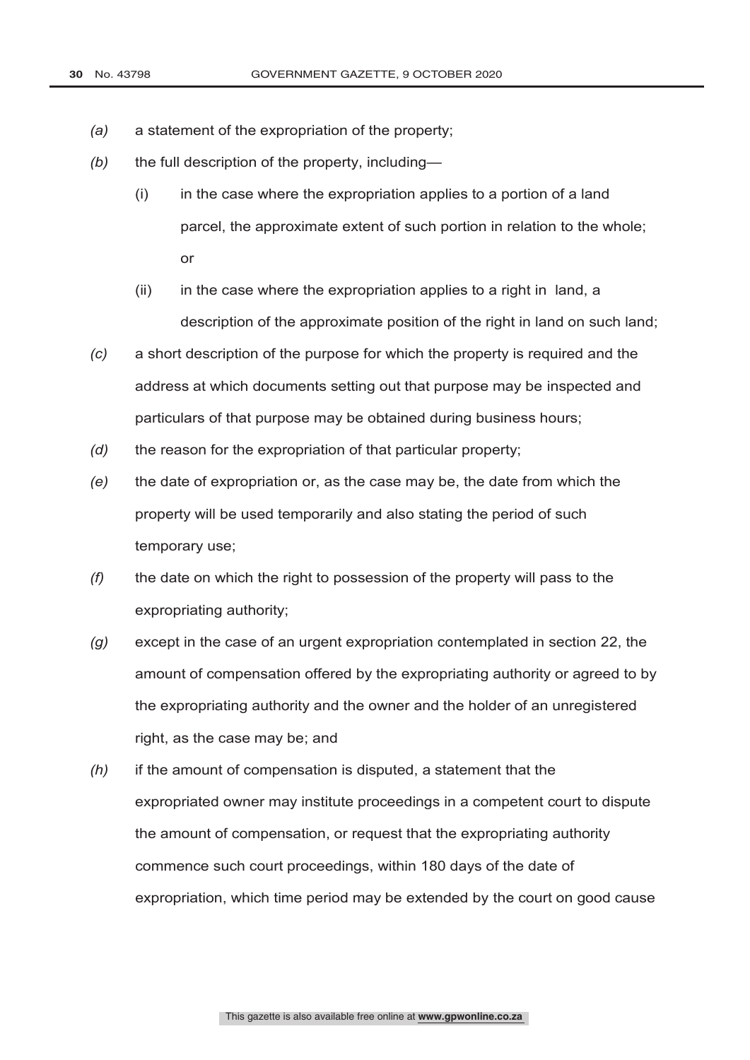- *(a)* a statement of the expropriation of the property;
- *(b)* the full description of the property, including—
	- (i) in the case where the expropriation applies to a portion of a land parcel, the approximate extent of such portion in relation to the whole; or
	- (ii) in the case where the expropriation applies to a right in land, a description of the approximate position of the right in land on such land;
- *(c)* a short description of the purpose for which the property is required and the address at which documents setting out that purpose may be inspected and particulars of that purpose may be obtained during business hours;
- *(d)* the reason for the expropriation of that particular property;
- *(e)* the date of expropriation or, as the case may be, the date from which the property will be used temporarily and also stating the period of such temporary use;
- *(f)* the date on which the right to possession of the property will pass to the expropriating authority;
- *(g)* except in the case of an urgent expropriation contemplated in section 22, the amount of compensation offered by the expropriating authority or agreed to by the expropriating authority and the owner and the holder of an unregistered right, as the case may be; and
- *(h)* if the amount of compensation is disputed, a statement that the expropriated owner may institute proceedings in a competent court to dispute the amount of compensation, or request that the expropriating authority commence such court proceedings, within 180 days of the date of expropriation, which time period may be extended by the court on good cause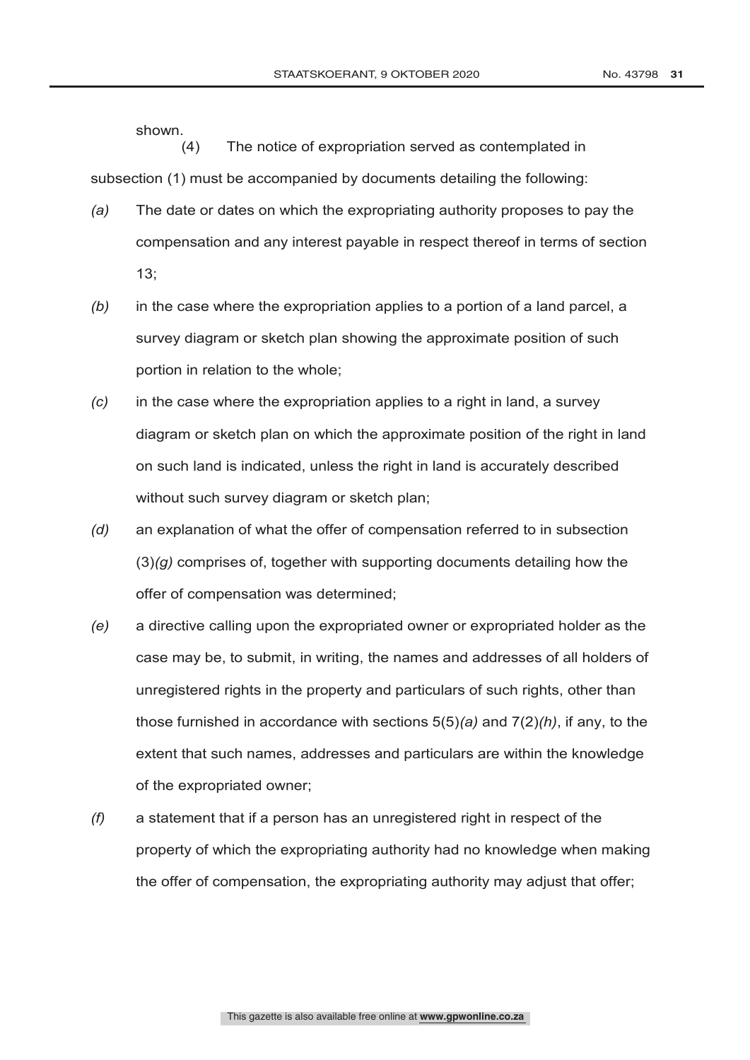shown.  $(4)$ The notice of expropriation served as contemplated in subsection (1) must be accompanied by documents detailing the following:

- *(a)* The date or dates on which the expropriating authority proposes to pay the compensation and any interest payable in respect thereof in terms of section 13;
- *(b)* in the case where the expropriation applies to a portion of a land parcel, a survey diagram or sketch plan showing the approximate position of such portion in relation to the whole;
- *(c)* in the case where the expropriation applies to a right in land, a survey diagram or sketch plan on which the approximate position of the right in land on such land is indicated, unless the right in land is accurately described without such survey diagram or sketch plan;
- *(d)* an explanation of what the offer of compensation referred to in subsection (3)*(g)* comprises of, together with supporting documents detailing how the offer of compensation was determined;
- *(e)* a directive calling upon the expropriated owner or expropriated holder as the case may be, to submit, in writing, the names and addresses of all holders of unregistered rights in the property and particulars of such rights, other than those furnished in accordance with sections 5(5)*(a)* and 7(2)*(h)*, if any, to the extent that such names, addresses and particulars are within the knowledge of the expropriated owner;
- *(f)* a statement that if a person has an unregistered right in respect of the property of which the expropriating authority had no knowledge when making the offer of compensation, the expropriating authority may adjust that offer;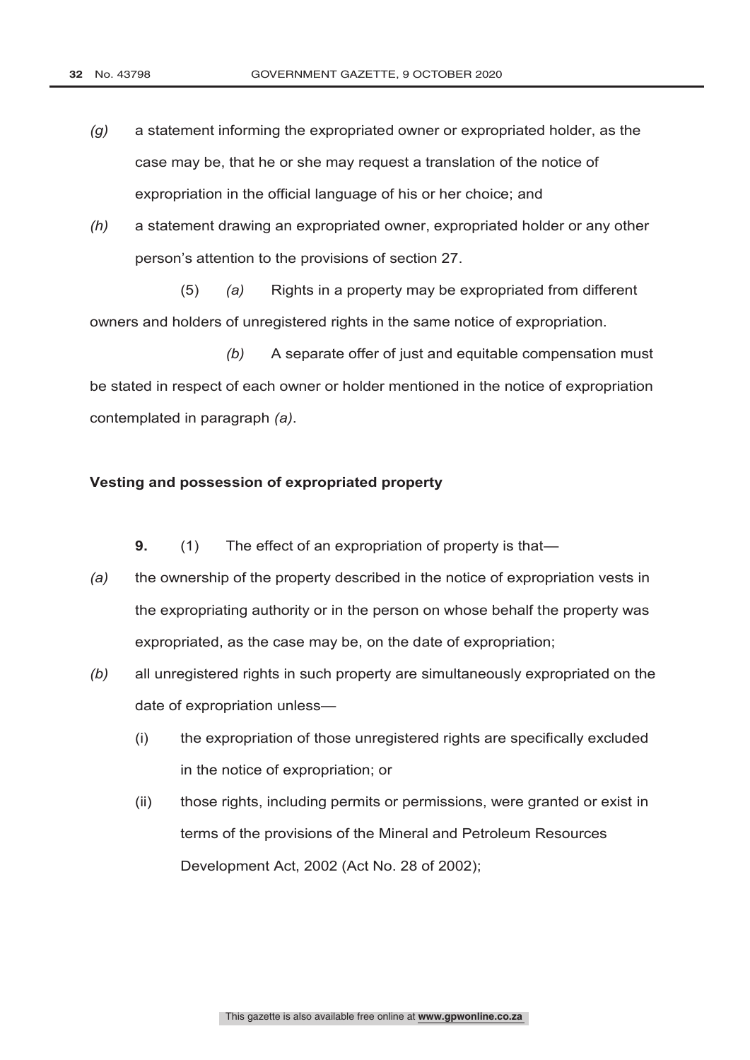- *(g)* a statement informing the expropriated owner or expropriated holder, as the case may be, that he or she may request a translation of the notice of expropriation in the official language of his or her choice; and
- *(h)* a statement drawing an expropriated owner, expropriated holder or any other person's attention to the provisions of section 27.

(5) *(a)* Rights in a property may be expropriated from different owners and holders of unregistered rights in the same notice of expropriation.

*(b)* A separate offer of just and equitable compensation must be stated in respect of each owner or holder mentioned in the notice of expropriation contemplated in paragraph *(a)*.

#### **Vesting and possession of expropriated property**

**9.** (1) The effect of an expropriation of property is that—

- *(a)* the ownership of the property described in the notice of expropriation vests in the expropriating authority or in the person on whose behalf the property was expropriated, as the case may be, on the date of expropriation;
- *(b)* all unregistered rights in such property are simultaneously expropriated on the date of expropriation unless—
	- (i) the expropriation of those unregistered rights are specifically excluded in the notice of expropriation; or
	- (ii) those rights, including permits or permissions, were granted or exist in terms of the provisions of the Mineral and Petroleum Resources Development Act, 2002 (Act No. 28 of 2002);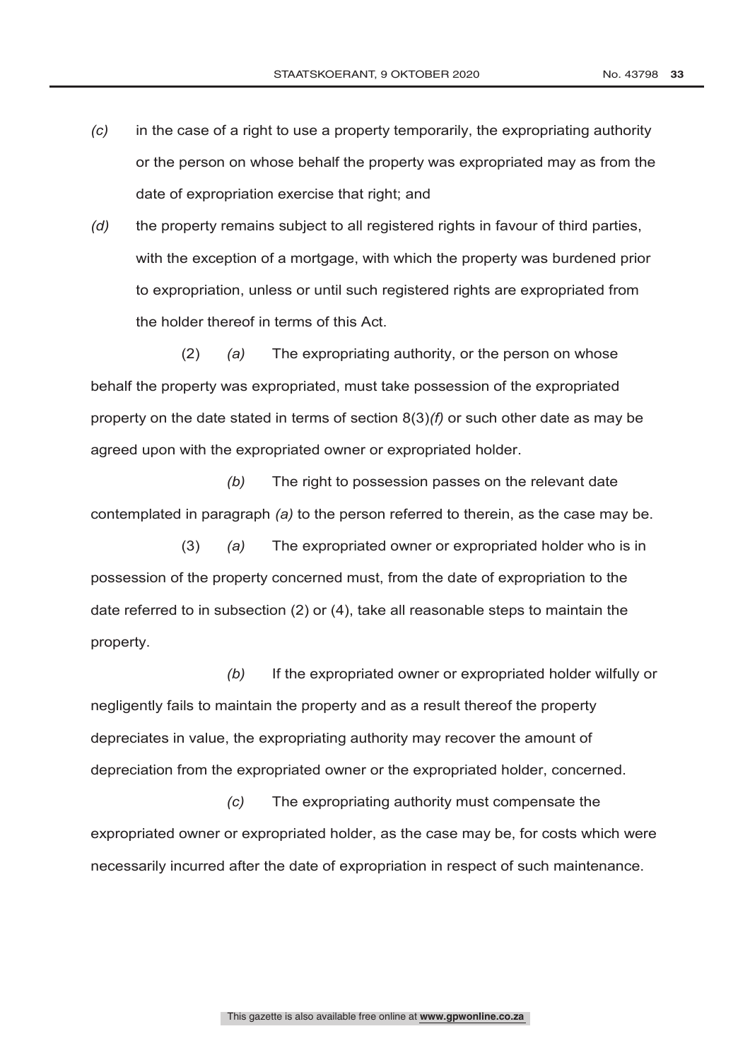- *(c)* in the case of a right to use a property temporarily, the expropriating authority or the person on whose behalf the property was expropriated may as from the date of expropriation exercise that right; and
- *(d)* the property remains subject to all registered rights in favour of third parties, with the exception of a mortgage, with which the property was burdened prior to expropriation, unless or until such registered rights are expropriated from the holder thereof in terms of this Act.

(2) *(a)* The expropriating authority, or the person on whose behalf the property was expropriated, must take possession of the expropriated property on the date stated in terms of section 8(3)*(f)* or such other date as may be agreed upon with the expropriated owner or expropriated holder.

*(b)* The right to possession passes on the relevant date contemplated in paragraph *(a)* to the person referred to therein, as the case may be.

(3) *(a)* The expropriated owner or expropriated holder who is in possession of the property concerned must, from the date of expropriation to the date referred to in subsection (2) or (4), take all reasonable steps to maintain the property.

*(b)* If the expropriated owner or expropriated holder wilfully or negligently fails to maintain the property and as a result thereof the property depreciates in value, the expropriating authority may recover the amount of depreciation from the expropriated owner or the expropriated holder, concerned.

*(c)* The expropriating authority must compensate the expropriated owner or expropriated holder, as the case may be, for costs which were necessarily incurred after the date of expropriation in respect of such maintenance.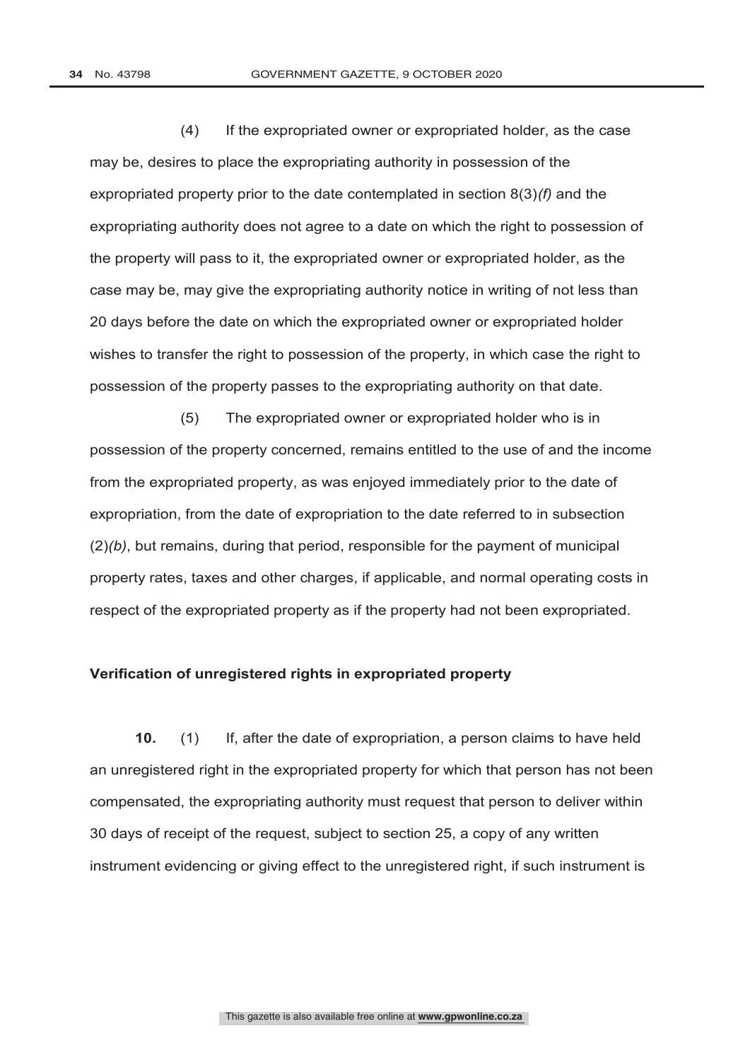(4) If the expropriated owner or expropriated holder, as the case may be, desires to place the expropriating authority in possession of the expropriated property prior to the date contemplated in section 8(3)*(f)* and the expropriating authority does not agree to a date on which the right to possession of the property will pass to it, the expropriated owner or expropriated holder, as the case may be, may give the expropriating authority notice in writing of not less than 20 days before the date on which the expropriated owner or expropriated holder wishes to transfer the right to possession of the property, in which case the right to possession of the property passes to the expropriating authority on that date.

(5) The expropriated owner or expropriated holder who is in possession of the property concerned, remains entitled to the use of and the income from the expropriated property, as was enjoyed immediately prior to the date of expropriation, from the date of expropriation to the date referred to in subsection (2)*(b)*, but remains, during that period, responsible for the payment of municipal property rates, taxes and other charges, if applicable, and normal operating costs in respect of the expropriated property as if the property had not been expropriated.

#### **Verification of unregistered rights in expropriated property**

**10.** (1) If, after the date of expropriation, a person claims to have held an unregistered right in the expropriated property for which that person has not been compensated, the expropriating authority must request that person to deliver within 30 days of receipt of the request, subject to section 25, a copy of any written instrument evidencing or giving effect to the unregistered right, if such instrument is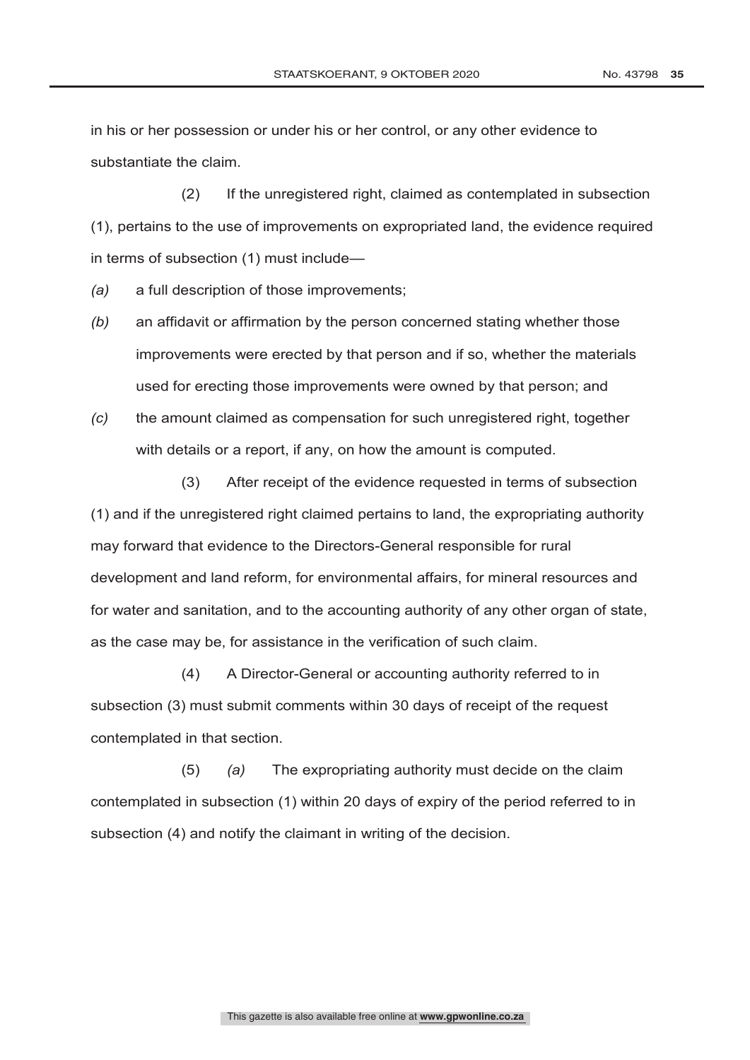in his or her possession or under his or her control, or any other evidence to substantiate the claim.

(2) If the unregistered right, claimed as contemplated in subsection (1), pertains to the use of improvements on expropriated land, the evidence required in terms of subsection (1) must include—

*(a)* a full description of those improvements;

- *(b)* an affidavit or affirmation by the person concerned stating whether those improvements were erected by that person and if so, whether the materials used for erecting those improvements were owned by that person; and
- *(c)* the amount claimed as compensation for such unregistered right, together with details or a report, if any, on how the amount is computed.

(3) After receipt of the evidence requested in terms of subsection (1) and if the unregistered right claimed pertains to land, the expropriating authority may forward that evidence to the Directors-General responsible for rural development and land reform, for environmental affairs, for mineral resources and for water and sanitation, and to the accounting authority of any other organ of state, as the case may be, for assistance in the verification of such claim.

(4) A Director-General or accounting authority referred to in subsection (3) must submit comments within 30 days of receipt of the request contemplated in that section.

(5) *(a)* The expropriating authority must decide on the claim contemplated in subsection (1) within 20 days of expiry of the period referred to in subsection (4) and notify the claimant in writing of the decision.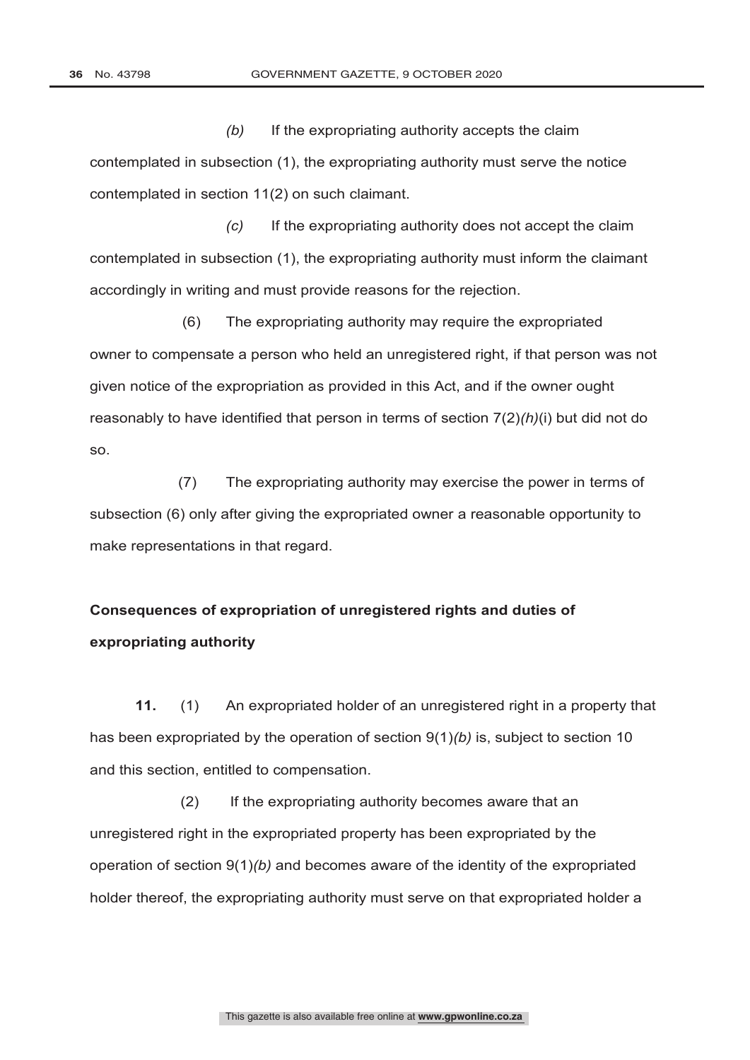*(b)* If the expropriating authority accepts the claim contemplated in subsection (1), the expropriating authority must serve the notice contemplated in section 11(2) on such claimant.

*(c)* If the expropriating authority does not accept the claim contemplated in subsection (1), the expropriating authority must inform the claimant accordingly in writing and must provide reasons for the rejection.

 (6) The expropriating authority may require the expropriated owner to compensate a person who held an unregistered right, if that person was not given notice of the expropriation as provided in this Act, and if the owner ought reasonably to have identified that person in terms of section 7(2)*(h)*(i) but did not do so.

 (7) The expropriating authority may exercise the power in terms of subsection (6) only after giving the expropriated owner a reasonable opportunity to make representations in that regard.

# **Consequences of expropriation of unregistered rights and duties of expropriating authority**

**11.** (1) An expropriated holder of an unregistered right in a property that has been expropriated by the operation of section 9(1)*(b)* is, subject to section 10 and this section, entitled to compensation.

(2) If the expropriating authority becomes aware that an unregistered right in the expropriated property has been expropriated by the operation of section 9(1)*(b)* and becomes aware of the identity of the expropriated holder thereof, the expropriating authority must serve on that expropriated holder a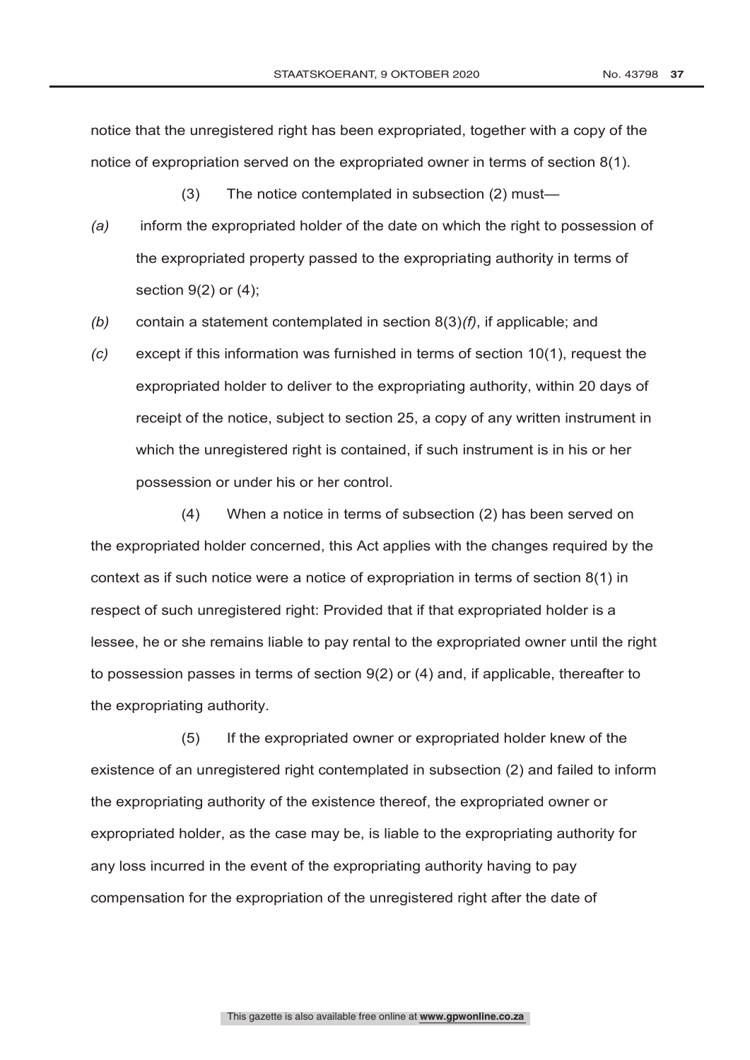notice that the unregistered right has been expropriated, together with a copy of the notice of expropriation served on the expropriated owner in terms of section 8(1).

(3) The notice contemplated in subsection (2) must—

- *(a)* inform the expropriated holder of the date on which the right to possession of the expropriated property passed to the expropriating authority in terms of section 9(2) or (4);
- *(b)* contain a statement contemplated in section 8(3)*(f)*, if applicable; and
- *(c)* except if this information was furnished in terms of section 10(1), request the expropriated holder to deliver to the expropriating authority, within 20 days of receipt of the notice, subject to section 25, a copy of any written instrument in which the unregistered right is contained, if such instrument is in his or her possession or under his or her control.

(4) When a notice in terms of subsection (2) has been served on the expropriated holder concerned, this Act applies with the changes required by the context as if such notice were a notice of expropriation in terms of section 8(1) in respect of such unregistered right: Provided that if that expropriated holder is a lessee, he or she remains liable to pay rental to the expropriated owner until the right to possession passes in terms of section 9(2) or (4) and, if applicable, thereafter to the expropriating authority.

(5) If the expropriated owner or expropriated holder knew of the existence of an unregistered right contemplated in subsection (2) and failed to inform the expropriating authority of the existence thereof, the expropriated owner or expropriated holder, as the case may be, is liable to the expropriating authority for any loss incurred in the event of the expropriating authority having to pay compensation for the expropriation of the unregistered right after the date of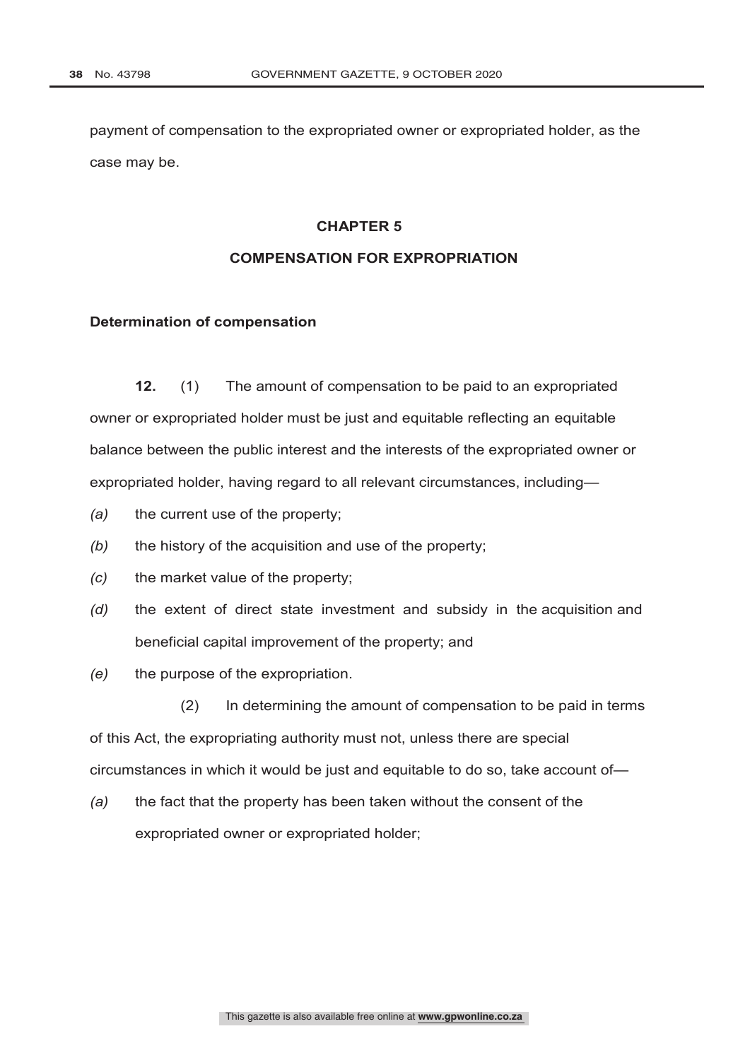payment of compensation to the expropriated owner or expropriated holder, as the case may be.

#### **CHAPTER 5**

# **COMPENSATION FOR EXPROPRIATION**

# **Determination of compensation**

**12.** (1) The amount of compensation to be paid to an expropriated owner or expropriated holder must be just and equitable reflecting an equitable balance between the public interest and the interests of the expropriated owner or expropriated holder, having regard to all relevant circumstances, including—

- *(a)* the current use of the property;
- *(b)* the history of the acquisition and use of the property;
- *(c)* the market value of the property;
- *(d)* the extent of direct state investment and subsidy in the acquisition and beneficial capital improvement of the property; and
- *(e)* the purpose of the expropriation.

(2) In determining the amount of compensation to be paid in terms of this Act, the expropriating authority must not, unless there are special circumstances in which it would be just and equitable to do so, take account of—

*(a)* the fact that the property has been taken without the consent of the expropriated owner or expropriated holder;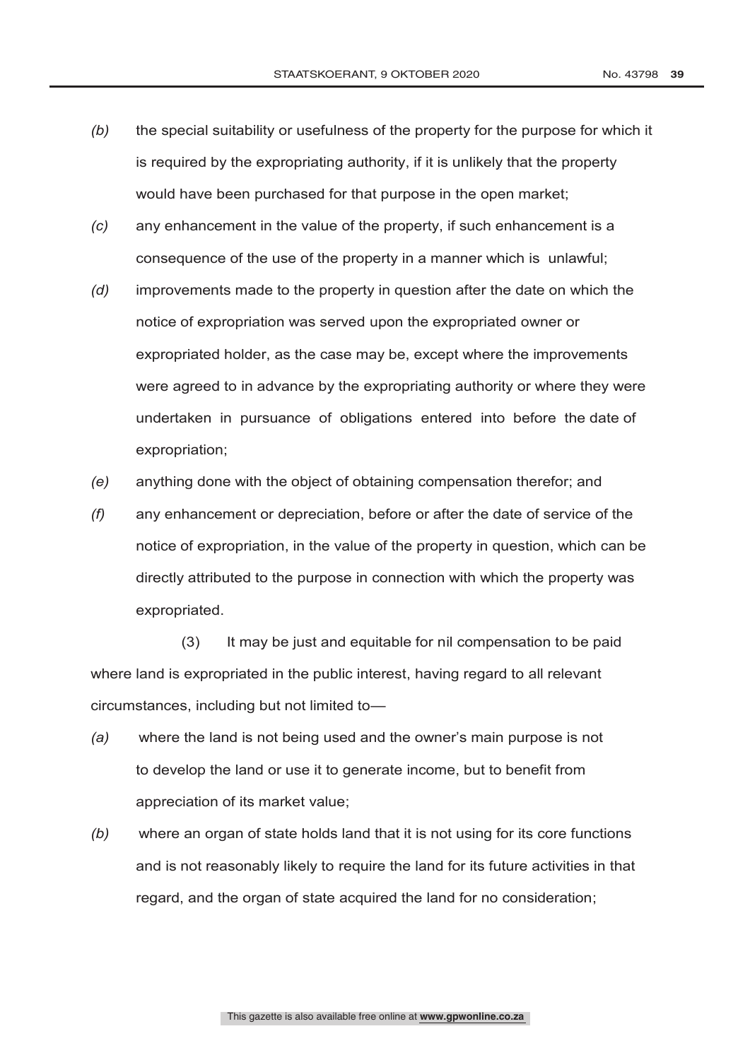- *(b)* the special suitability or usefulness of the property for the purpose for which it is required by the expropriating authority, if it is unlikely that the property would have been purchased for that purpose in the open market;
- *(c)* any enhancement in the value of the property, if such enhancement is a consequence of the use of the property in a manner which is unlawful;
- *(d)* improvements made to the property in question after the date on which the notice of expropriation was served upon the expropriated owner or expropriated holder, as the case may be, except where the improvements were agreed to in advance by the expropriating authority or where they were undertaken in pursuance of obligations entered into before the date of expropriation;
- *(e)* anything done with the object of obtaining compensation therefor; and
- *(f)* any enhancement or depreciation, before or after the date of service of the notice of expropriation, in the value of the property in question, which can be directly attributed to the purpose in connection with which the property was expropriated.

(3) It may be just and equitable for nil compensation to be paid where land is expropriated in the public interest, having regard to all relevant circumstances, including but not limited to—

- *(a)* where the land is not being used and the owner's main purpose is not to develop the land or use it to generate income, but to benefit from appreciation of its market value;
- *(b)* where an organ of state holds land that it is not using for its core functions and is not reasonably likely to require the land for its future activities in that regard, and the organ of state acquired the land for no consideration;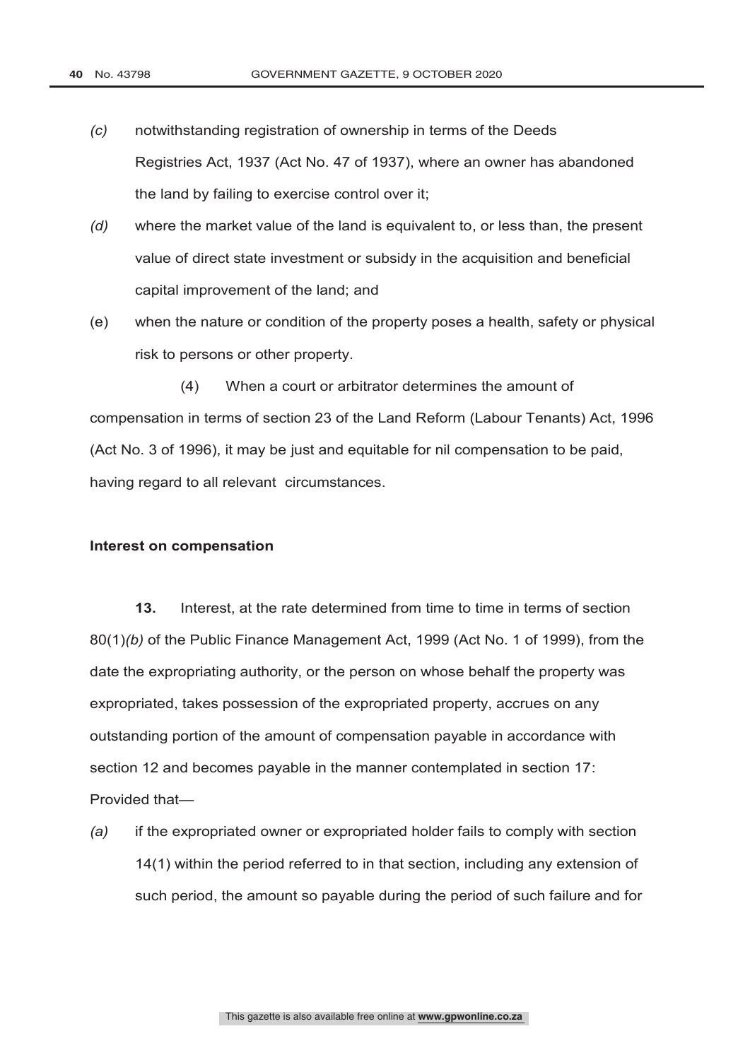- *(c)* notwithstanding registration of ownership in terms of the Deeds Registries Act, 1937 (Act No. 47 of 1937), where an owner has abandoned the land by failing to exercise control over it;
- *(d)* where the market value of the land is equivalent to, or less than, the present value of direct state investment or subsidy in the acquisition and beneficial capital improvement of the land; and
- (e) when the nature or condition of the property poses a health, safety or physical risk to persons or other property.

(4) When a court or arbitrator determines the amount of compensation in terms of section 23 of the Land Reform (Labour Tenants) Act, 1996 (Act No. 3 of 1996), it may be just and equitable for nil compensation to be paid, having regard to all relevant circumstances.

#### **Interest on compensation**

**13.** Interest, at the rate determined from time to time in terms of section 80(1)*(b)* of the Public Finance Management Act, 1999 (Act No. 1 of 1999), from the date the expropriating authority, or the person on whose behalf the property was expropriated, takes possession of the expropriated property, accrues on any outstanding portion of the amount of compensation payable in accordance with section 12 and becomes payable in the manner contemplated in section 17: Provided that—

*(a)* if the expropriated owner or expropriated holder fails to comply with section 14(1) within the period referred to in that section, including any extension of such period, the amount so payable during the period of such failure and for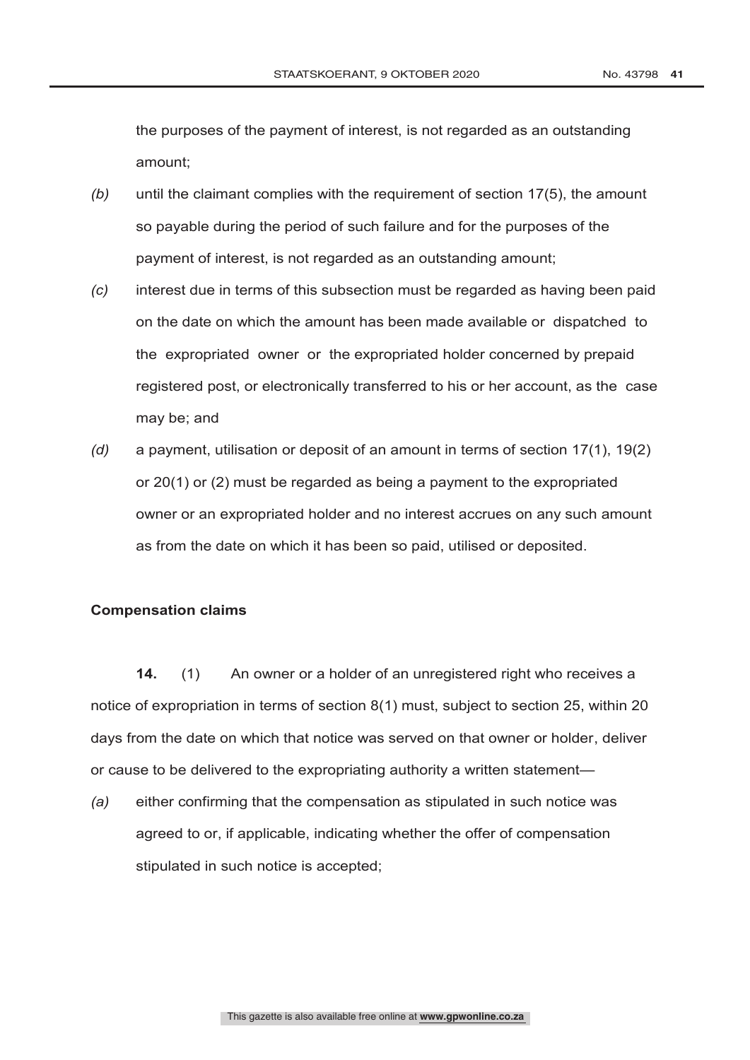the purposes of the payment of interest, is not regarded as an outstanding amount;

- *(b)* until the claimant complies with the requirement of section 17(5), the amount so payable during the period of such failure and for the purposes of the payment of interest, is not regarded as an outstanding amount;
- *(c)* interest due in terms of this subsection must be regarded as having been paid on the date on which the amount has been made available or dispatched to the expropriated owner or the expropriated holder concerned by prepaid registered post, or electronically transferred to his or her account, as the case may be; and
- *(d)* a payment, utilisation or deposit of an amount in terms of section 17(1), 19(2) or 20(1) or (2) must be regarded as being a payment to the expropriated owner or an expropriated holder and no interest accrues on any such amount as from the date on which it has been so paid, utilised or deposited.

# **Compensation claims**

**14.** (1) An owner or a holder of an unregistered right who receives a notice of expropriation in terms of section 8(1) must, subject to section 25, within 20 days from the date on which that notice was served on that owner or holder, deliver or cause to be delivered to the expropriating authority a written statement—

*(a)* either confirming that the compensation as stipulated in such notice was agreed to or, if applicable, indicating whether the offer of compensation stipulated in such notice is accepted;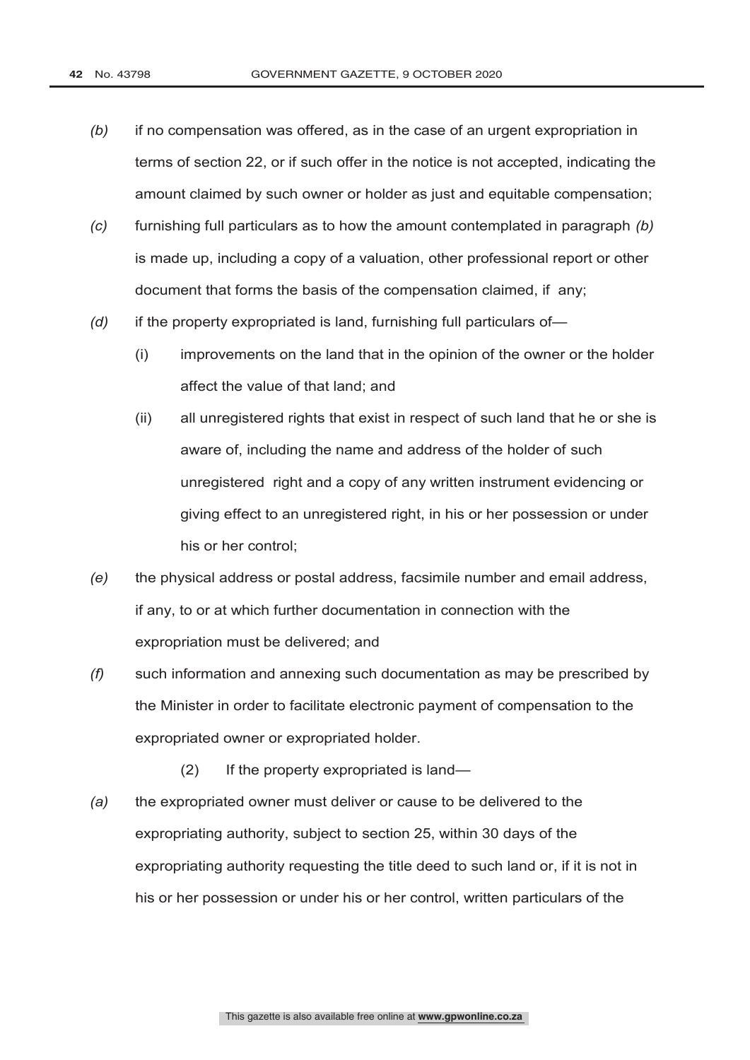- *(b)* if no compensation was offered, as in the case of an urgent expropriation in terms of section 22, or if such offer in the notice is not accepted, indicating the amount claimed by such owner or holder as just and equitable compensation;
- *(c)* furnishing full particulars as to how the amount contemplated in paragraph *(b)* is made up, including a copy of a valuation, other professional report or other document that forms the basis of the compensation claimed, if any;
- *(d)* if the property expropriated is land, furnishing full particulars of—
	- (i) improvements on the land that in the opinion of the owner or the holder affect the value of that land; and
	- (ii) all unregistered rights that exist in respect of such land that he or she is aware of, including the name and address of the holder of such unregistered right and a copy of any written instrument evidencing or giving effect to an unregistered right, in his or her possession or under his or her control;
- *(e)* the physical address or postal address, facsimile number and email address, if any, to or at which further documentation in connection with the expropriation must be delivered; and
- *(f)* such information and annexing such documentation as may be prescribed by the Minister in order to facilitate electronic payment of compensation to the expropriated owner or expropriated holder.
	- (2) If the property expropriated is land—
- *(a)* the expropriated owner must deliver or cause to be delivered to the expropriating authority, subject to section 25, within 30 days of the expropriating authority requesting the title deed to such land or, if it is not in his or her possession or under his or her control, written particulars of the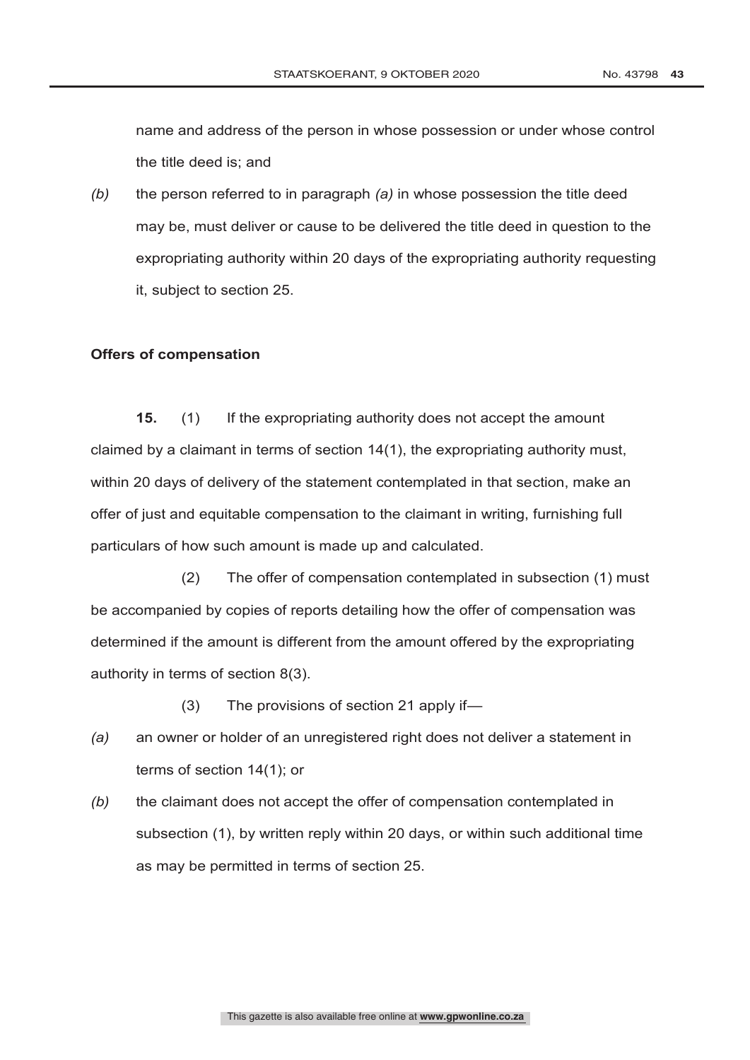name and address of the person in whose possession or under whose control the title deed is; and

*(b)* the person referred to in paragraph *(a)* in whose possession the title deed may be, must deliver or cause to be delivered the title deed in question to the expropriating authority within 20 days of the expropriating authority requesting it, subject to section 25.

# **Offers of compensation**

**15.** (1) If the expropriating authority does not accept the amount claimed by a claimant in terms of section 14(1), the expropriating authority must, within 20 days of delivery of the statement contemplated in that section, make an offer of just and equitable compensation to the claimant in writing, furnishing full particulars of how such amount is made up and calculated.

(2) The offer of compensation contemplated in subsection (1) must be accompanied by copies of reports detailing how the offer of compensation was determined if the amount is different from the amount offered by the expropriating authority in terms of section 8(3).

(3) The provisions of section 21 apply if—

- *(a)* an owner or holder of an unregistered right does not deliver a statement in terms of section 14(1); or
- *(b)* the claimant does not accept the offer of compensation contemplated in subsection (1), by written reply within 20 days, or within such additional time as may be permitted in terms of section 25.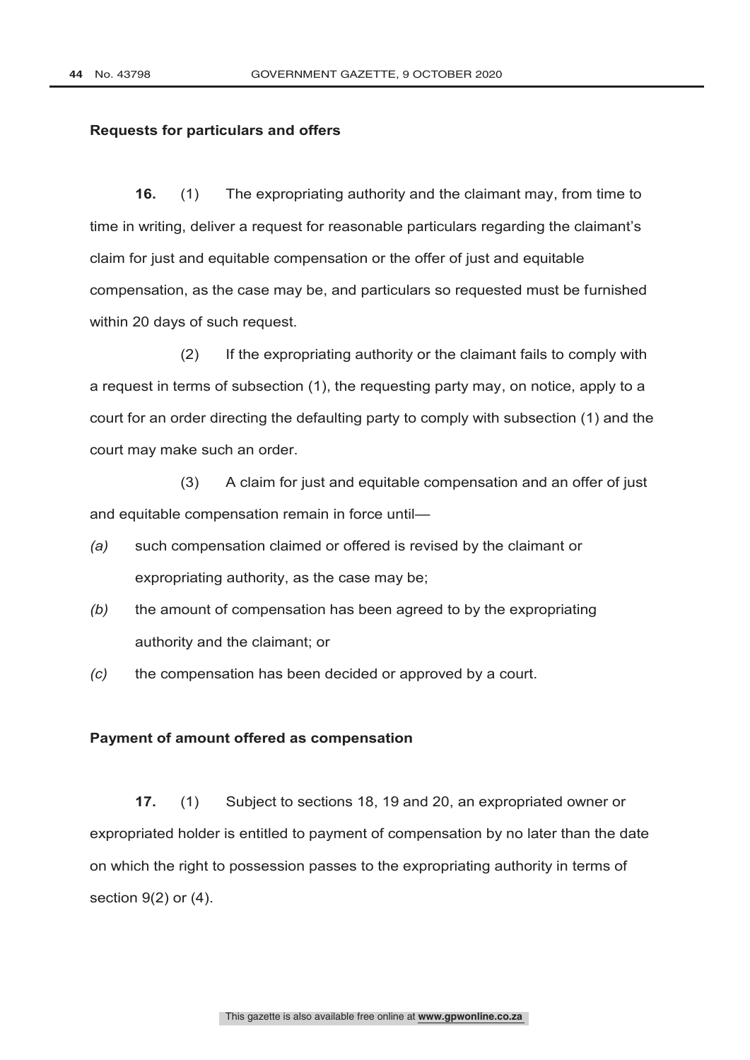#### **Requests for particulars and offers**

**16.** (1) The expropriating authority and the claimant may, from time to time in writing, deliver a request for reasonable particulars regarding the claimant's claim for just and equitable compensation or the offer of just and equitable compensation, as the case may be, and particulars so requested must be furnished within 20 days of such request.

(2) If the expropriating authority or the claimant fails to comply with a request in terms of subsection (1), the requesting party may, on notice, apply to a court for an order directing the defaulting party to comply with subsection (1) and the court may make such an order.

(3) A claim for just and equitable compensation and an offer of just and equitable compensation remain in force until—

- *(a)* such compensation claimed or offered is revised by the claimant or expropriating authority, as the case may be;
- *(b)* the amount of compensation has been agreed to by the expropriating authority and the claimant; or
- *(c)* the compensation has been decided or approved by a court.

# **Payment of amount offered as compensation**

**17.** (1) Subject to sections 18, 19 and 20, an expropriated owner or expropriated holder is entitled to payment of compensation by no later than the date on which the right to possession passes to the expropriating authority in terms of section 9(2) or (4).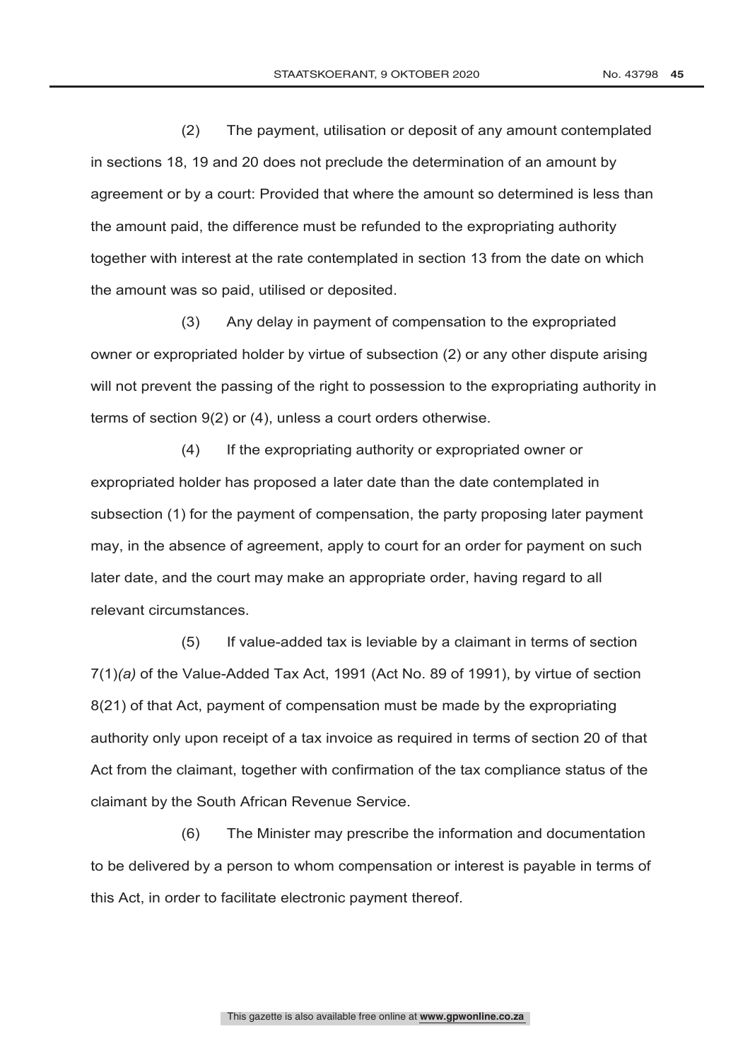(2) The payment, utilisation or deposit of any amount contemplated in sections 18, 19 and 20 does not preclude the determination of an amount by agreement or by a court: Provided that where the amount so determined is less than the amount paid, the difference must be refunded to the expropriating authority together with interest at the rate contemplated in section 13 from the date on which the amount was so paid, utilised or deposited.

(3) Any delay in payment of compensation to the expropriated owner or expropriated holder by virtue of subsection (2) or any other dispute arising will not prevent the passing of the right to possession to the expropriating authority in terms of section 9(2) or (4), unless a court orders otherwise.

(4) If the expropriating authority or expropriated owner or expropriated holder has proposed a later date than the date contemplated in subsection (1) for the payment of compensation, the party proposing later payment may, in the absence of agreement, apply to court for an order for payment on such later date, and the court may make an appropriate order, having regard to all relevant circumstances.

(5) If value-added tax is leviable by a claimant in terms of section 7(1)*(a)* of the Value-Added Tax Act, 1991 (Act No. 89 of 1991), by virtue of section 8(21) of that Act, payment of compensation must be made by the expropriating authority only upon receipt of a tax invoice as required in terms of section 20 of that Act from the claimant, together with confirmation of the tax compliance status of the claimant by the South African Revenue Service.

(6) The Minister may prescribe the information and documentation to be delivered by a person to whom compensation or interest is payable in terms of this Act, in order to facilitate electronic payment thereof.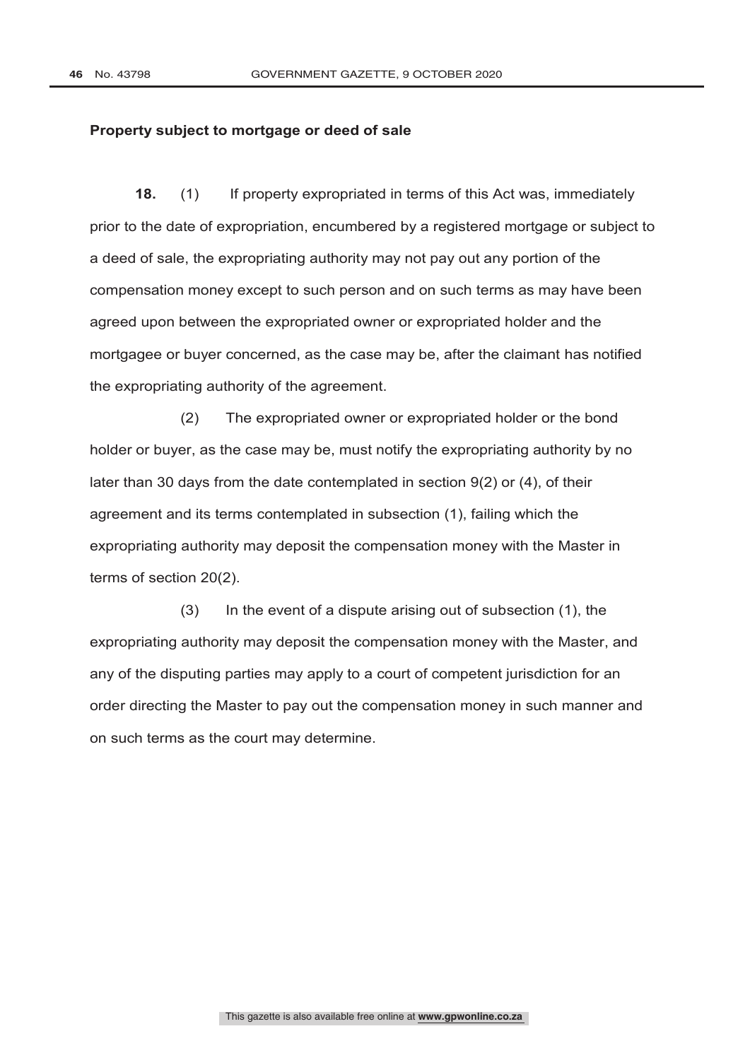#### **Property subject to mortgage or deed of sale**

**18.** (1) If property expropriated in terms of this Act was, immediately prior to the date of expropriation, encumbered by a registered mortgage or subject to a deed of sale, the expropriating authority may not pay out any portion of the compensation money except to such person and on such terms as may have been agreed upon between the expropriated owner or expropriated holder and the mortgagee or buyer concerned, as the case may be, after the claimant has notified the expropriating authority of the agreement.

(2) The expropriated owner or expropriated holder or the bond holder or buyer, as the case may be, must notify the expropriating authority by no later than 30 days from the date contemplated in section 9(2) or (4), of their agreement and its terms contemplated in subsection (1), failing which the expropriating authority may deposit the compensation money with the Master in terms of section 20(2).

(3) In the event of a dispute arising out of subsection (1), the expropriating authority may deposit the compensation money with the Master, and any of the disputing parties may apply to a court of competent jurisdiction for an order directing the Master to pay out the compensation money in such manner and on such terms as the court may determine.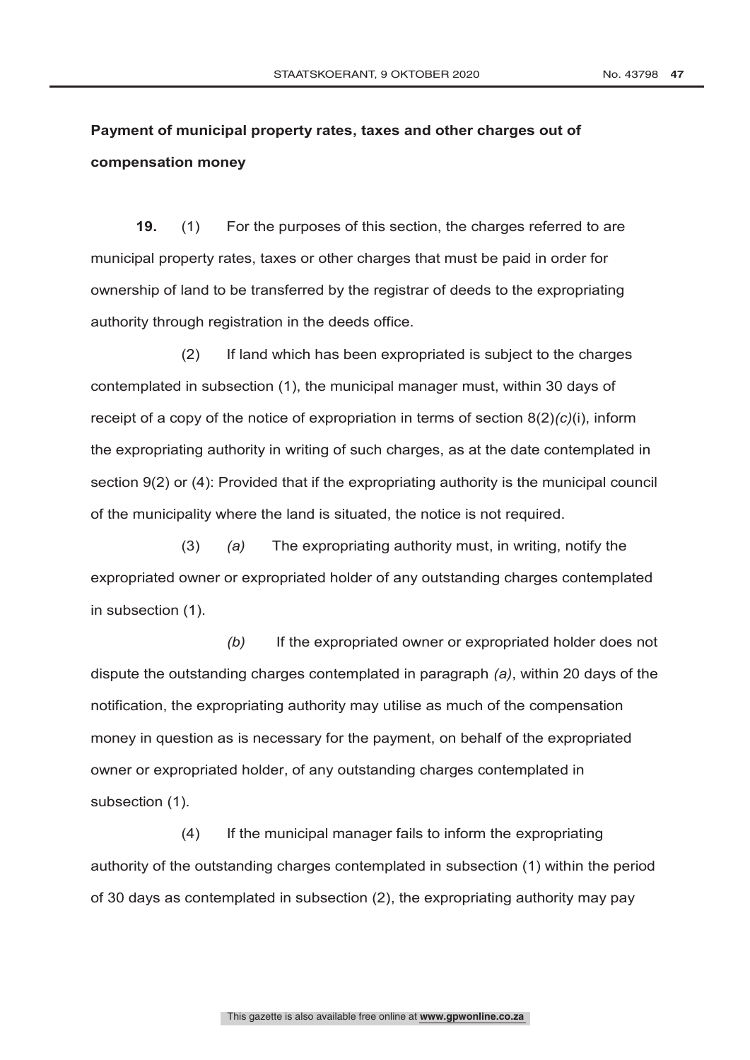STAATSKOERANT, 9 OKTOBER 2020 No. 43798 47

 $\overline{a}$ 

# **Payment of municipal property rates, taxes and other charges out of compensation money**

**19.** (1) For the purposes of this section, the charges referred to are municipal property rates, taxes or other charges that must be paid in order for ownership of land to be transferred by the registrar of deeds to the expropriating authority through registration in the deeds office.

(2) If land which has been expropriated is subject to the charges contemplated in subsection (1), the municipal manager must, within 30 days of receipt of a copy of the notice of expropriation in terms of section 8(2)*(c)*(i), inform the expropriating authority in writing of such charges, as at the date contemplated in section 9(2) or (4): Provided that if the expropriating authority is the municipal council of the municipality where the land is situated, the notice is not required.

(3) *(a)* The expropriating authority must, in writing, notify the expropriated owner or expropriated holder of any outstanding charges contemplated in subsection (1).

*(b)* If the expropriated owner or expropriated holder does not dispute the outstanding charges contemplated in paragraph *(a)*, within 20 days of the notification, the expropriating authority may utilise as much of the compensation money in question as is necessary for the payment, on behalf of the expropriated owner or expropriated holder, of any outstanding charges contemplated in subsection (1).

(4) If the municipal manager fails to inform the expropriating authority of the outstanding charges contemplated in subsection (1) within the period of 30 days as contemplated in subsection (2), the expropriating authority may pay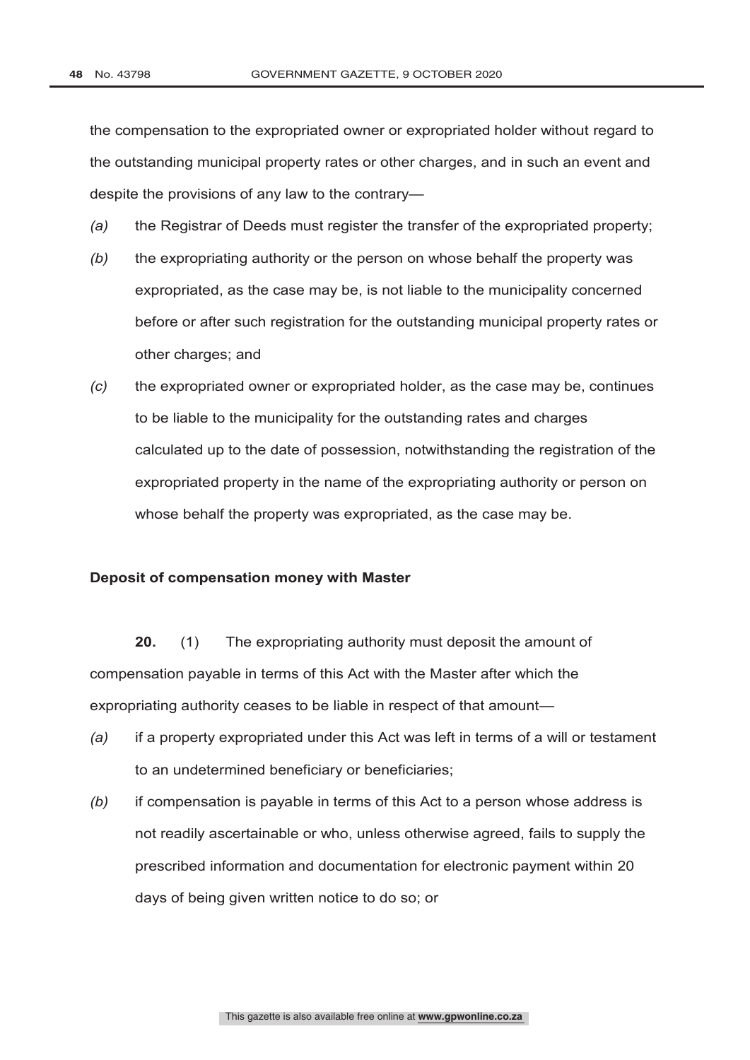the compensation to the expropriated owner or expropriated holder without regard to the outstanding municipal property rates or other charges, and in such an event and despite the provisions of any law to the contrary—

- *(a)* the Registrar of Deeds must register the transfer of the expropriated property;
- *(b)* the expropriating authority or the person on whose behalf the property was expropriated, as the case may be, is not liable to the municipality concerned before or after such registration for the outstanding municipal property rates or other charges; and
- *(c)* the expropriated owner or expropriated holder, as the case may be, continues to be liable to the municipality for the outstanding rates and charges calculated up to the date of possession, notwithstanding the registration of the expropriated property in the name of the expropriating authority or person on whose behalf the property was expropriated, as the case may be.

#### **Deposit of compensation money with Master**

**20.** (1) The expropriating authority must deposit the amount of compensation payable in terms of this Act with the Master after which the expropriating authority ceases to be liable in respect of that amount—

- *(a)* if a property expropriated under this Act was left in terms of a will or testament to an undetermined beneficiary or beneficiaries;
- *(b)* if compensation is payable in terms of this Act to a person whose address is not readily ascertainable or who, unless otherwise agreed, fails to supply the prescribed information and documentation for electronic payment within 20 days of being given written notice to do so; or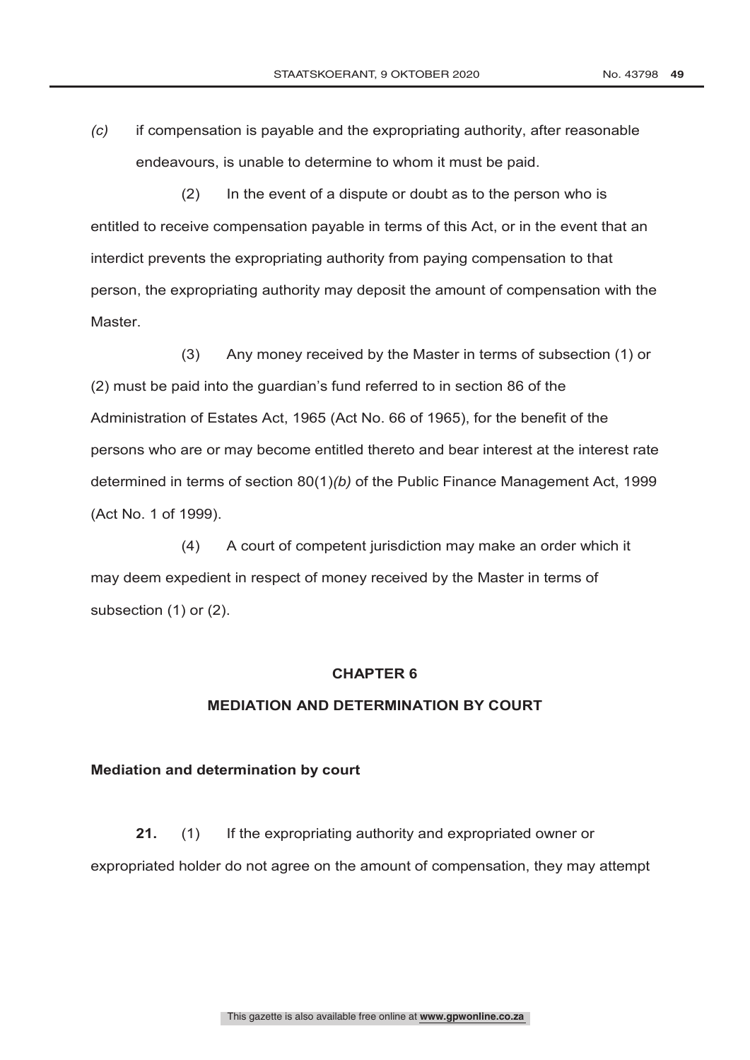*(c)* if compensation is payable and the expropriating authority, after reasonable endeavours, is unable to determine to whom it must be paid.

(2) In the event of a dispute or doubt as to the person who is entitled to receive compensation payable in terms of this Act, or in the event that an interdict prevents the expropriating authority from paying compensation to that person, the expropriating authority may deposit the amount of compensation with the Master.

(3) Any money received by the Master in terms of subsection (1) or (2) must be paid into the guardian's fund referred to in section 86 of the Administration of Estates Act, 1965 (Act No. 66 of 1965), for the benefit of the persons who are or may become entitled thereto and bear interest at the interest rate determined in terms of section 80(1)*(b)* of the Public Finance Management Act, 1999 (Act No. 1 of 1999).

(4) A court of competent jurisdiction may make an order which it may deem expedient in respect of money received by the Master in terms of subsection (1) or (2).

# **CHAPTER 6**

#### **MEDIATION AND DETERMINATION BY COURT**

#### **Mediation and determination by court**

**21.** (1) If the expropriating authority and expropriated owner or expropriated holder do not agree on the amount of compensation, they may attempt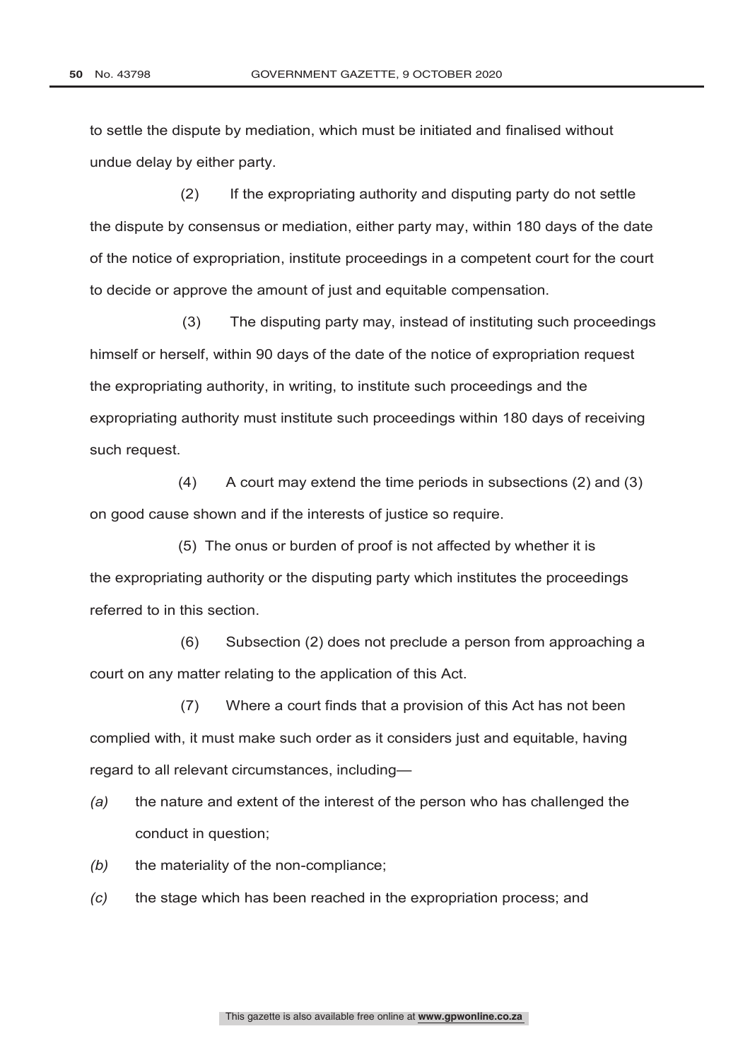to settle the dispute by mediation, which must be initiated and finalised without undue delay by either party.

(2) If the expropriating authority and disputing party do not settle the dispute by consensus or mediation, either party may, within 180 days of the date of the notice of expropriation, institute proceedings in a competent court for the court to decide or approve the amount of just and equitable compensation.

 (3) The disputing party may, instead of instituting such proceedings himself or herself, within 90 days of the date of the notice of expropriation request the expropriating authority, in writing, to institute such proceedings and the expropriating authority must institute such proceedings within 180 days of receiving such request.

 (4) A court may extend the time periods in subsections (2) and (3) on good cause shown and if the interests of justice so require.

 (5) The onus or burden of proof is not affected by whether it is the expropriating authority or the disputing party which institutes the proceedings referred to in this section.

(6) Subsection (2) does not preclude a person from approaching a court on any matter relating to the application of this Act.

(7) Where a court finds that a provision of this Act has not been complied with, it must make such order as it considers just and equitable, having regard to all relevant circumstances, including—

- *(a)* the nature and extent of the interest of the person who has challenged the conduct in question;
- *(b)* the materiality of the non-compliance;
- *(c)* the stage which has been reached in the expropriation process; and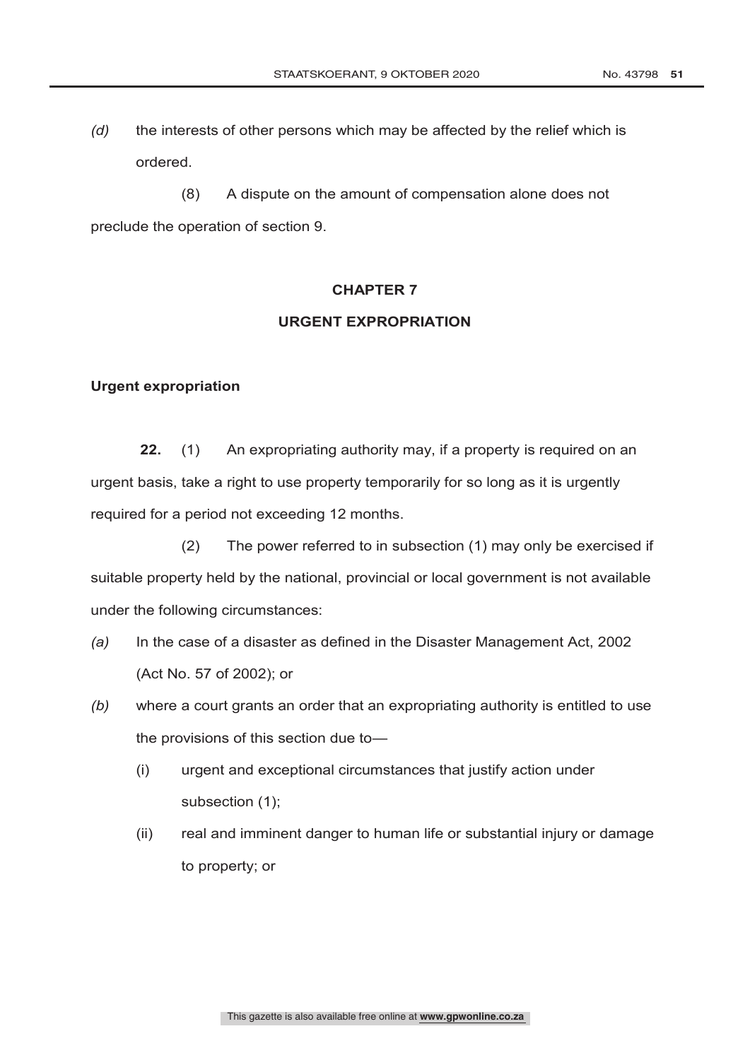*(d)* the interests of other persons which may be affected by the relief which is ordered.

(8) A dispute on the amount of compensation alone does not preclude the operation of section 9.

# **CHAPTER 7**

#### **URGENT EXPROPRIATION**

# **Urgent expropriation**

**22.** (1) An expropriating authority may, if a property is required on an urgent basis, take a right to use property temporarily for so long as it is urgently required for a period not exceeding 12 months.

(2) The power referred to in subsection (1) may only be exercised if suitable property held by the national, provincial or local government is not available under the following circumstances:

- *(a)* In the case of a disaster as defined in the Disaster Management Act, 2002 (Act No. 57 of 2002); or
- *(b)* where a court grants an order that an expropriating authority is entitled to use the provisions of this section due to—
	- (i) urgent and exceptional circumstances that justify action under subsection (1);
	- (ii) real and imminent danger to human life or substantial injury or damage to property; or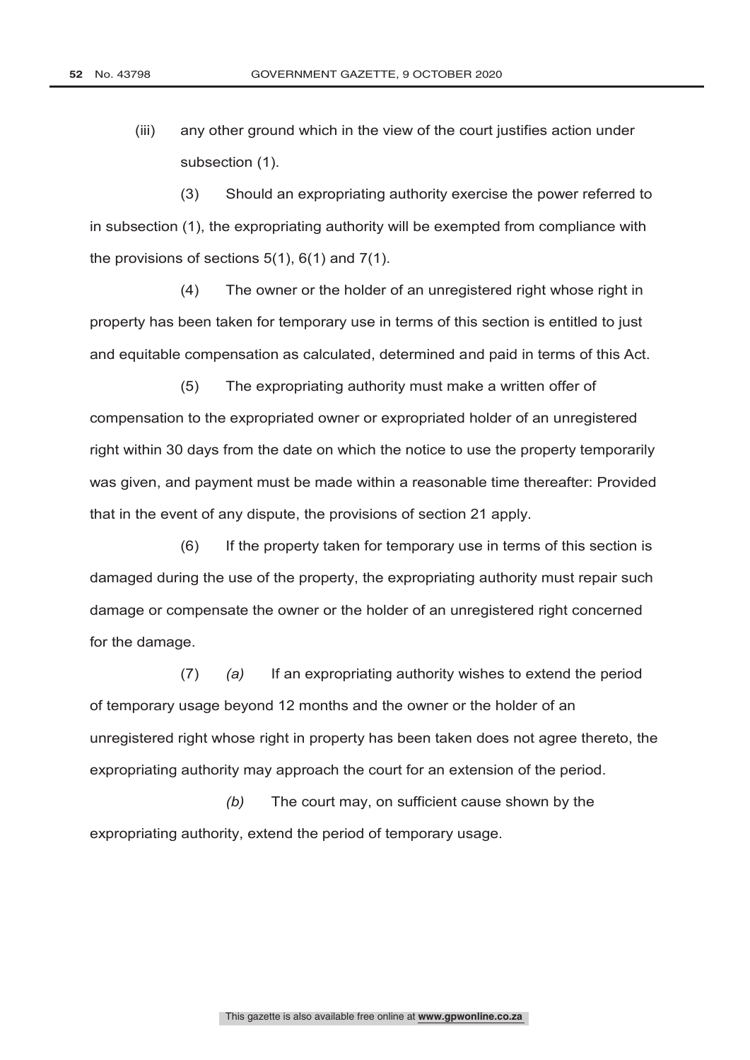(iii) any other ground which in the view of the court justifies action under subsection (1).

(3) Should an expropriating authority exercise the power referred to in subsection (1), the expropriating authority will be exempted from compliance with the provisions of sections 5(1), 6(1) and 7(1).

(4) The owner or the holder of an unregistered right whose right in property has been taken for temporary use in terms of this section is entitled to just and equitable compensation as calculated, determined and paid in terms of this Act.

(5) The expropriating authority must make a written offer of compensation to the expropriated owner or expropriated holder of an unregistered right within 30 days from the date on which the notice to use the property temporarily was given, and payment must be made within a reasonable time thereafter: Provided that in the event of any dispute, the provisions of section 21 apply.

(6) If the property taken for temporary use in terms of this section is damaged during the use of the property, the expropriating authority must repair such damage or compensate the owner or the holder of an unregistered right concerned for the damage.

(7) *(a)* If an expropriating authority wishes to extend the period of temporary usage beyond 12 months and the owner or the holder of an unregistered right whose right in property has been taken does not agree thereto, the expropriating authority may approach the court for an extension of the period.

*(b)* The court may, on sufficient cause shown by the expropriating authority, extend the period of temporary usage.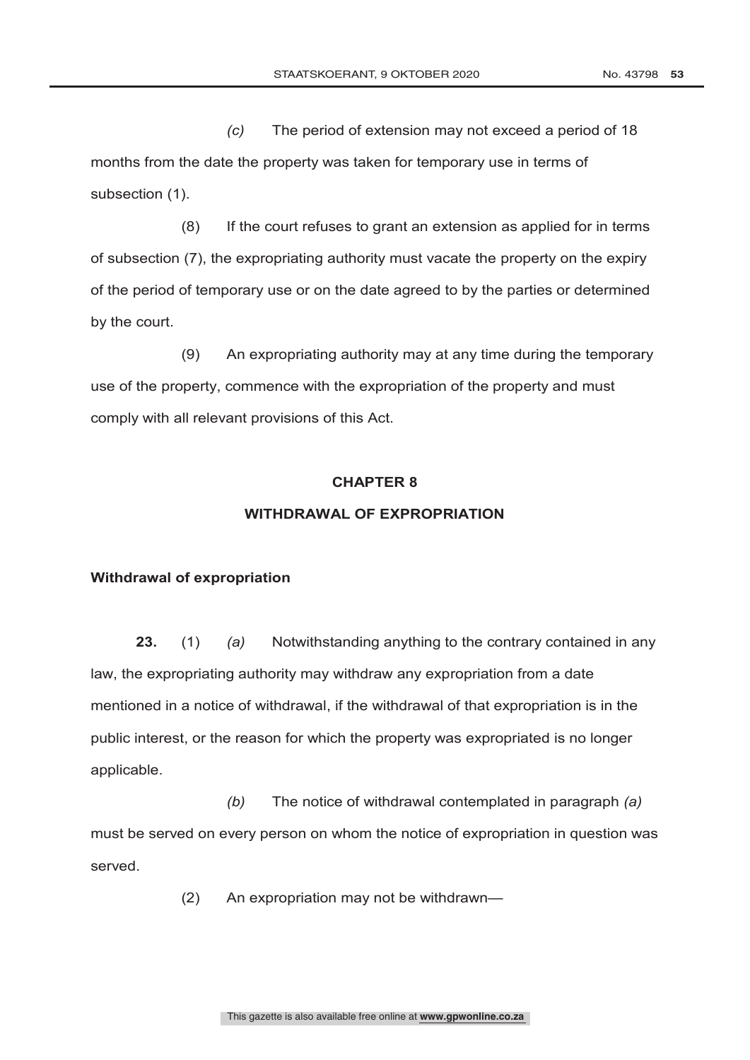*(c)* The period of extension may not exceed a period of 18 months from the date the property was taken for temporary use in terms of subsection (1).

(8) If the court refuses to grant an extension as applied for in terms of subsection (7), the expropriating authority must vacate the property on the expiry of the period of temporary use or on the date agreed to by the parties or determined by the court.

(9) An expropriating authority may at any time during the temporary use of the property, commence with the expropriation of the property and must comply with all relevant provisions of this Act.

#### **CHAPTER 8**

#### **WITHDRAWAL OF EXPROPRIATION**

#### **Withdrawal of expropriation**

**23.** (1) *(a)* Notwithstanding anything to the contrary contained in any law, the expropriating authority may withdraw any expropriation from a date mentioned in a notice of withdrawal, if the withdrawal of that expropriation is in the public interest, or the reason for which the property was expropriated is no longer applicable.

*(b)* The notice of withdrawal contemplated in paragraph *(a)* must be served on every person on whom the notice of expropriation in question was served.

(2) An expropriation may not be withdrawn—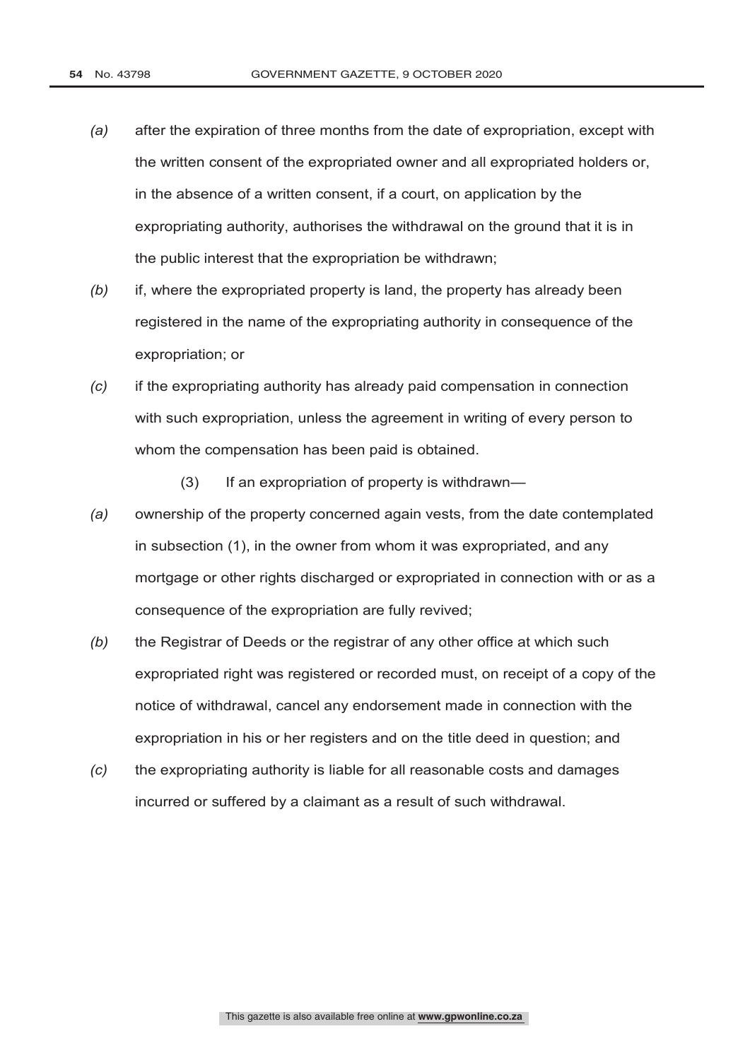- *(a)* after the expiration of three months from the date of expropriation, except with the written consent of the expropriated owner and all expropriated holders or, in the absence of a written consent, if a court, on application by the expropriating authority, authorises the withdrawal on the ground that it is in the public interest that the expropriation be withdrawn;
- *(b)* if, where the expropriated property is land, the property has already been registered in the name of the expropriating authority in consequence of the expropriation; or
- *(c)* if the expropriating authority has already paid compensation in connection with such expropriation, unless the agreement in writing of every person to whom the compensation has been paid is obtained.
	- (3) If an expropriation of property is withdrawn—
- *(a)* ownership of the property concerned again vests, from the date contemplated in subsection (1), in the owner from whom it was expropriated, and any mortgage or other rights discharged or expropriated in connection with or as a consequence of the expropriation are fully revived;
- *(b)* the Registrar of Deeds or the registrar of any other office at which such expropriated right was registered or recorded must, on receipt of a copy of the notice of withdrawal, cancel any endorsement made in connection with the expropriation in his or her registers and on the title deed in question; and
- *(c)* the expropriating authority is liable for all reasonable costs and damages incurred or suffered by a claimant as a result of such withdrawal.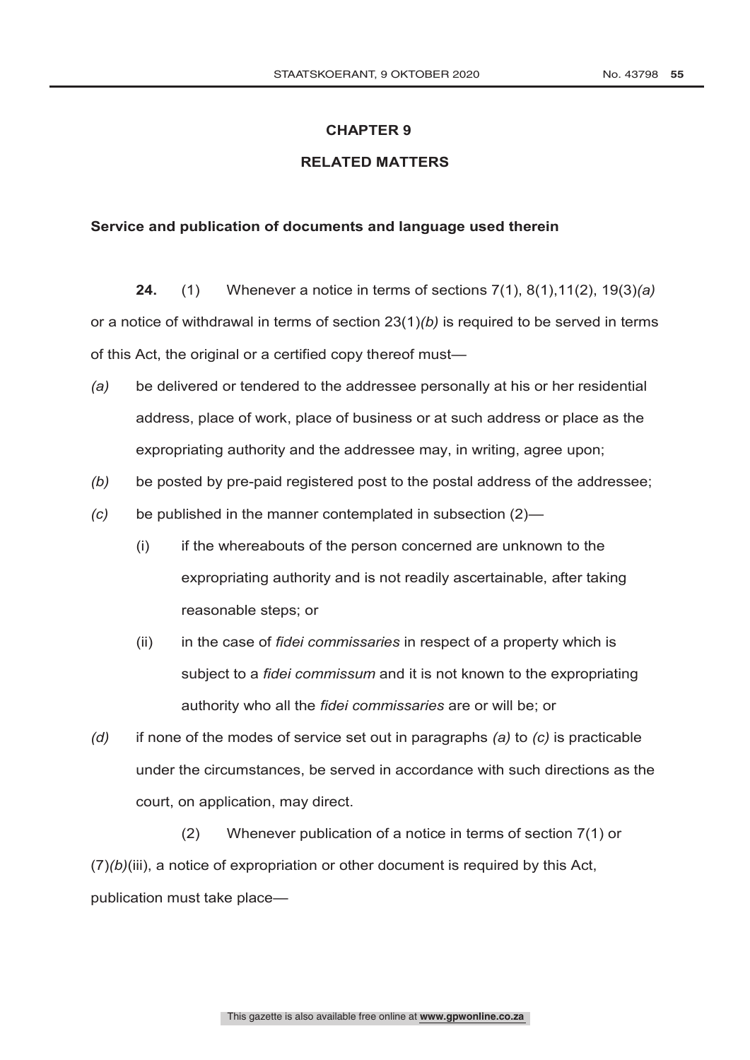#### **CHAPTER 9**

# **RELATED MATTERS**

# **Service and publication of documents and language used therein**

**24.** (1) Whenever a notice in terms of sections 7(1), 8(1),11(2), 19(3)*(a)* or a notice of withdrawal in terms of section 23(1)*(b)* is required to be served in terms of this Act, the original or a certified copy thereof must—

- *(a)* be delivered or tendered to the addressee personally at his or her residential address, place of work, place of business or at such address or place as the expropriating authority and the addressee may, in writing, agree upon;
- *(b)* be posted by pre-paid registered post to the postal address of the addressee;
- *(c)* be published in the manner contemplated in subsection (2)—
	- (i) if the whereabouts of the person concerned are unknown to the expropriating authority and is not readily ascertainable, after taking reasonable steps; or
	- (ii) in the case of *fidei commissaries* in respect of a property which is subject to a *fidei commissum* and it is not known to the expropriating authority who all the *fidei commissaries* are or will be; or
- *(d)* if none of the modes of service set out in paragraphs *(a)* to *(c)* is practicable under the circumstances, be served in accordance with such directions as the court, on application, may direct.

(2) Whenever publication of a notice in terms of section 7(1) or (7)*(b)*(iii), a notice of expropriation or other document is required by this Act, publication must take place—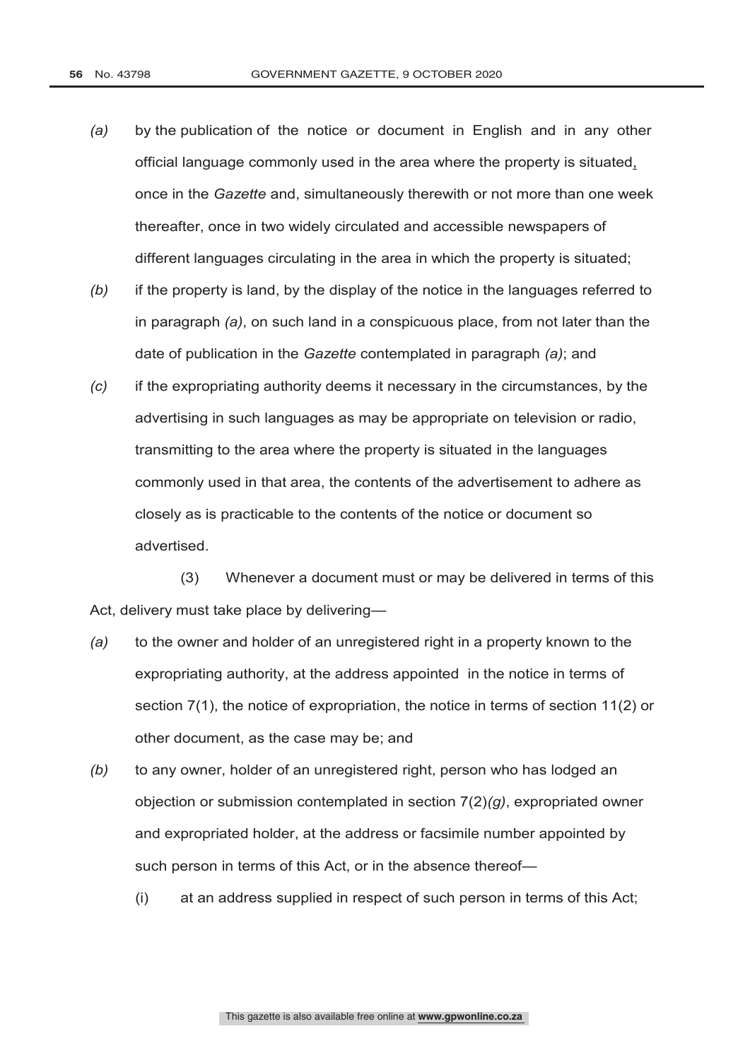- *(a)* by the publication of the notice or document in English and in any other official language commonly used in the area where the property is situated, once in the *Gazette* and, simultaneously therewith or not more than one week thereafter, once in two widely circulated and accessible newspapers of different languages circulating in the area in which the property is situated;
- *(b)* if the property is land, by the display of the notice in the languages referred to in paragraph *(a)*, on such land in a conspicuous place, from not later than the date of publication in the *Gazette* contemplated in paragraph *(a)*; and
- *(c)* if the expropriating authority deems it necessary in the circumstances, by the advertising in such languages as may be appropriate on television or radio, transmitting to the area where the property is situated in the languages commonly used in that area, the contents of the advertisement to adhere as closely as is practicable to the contents of the notice or document so advertised.

(3) Whenever a document must or may be delivered in terms of this Act, delivery must take place by delivering—

- *(a)* to the owner and holder of an unregistered right in a property known to the expropriating authority, at the address appointed in the notice in terms of section 7(1), the notice of expropriation, the notice in terms of section 11(2) or other document, as the case may be; and
- *(b)* to any owner, holder of an unregistered right, person who has lodged an objection or submission contemplated in section 7(2)*(g)*, expropriated owner and expropriated holder, at the address or facsimile number appointed by such person in terms of this Act, or in the absence thereof—
	- (i) at an address supplied in respect of such person in terms of this Act;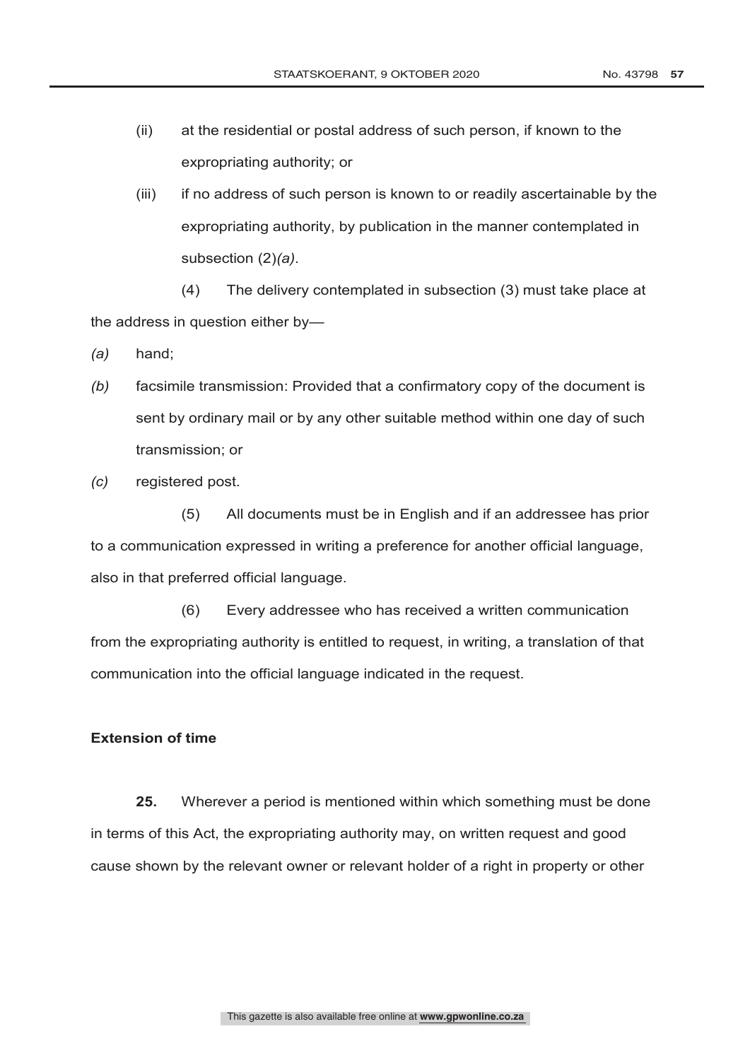- (ii) at the residential or postal address of such person, if known to the expropriating authority; or
- (iii) if no address of such person is known to or readily ascertainable by the expropriating authority, by publication in the manner contemplated in subsection (2)*(a)*.

(4) The delivery contemplated in subsection (3) must take place at the address in question either by—

- *(a)* hand;
- *(b)* facsimile transmission: Provided that a confirmatory copy of the document is sent by ordinary mail or by any other suitable method within one day of such transmission; or
- *(c)* registered post.

(5) All documents must be in English and if an addressee has prior to a communication expressed in writing a preference for another official language, also in that preferred official language.

(6) Every addressee who has received a written communication from the expropriating authority is entitled to request, in writing, a translation of that communication into the official language indicated in the request.

# **Extension of time**

**25.** Wherever a period is mentioned within which something must be done in terms of this Act, the expropriating authority may, on written request and good cause shown by the relevant owner or relevant holder of a right in property or other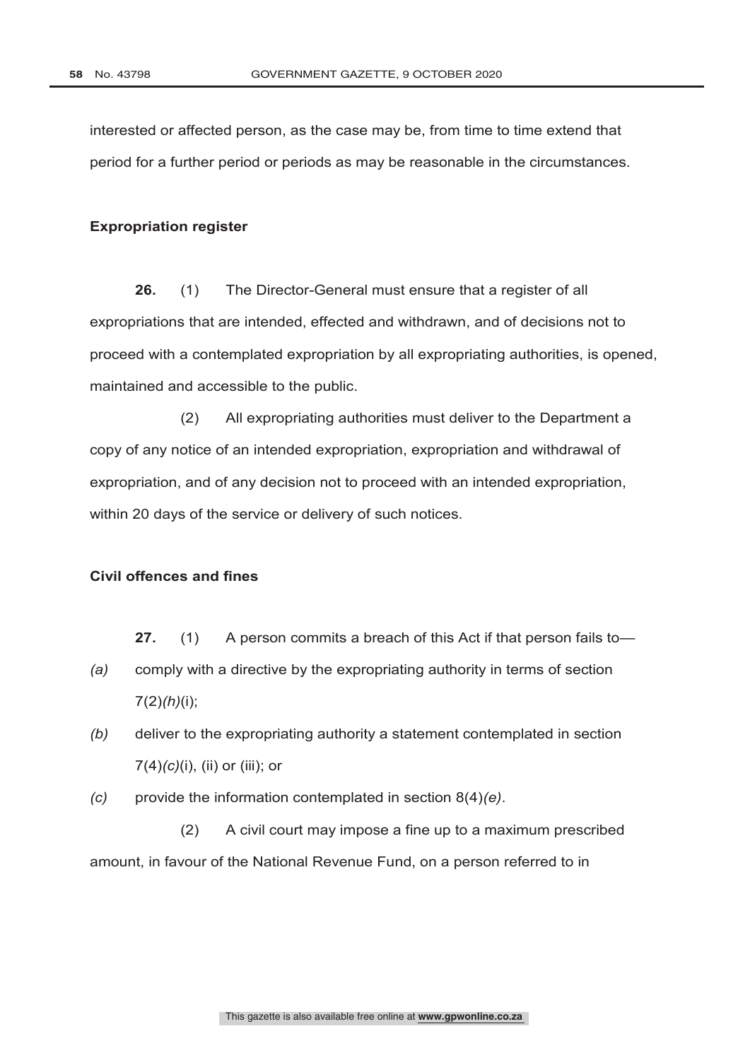interested or affected person, as the case may be, from time to time extend that period for a further period or periods as may be reasonable in the circumstances.

# **Expropriation register**

**26.** (1) The Director-General must ensure that a register of all expropriations that are intended, effected and withdrawn, and of decisions not to proceed with a contemplated expropriation by all expropriating authorities, is opened, maintained and accessible to the public.

(2) All expropriating authorities must deliver to the Department a copy of any notice of an intended expropriation, expropriation and withdrawal of expropriation, and of any decision not to proceed with an intended expropriation, within 20 days of the service or delivery of such notices.

# **Civil offences and fines**

**27.** (1) A person commits a breach of this Act if that person fails to—

- *(a)* comply with a directive by the expropriating authority in terms of section 7(2)*(h)*(i);
- *(b)* deliver to the expropriating authority a statement contemplated in section 7(4)*(c)*(i), (ii) or (iii); or
- *(c)* provide the information contemplated in section 8(4)*(e)*.

(2) A civil court may impose a fine up to a maximum prescribed amount, in favour of the National Revenue Fund, on a person referred to in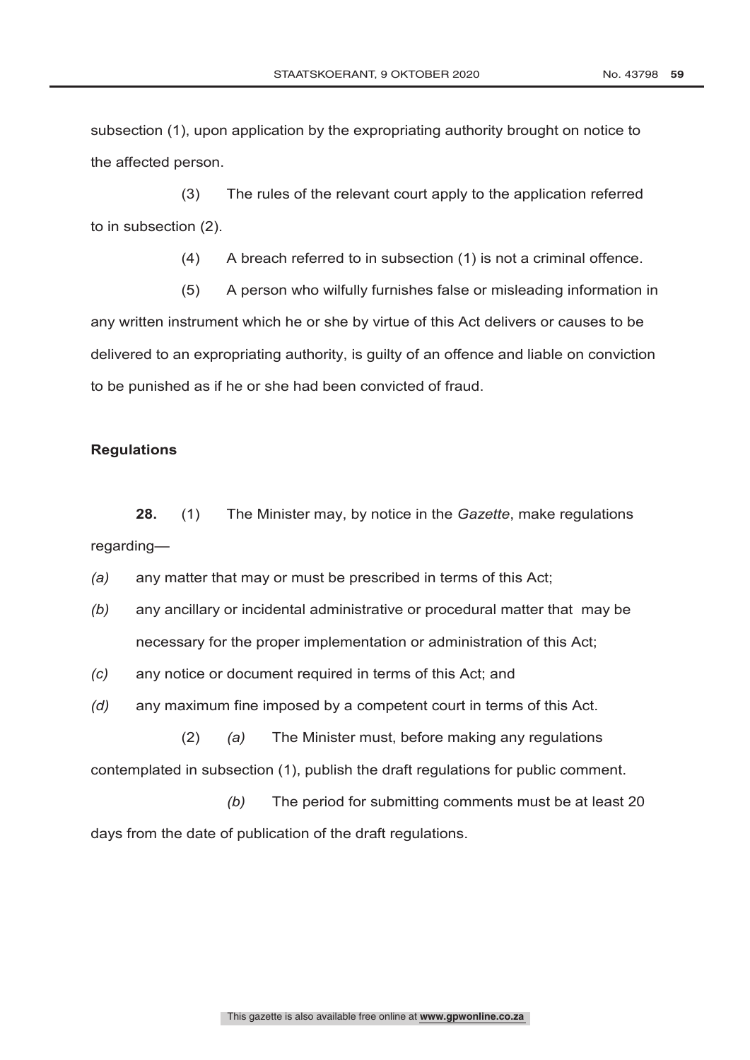(4) A breach referred to in subsection (1) is not a criminal offence.

(3) The rules of the relevant court apply to the application referred

(5) A person who wilfully furnishes false or misleading information in any written instrument which he or she by virtue of this Act delivers or causes to be delivered to an expropriating authority, is guilty of an offence and liable on conviction to be punished as if he or she had been convicted of fraud.

# **Regulations**

the affected person.

to in subsection (2).

**28.** (1) The Minister may, by notice in the *Gazette*, make regulations regarding—

*(a)* any matter that may or must be prescribed in terms of this Act;

*(b)* any ancillary or incidental administrative or procedural matter that may be necessary for the proper implementation or administration of this Act;

*(c)* any notice or document required in terms of this Act; and

*(d)* any maximum fine imposed by a competent court in terms of this Act.

(2) *(a)* The Minister must, before making any regulations contemplated in subsection (1), publish the draft regulations for public comment.

*(b)* The period for submitting comments must be at least 20 days from the date of publication of the draft regulations.

subsection (1), upon application by the expropriating authority brought on notice to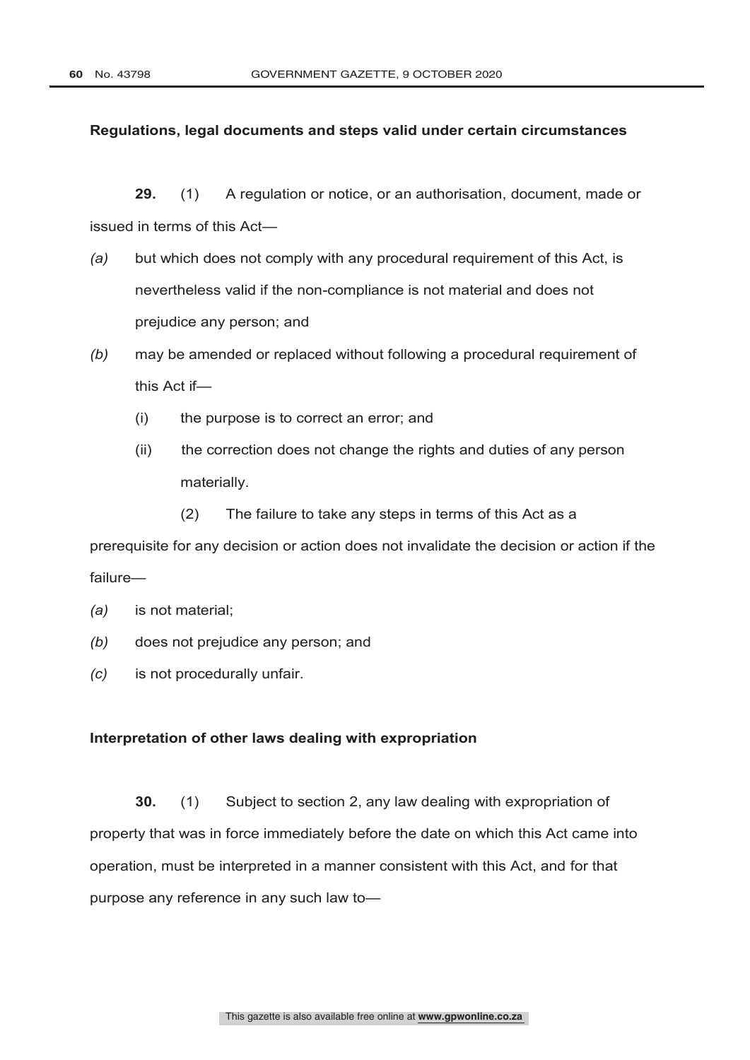# **Regulations, legal documents and steps valid under certain circumstances**

**29.** (1) A regulation or notice, or an authorisation, document, made or issued in terms of this Act—

- *(a)* but which does not comply with any procedural requirement of this Act, is nevertheless valid if the non-compliance is not material and does not prejudice any person; and
- *(b)* may be amended or replaced without following a procedural requirement of this Act if—
	- (i) the purpose is to correct an error; and
	- (ii) the correction does not change the rights and duties of any person materially.
		- (2) The failure to take any steps in terms of this Act as a

prerequisite for any decision or action does not invalidate the decision or action if the failure—

- *(a)* is not material;
- *(b)* does not prejudice any person; and
- *(c)* is not procedurally unfair.

#### **Interpretation of other laws dealing with expropriation**

**30.** (1) Subject to section 2, any law dealing with expropriation of property that was in force immediately before the date on which this Act came into operation, must be interpreted in a manner consistent with this Act, and for that purpose any reference in any such law to—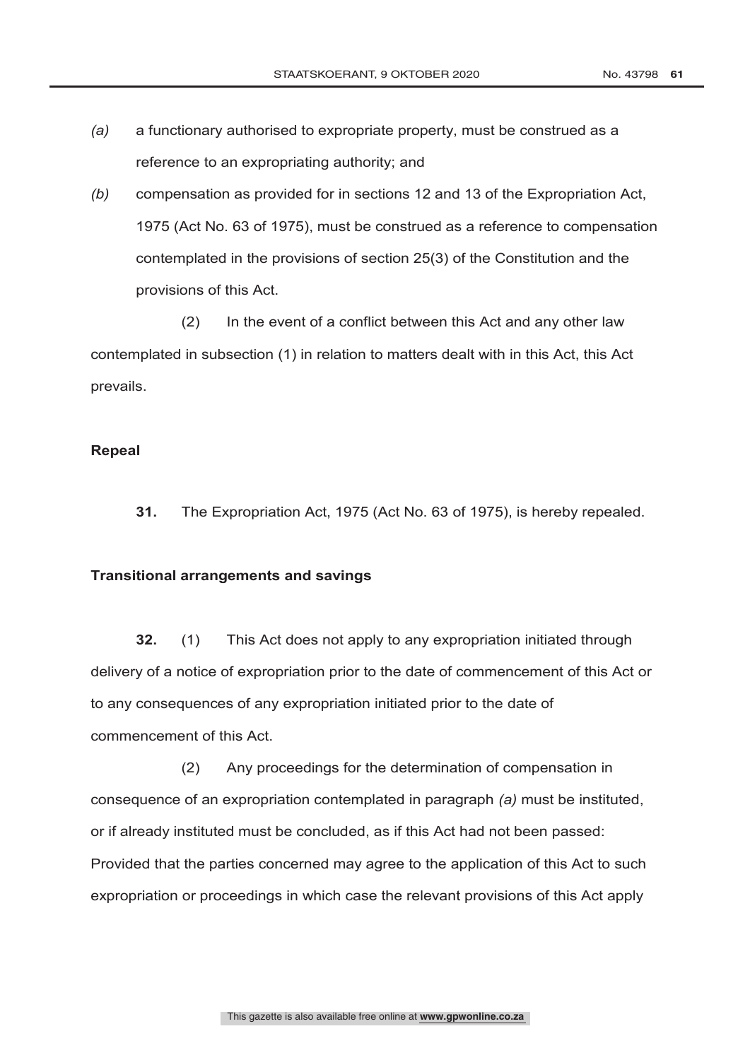- *(a)* a functionary authorised to expropriate property, must be construed as a reference to an expropriating authority; and
- *(b)* compensation as provided for in sections 12 and 13 of the Expropriation Act, 1975 (Act No. 63 of 1975), must be construed as a reference to compensation contemplated in the provisions of section 25(3) of the Constitution and the provisions of this Act.

(2) In the event of a conflict between this Act and any other law contemplated in subsection (1) in relation to matters dealt with in this Act, this Act prevails.

# **Repeal**

**31.** The Expropriation Act, 1975 (Act No. 63 of 1975), is hereby repealed.

#### **Transitional arrangements and savings**

**32.** (1) This Act does not apply to any expropriation initiated through delivery of a notice of expropriation prior to the date of commencement of this Act or to any consequences of any expropriation initiated prior to the date of commencement of this Act.

(2) Any proceedings for the determination of compensation in consequence of an expropriation contemplated in paragraph *(a)* must be instituted, or if already instituted must be concluded, as if this Act had not been passed: Provided that the parties concerned may agree to the application of this Act to such expropriation or proceedings in which case the relevant provisions of this Act apply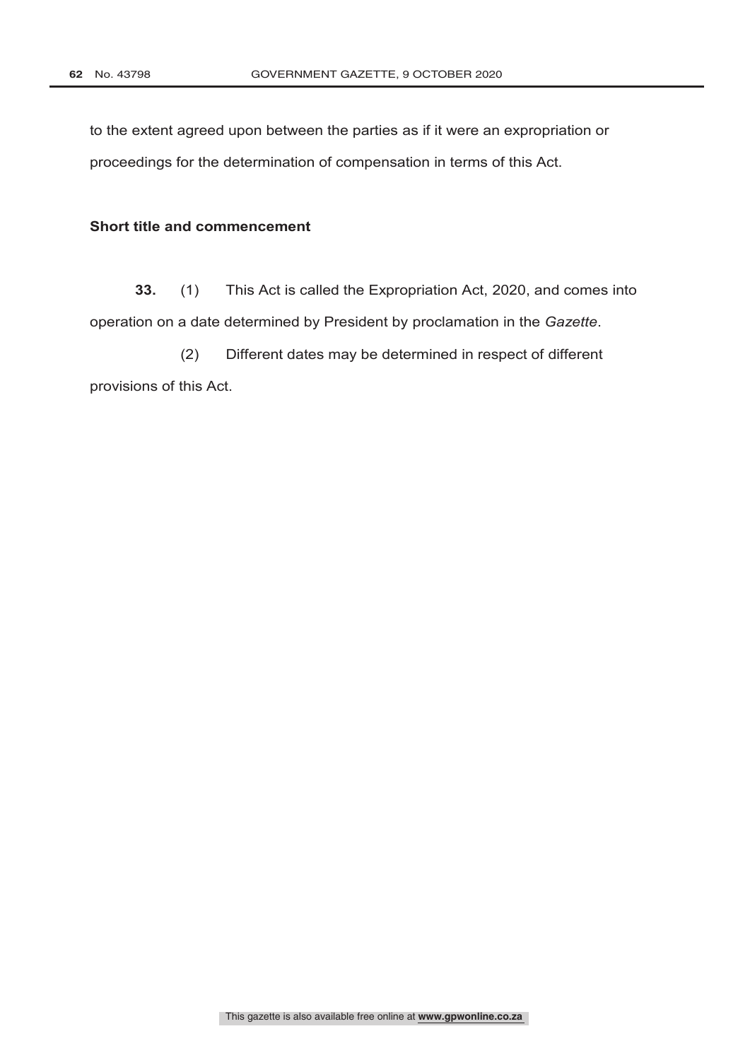to the extent agreed upon between the parties as if it were an expropriation or proceedings for the determination of compensation in terms of this Act.

# **Short title and commencement**

**33.** (1) This Act is called the Expropriation Act, 2020, and comes into operation on a date determined by President by proclamation in the *Gazette*.

(2) Different dates may be determined in respect of different provisions of this Act.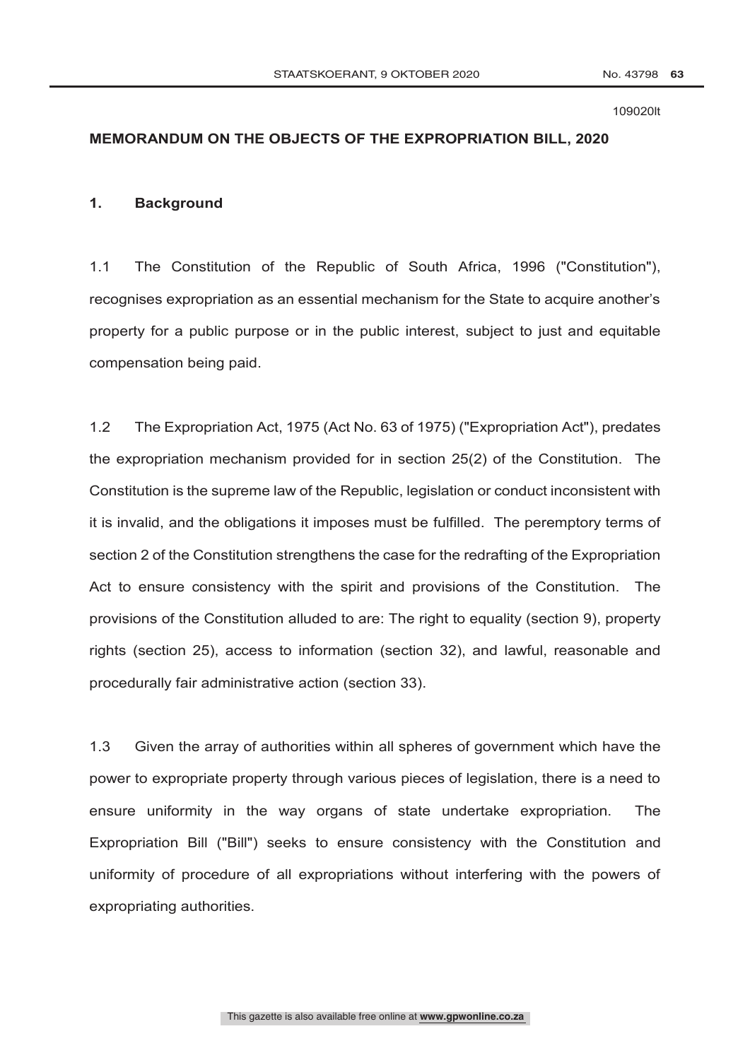#### 109020lt

# **MEMORANDUM ON THE OBJECTS OF THE EXPROPRIATION BILL, 2020**

# **1. Background**

1.1 The Constitution of the Republic of South Africa, 1996 ("Constitution"), recognises expropriation as an essential mechanism for the State to acquire another's property for a public purpose or in the public interest, subject to just and equitable compensation being paid.

1.2 The Expropriation Act, 1975 (Act No. 63 of 1975) ("Expropriation Act"), predates the expropriation mechanism provided for in section 25(2) of the Constitution. The Constitution is the supreme law of the Republic, legislation or conduct inconsistent with it is invalid, and the obligations it imposes must be fulfilled. The peremptory terms of section 2 of the Constitution strengthens the case for the redrafting of the Expropriation Act to ensure consistency with the spirit and provisions of the Constitution. The provisions of the Constitution alluded to are: The right to equality (section 9), property rights (section 25), access to information (section 32), and lawful, reasonable and procedurally fair administrative action (section 33).

1.3 Given the array of authorities within all spheres of government which have the power to expropriate property through various pieces of legislation, there is a need to ensure uniformity in the way organs of state undertake expropriation. The Expropriation Bill ("Bill") seeks to ensure consistency with the Constitution and uniformity of procedure of all expropriations without interfering with the powers of expropriating authorities.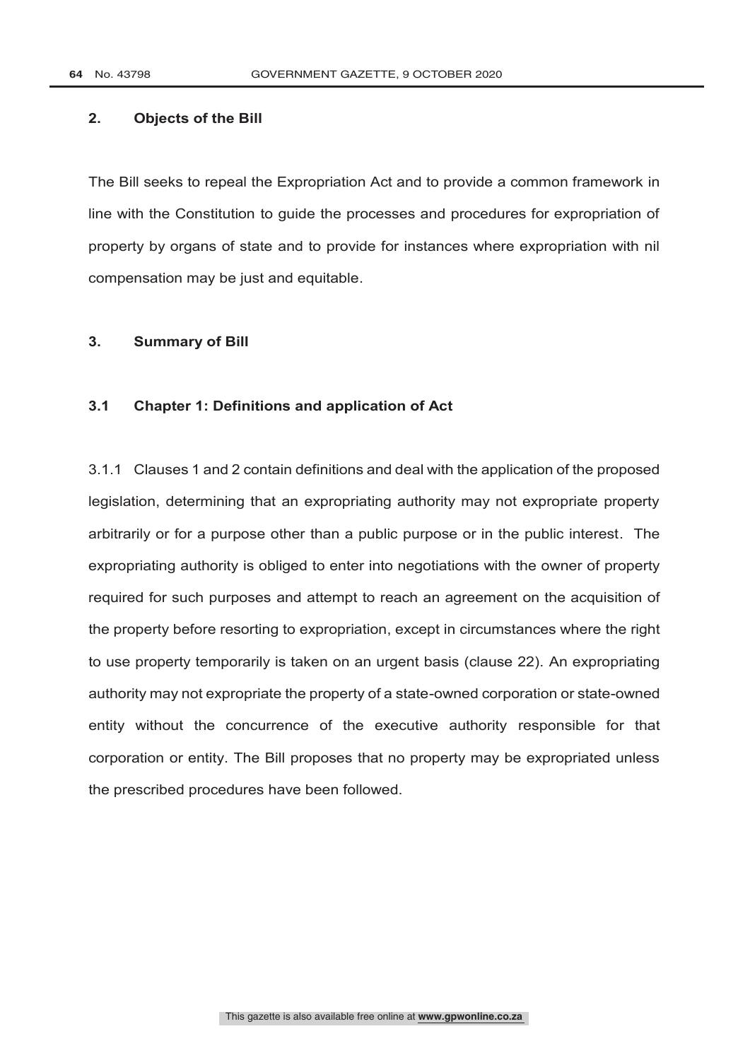# **2. Objects of the Bill**

The Bill seeks to repeal the Expropriation Act and to provide a common framework in line with the Constitution to guide the processes and procedures for expropriation of property by organs of state and to provide for instances where expropriation with nil compensation may be just and equitable.

# **3. Summary of Bill**

# **3.1 Chapter 1: Definitions and application of Act**

3.1.1 Clauses 1 and 2 contain definitions and deal with the application of the proposed legislation, determining that an expropriating authority may not expropriate property arbitrarily or for a purpose other than a public purpose or in the public interest. The expropriating authority is obliged to enter into negotiations with the owner of property required for such purposes and attempt to reach an agreement on the acquisition of the property before resorting to expropriation, except in circumstances where the right to use property temporarily is taken on an urgent basis (clause 22). An expropriating authority may not expropriate the property of a state-owned corporation or state-owned entity without the concurrence of the executive authority responsible for that corporation or entity. The Bill proposes that no property may be expropriated unless the prescribed procedures have been followed.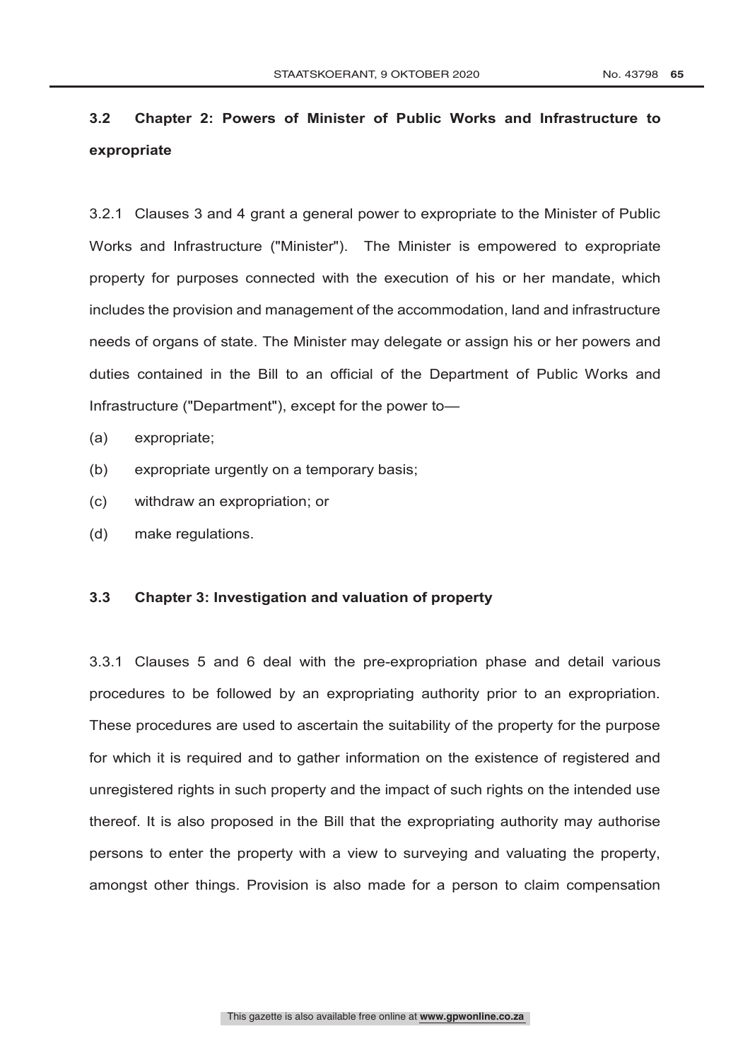# **3.2 Chapter 2: Powers of Minister of Public Works and Infrastructure to expropriate**

3.2.1 Clauses 3 and 4 grant a general power to expropriate to the Minister of Public Works and Infrastructure ("Minister"). The Minister is empowered to expropriate property for purposes connected with the execution of his or her mandate, which includes the provision and management of the accommodation, land and infrastructure needs of organs of state. The Minister may delegate or assign his or her powers and duties contained in the Bill to an official of the Department of Public Works and Infrastructure ("Department"), except for the power to—

- (a) expropriate;
- (b) expropriate urgently on a temporary basis;
- (c) withdraw an expropriation; or
- (d) make regulations.

#### **3.3 Chapter 3: Investigation and valuation of property**

3.3.1 Clauses 5 and 6 deal with the pre-expropriation phase and detail various procedures to be followed by an expropriating authority prior to an expropriation. These procedures are used to ascertain the suitability of the property for the purpose for which it is required and to gather information on the existence of registered and unregistered rights in such property and the impact of such rights on the intended use thereof. It is also proposed in the Bill that the expropriating authority may authorise persons to enter the property with a view to surveying and valuating the property, amongst other things. Provision is also made for a person to claim compensation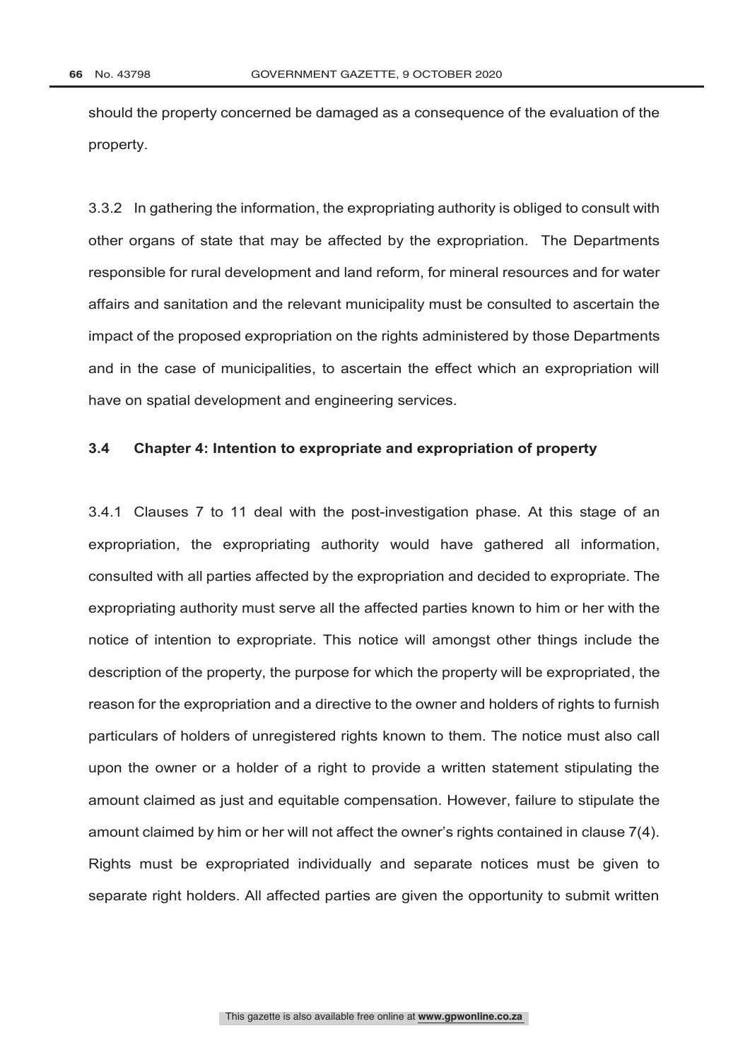should the property concerned be damaged as a consequence of the evaluation of the property.

3.3.2 In gathering the information, the expropriating authority is obliged to consult with other organs of state that may be affected by the expropriation. The Departments responsible for rural development and land reform, for mineral resources and for water affairs and sanitation and the relevant municipality must be consulted to ascertain the impact of the proposed expropriation on the rights administered by those Departments and in the case of municipalities, to ascertain the effect which an expropriation will have on spatial development and engineering services.

# **3.4 Chapter 4: Intention to expropriate and expropriation of property**

3.4.1 Clauses 7 to 11 deal with the post-investigation phase. At this stage of an expropriation, the expropriating authority would have gathered all information, consulted with all parties affected by the expropriation and decided to expropriate. The expropriating authority must serve all the affected parties known to him or her with the notice of intention to expropriate. This notice will amongst other things include the description of the property, the purpose for which the property will be expropriated, the reason for the expropriation and a directive to the owner and holders of rights to furnish particulars of holders of unregistered rights known to them. The notice must also call upon the owner or a holder of a right to provide a written statement stipulating the amount claimed as just and equitable compensation. However, failure to stipulate the amount claimed by him or her will not affect the owner's rights contained in clause 7(4). Rights must be expropriated individually and separate notices must be given to separate right holders. All affected parties are given the opportunity to submit written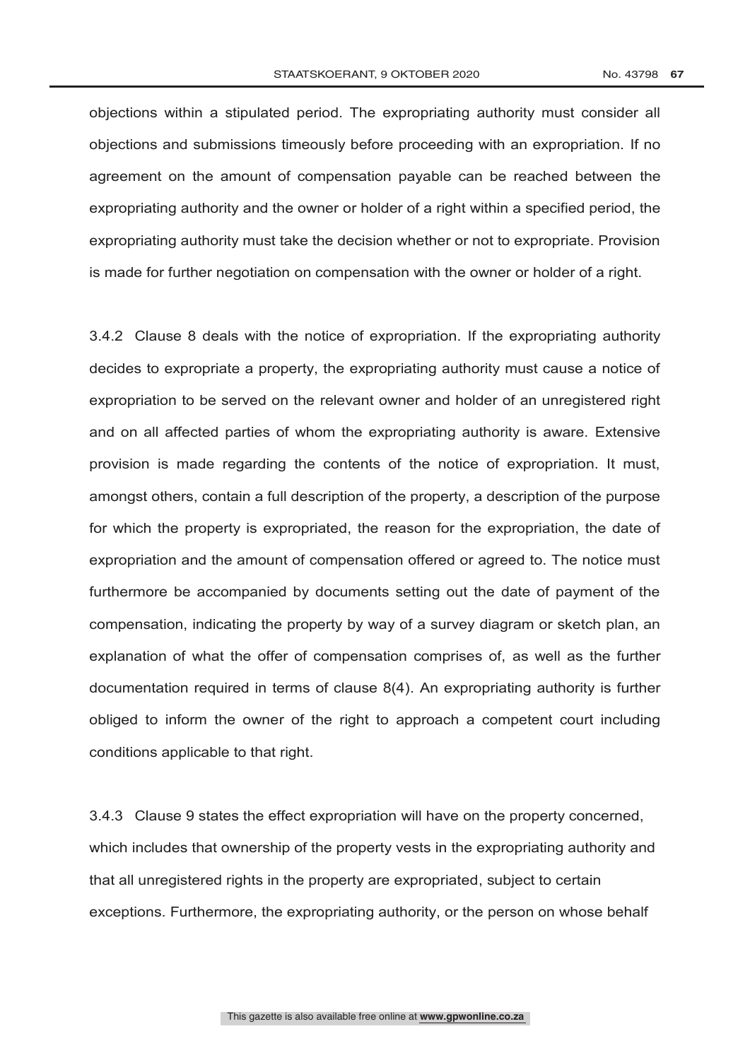objections within a stipulated period. The expropriating authority must consider all objections and submissions timeously before proceeding with an expropriation. If no agreement on the amount of compensation payable can be reached between the expropriating authority and the owner or holder of a right within a specified period, the expropriating authority must take the decision whether or not to expropriate. Provision is made for further negotiation on compensation with the owner or holder of a right.

3.4.2 Clause 8 deals with the notice of expropriation. If the expropriating authority decides to expropriate a property, the expropriating authority must cause a notice of expropriation to be served on the relevant owner and holder of an unregistered right and on all affected parties of whom the expropriating authority is aware. Extensive provision is made regarding the contents of the notice of expropriation. It must, amongst others, contain a full description of the property, a description of the purpose for which the property is expropriated, the reason for the expropriation, the date of expropriation and the amount of compensation offered or agreed to. The notice must furthermore be accompanied by documents setting out the date of payment of the compensation, indicating the property by way of a survey diagram or sketch plan, an explanation of what the offer of compensation comprises of, as well as the further documentation required in terms of clause 8(4). An expropriating authority is further obliged to inform the owner of the right to approach a competent court including conditions applicable to that right.

3.4.3 Clause 9 states the effect expropriation will have on the property concerned, which includes that ownership of the property vests in the expropriating authority and that all unregistered rights in the property are expropriated, subject to certain exceptions. Furthermore, the expropriating authority, or the person on whose behalf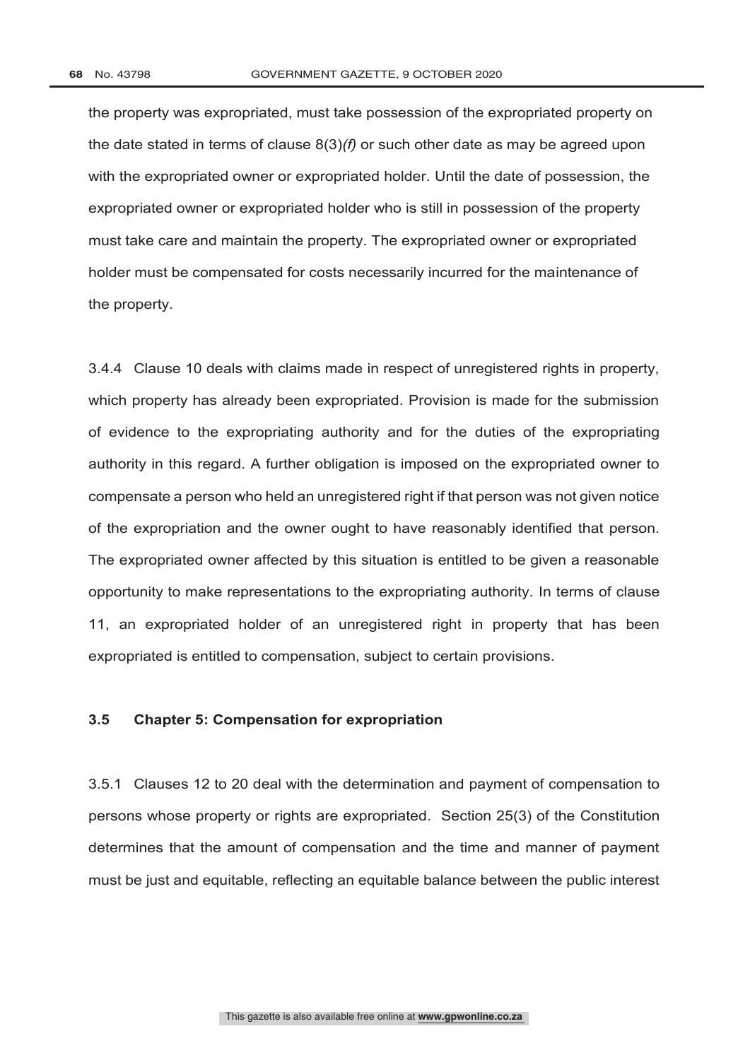the property was expropriated, must take possession of the expropriated property on the date stated in terms of clause 8(3)*(f)* or such other date as may be agreed upon with the expropriated owner or expropriated holder. Until the date of possession, the expropriated owner or expropriated holder who is still in possession of the property must take care and maintain the property. The expropriated owner or expropriated holder must be compensated for costs necessarily incurred for the maintenance of the property.

3.4.4 Clause 10 deals with claims made in respect of unregistered rights in property, which property has already been expropriated. Provision is made for the submission of evidence to the expropriating authority and for the duties of the expropriating authority in this regard. A further obligation is imposed on the expropriated owner to compensate a person who held an unregistered right if that person was not given notice of the expropriation and the owner ought to have reasonably identified that person. The expropriated owner affected by this situation is entitled to be given a reasonable opportunity to make representations to the expropriating authority. In terms of clause 11, an expropriated holder of an unregistered right in property that has been expropriated is entitled to compensation, subject to certain provisions.

#### **3.5 Chapter 5: Compensation for expropriation**

3.5.1 Clauses 12 to 20 deal with the determination and payment of compensation to persons whose property or rights are expropriated. Section 25(3) of the Constitution determines that the amount of compensation and the time and manner of payment must be just and equitable, reflecting an equitable balance between the public interest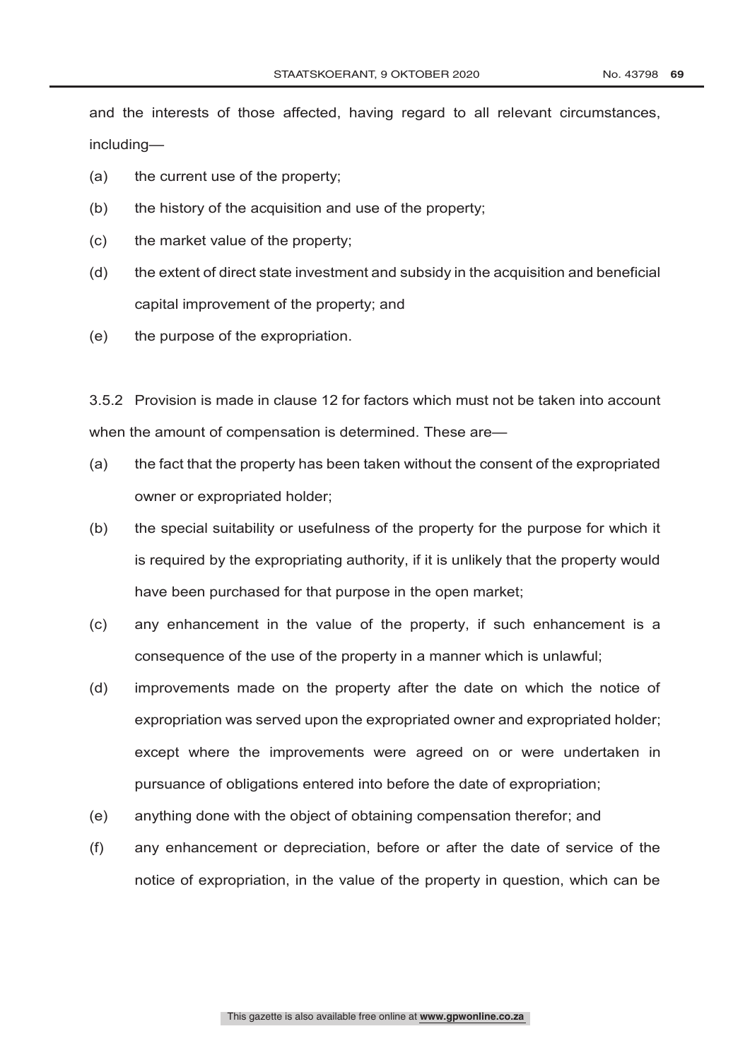and the interests of those affected, having regard to all relevant circumstances, including—

- (a) the current use of the property;
- (b) the history of the acquisition and use of the property;
- (c) the market value of the property;
- (d) the extent of direct state investment and subsidy in the acquisition and beneficial capital improvement of the property; and
- (e) the purpose of the expropriation.

3.5.2 Provision is made in clause 12 for factors which must not be taken into account when the amount of compensation is determined. These are—

- (a) the fact that the property has been taken without the consent of the expropriated owner or expropriated holder;
- (b) the special suitability or usefulness of the property for the purpose for which it is required by the expropriating authority, if it is unlikely that the property would have been purchased for that purpose in the open market;
- (c) any enhancement in the value of the property, if such enhancement is a consequence of the use of the property in a manner which is unlawful;
- (d) improvements made on the property after the date on which the notice of expropriation was served upon the expropriated owner and expropriated holder; except where the improvements were agreed on or were undertaken in pursuance of obligations entered into before the date of expropriation;
- (e) anything done with the object of obtaining compensation therefor; and
- (f) any enhancement or depreciation, before or after the date of service of the notice of expropriation, in the value of the property in question, which can be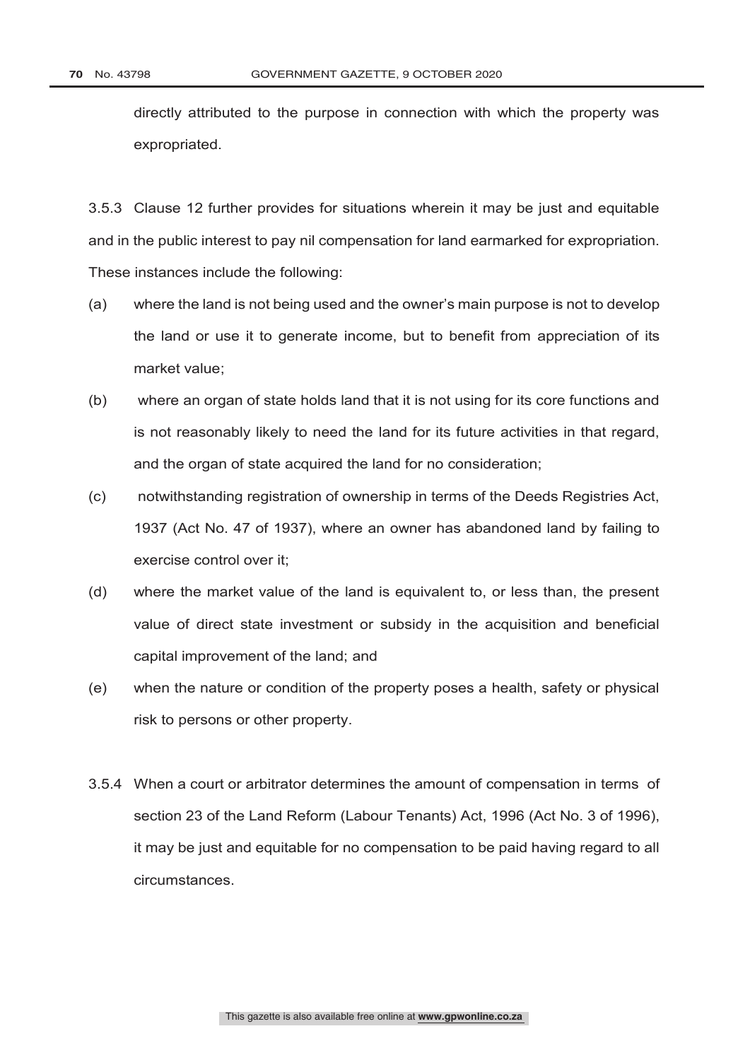directly attributed to the purpose in connection with which the property was expropriated.

3.5.3 Clause 12 further provides for situations wherein it may be just and equitable and in the public interest to pay nil compensation for land earmarked for expropriation. These instances include the following:

- (a) where the land is not being used and the owner's main purpose is not to develop the land or use it to generate income, but to benefit from appreciation of its market value;
- (b) where an organ of state holds land that it is not using for its core functions and is not reasonably likely to need the land for its future activities in that regard, and the organ of state acquired the land for no consideration;
- (c) notwithstanding registration of ownership in terms of the Deeds Registries Act, 1937 (Act No. 47 of 1937), where an owner has abandoned land by failing to exercise control over it;
- (d) where the market value of the land is equivalent to, or less than, the present value of direct state investment or subsidy in the acquisition and beneficial capital improvement of the land; and
- (e) when the nature or condition of the property poses a health, safety or physical risk to persons or other property.
- 3.5.4 When a court or arbitrator determines the amount of compensation in terms of section 23 of the Land Reform (Labour Tenants) Act, 1996 (Act No. 3 of 1996), it may be just and equitable for no compensation to be paid having regard to all circumstances.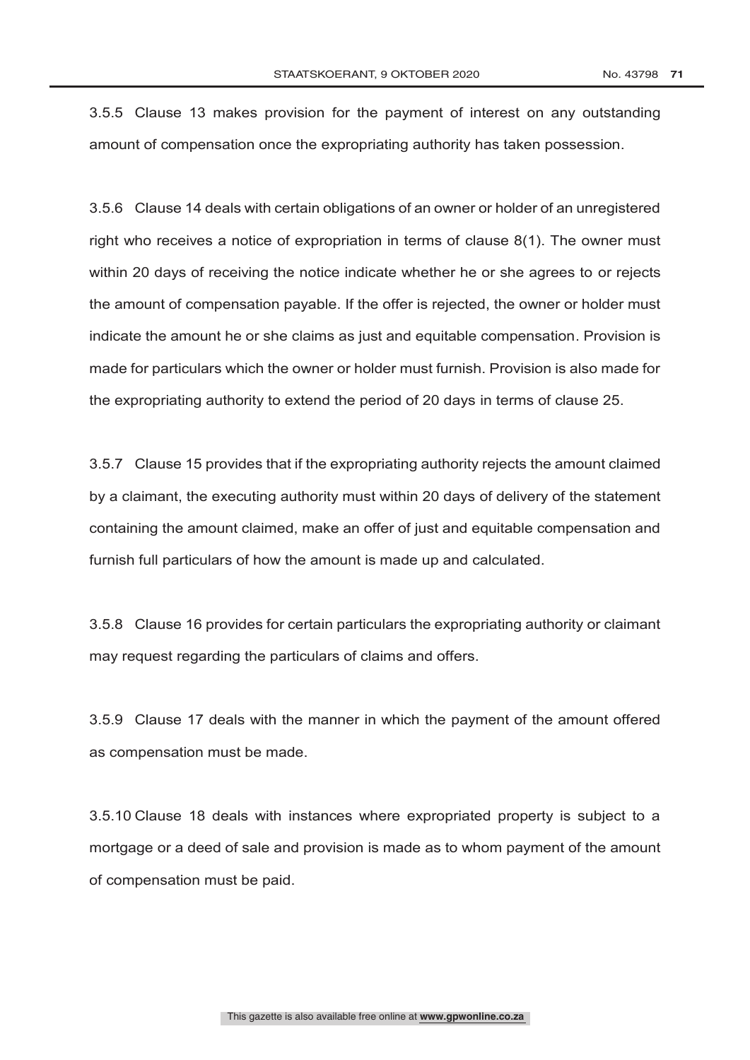3.5.5 Clause 13 makes provision for the payment of interest on any outstanding amount of compensation once the expropriating authority has taken possession.

3.5.6 Clause 14 deals with certain obligations of an owner or holder of an unregistered right who receives a notice of expropriation in terms of clause 8(1). The owner must within 20 days of receiving the notice indicate whether he or she agrees to or rejects the amount of compensation payable. If the offer is rejected, the owner or holder must indicate the amount he or she claims as just and equitable compensation. Provision is made for particulars which the owner or holder must furnish. Provision is also made for the expropriating authority to extend the period of 20 days in terms of clause 25.

3.5.7 Clause 15 provides that if the expropriating authority rejects the amount claimed by a claimant, the executing authority must within 20 days of delivery of the statement containing the amount claimed, make an offer of just and equitable compensation and furnish full particulars of how the amount is made up and calculated.

3.5.8 Clause 16 provides for certain particulars the expropriating authority or claimant may request regarding the particulars of claims and offers.

3.5.9 Clause 17 deals with the manner in which the payment of the amount offered as compensation must be made.

3.5.10 Clause 18 deals with instances where expropriated property is subject to a mortgage or a deed of sale and provision is made as to whom payment of the amount of compensation must be paid.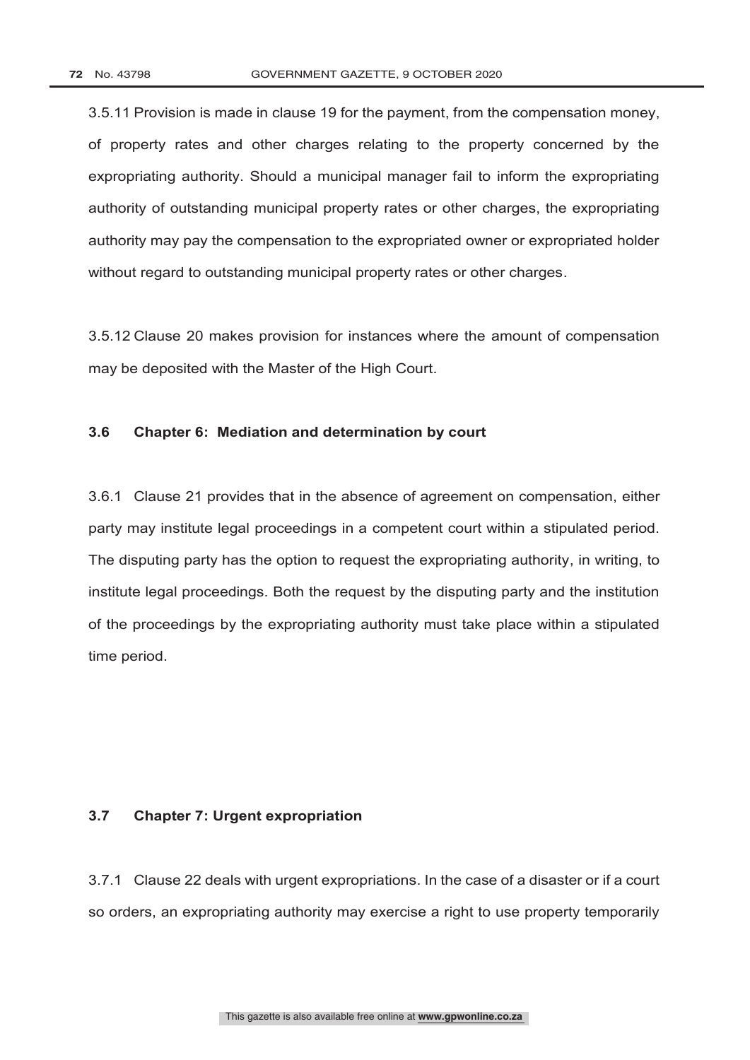3.5.11 Provision is made in clause 19 for the payment, from the compensation money, of property rates and other charges relating to the property concerned by the expropriating authority. Should a municipal manager fail to inform the expropriating authority of outstanding municipal property rates or other charges, the expropriating authority may pay the compensation to the expropriated owner or expropriated holder without regard to outstanding municipal property rates or other charges.

3.5.12 Clause 20 makes provision for instances where the amount of compensation may be deposited with the Master of the High Court.

# **3.6 Chapter 6: Mediation and determination by court**

3.6.1 Clause 21 provides that in the absence of agreement on compensation, either party may institute legal proceedings in a competent court within a stipulated period. The disputing party has the option to request the expropriating authority, in writing, to institute legal proceedings. Both the request by the disputing party and the institution of the proceedings by the expropriating authority must take place within a stipulated time period.

#### **3.7 Chapter 7: Urgent expropriation**

3.7.1 Clause 22 deals with urgent expropriations. In the case of a disaster or if a court so orders, an expropriating authority may exercise a right to use property temporarily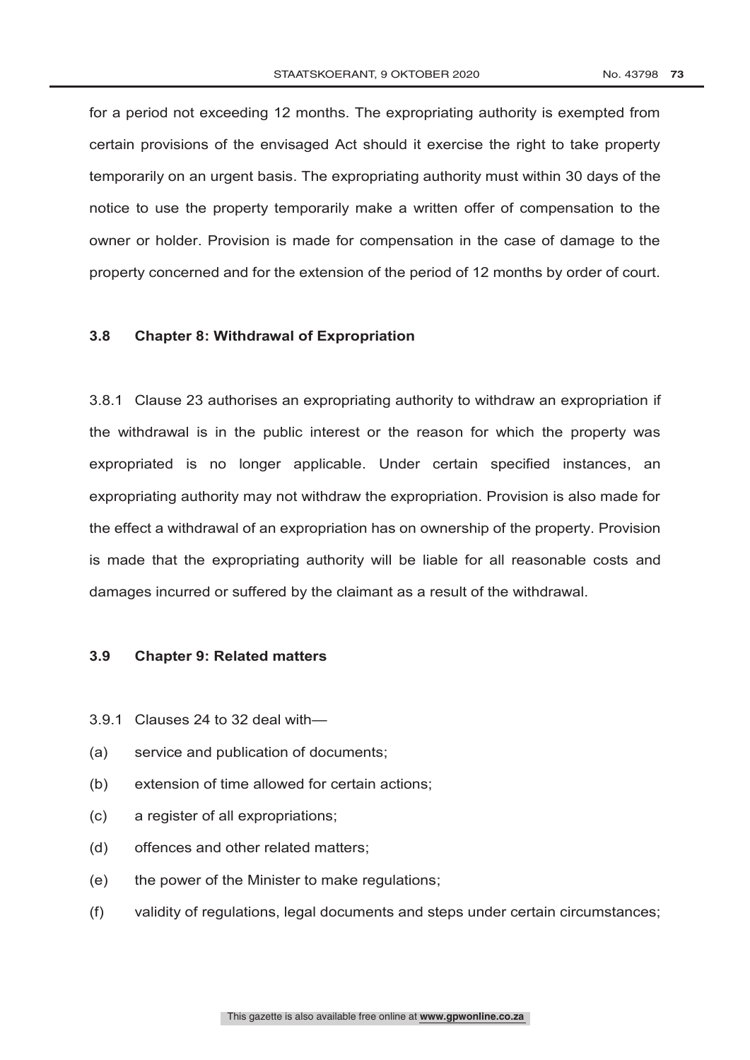for a period not exceeding 12 months. The expropriating authority is exempted from certain provisions of the envisaged Act should it exercise the right to take property temporarily on an urgent basis. The expropriating authority must within 30 days of the notice to use the property temporarily make a written offer of compensation to the owner or holder. Provision is made for compensation in the case of damage to the property concerned and for the extension of the period of 12 months by order of court.

### **3.8 Chapter 8: Withdrawal of Expropriation**

3.8.1 Clause 23 authorises an expropriating authority to withdraw an expropriation if the withdrawal is in the public interest or the reason for which the property was expropriated is no longer applicable. Under certain specified instances, an expropriating authority may not withdraw the expropriation. Provision is also made for the effect a withdrawal of an expropriation has on ownership of the property. Provision is made that the expropriating authority will be liable for all reasonable costs and damages incurred or suffered by the claimant as a result of the withdrawal.

## **3.9 Chapter 9: Related matters**

- 3.9.1 Clauses 24 to 32 deal with—
- (a) service and publication of documents;
- (b) extension of time allowed for certain actions;
- (c) a register of all expropriations;
- (d) offences and other related matters;
- (e) the power of the Minister to make regulations;
- (f) validity of regulations, legal documents and steps under certain circumstances;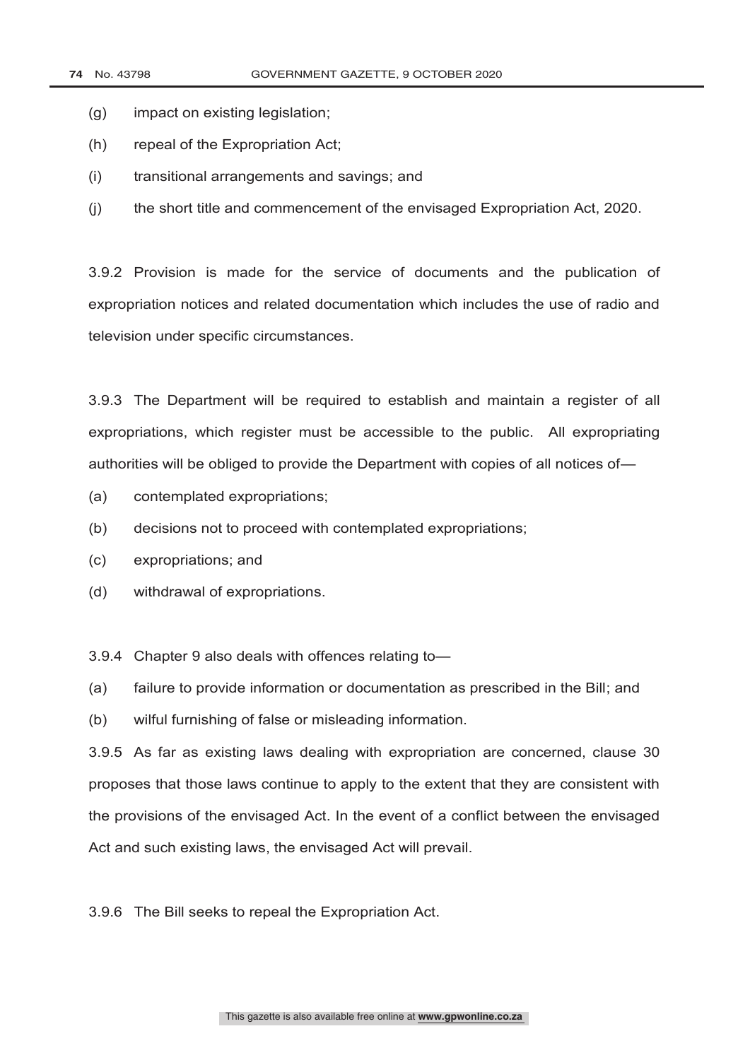- (g) impact on existing legislation;
- (h) repeal of the Expropriation Act;
- (i) transitional arrangements and savings; and
- (j) the short title and commencement of the envisaged Expropriation Act, 2020.

3.9.2 Provision is made for the service of documents and the publication of expropriation notices and related documentation which includes the use of radio and television under specific circumstances.

3.9.3 The Department will be required to establish and maintain a register of all expropriations, which register must be accessible to the public. All expropriating authorities will be obliged to provide the Department with copies of all notices of—

- (a) contemplated expropriations;
- (b) decisions not to proceed with contemplated expropriations;
- (c) expropriations; and
- (d) withdrawal of expropriations.
- 3.9.4 Chapter 9 also deals with offences relating to—

(a) failure to provide information or documentation as prescribed in the Bill; and

(b) wilful furnishing of false or misleading information.

3.9.5 As far as existing laws dealing with expropriation are concerned, clause 30 proposes that those laws continue to apply to the extent that they are consistent with the provisions of the envisaged Act. In the event of a conflict between the envisaged Act and such existing laws, the envisaged Act will prevail.

3.9.6 The Bill seeks to repeal the Expropriation Act.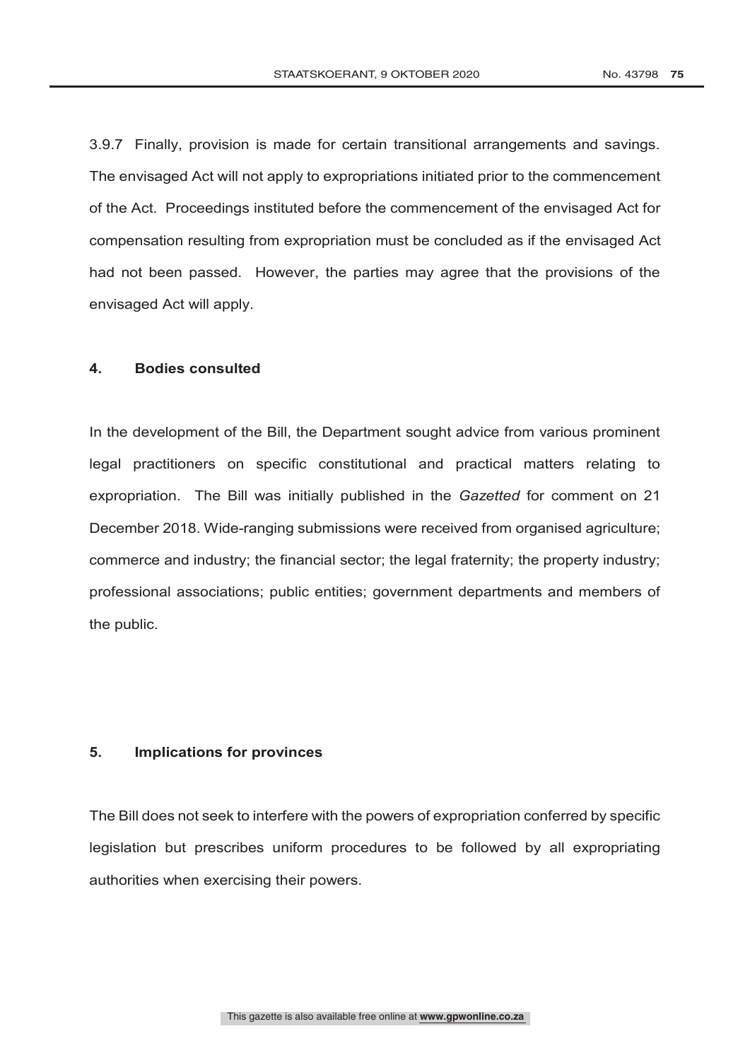3.9.7 Finally, provision is made for certain transitional arrangements and savings. The envisaged Act will not apply to expropriations initiated prior to the commencement of the Act. Proceedings instituted before the commencement of the envisaged Act for compensation resulting from expropriation must be concluded as if the envisaged Act had not been passed. However, the parties may agree that the provisions of the envisaged Act will apply.

## **4. Bodies consulted**

In the development of the Bill, the Department sought advice from various prominent legal practitioners on specific constitutional and practical matters relating to expropriation. The Bill was initially published in the *Gazetted* for comment on 21 December 2018. Wide-ranging submissions were received from organised agriculture; commerce and industry; the financial sector; the legal fraternity; the property industry; professional associations; public entities; government departments and members of the public.

## **5. Implications for provinces**

The Bill does not seek to interfere with the powers of expropriation conferred by specific legislation but prescribes uniform procedures to be followed by all expropriating authorities when exercising their powers.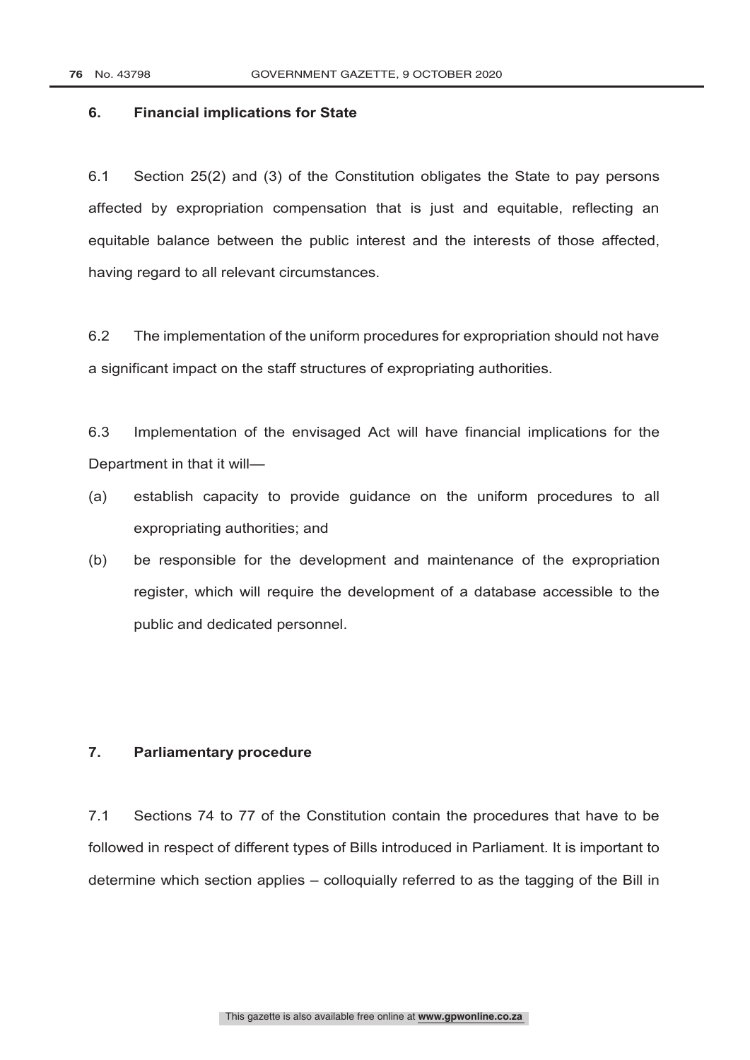### **6. Financial implications for State**

6.1 Section 25(2) and (3) of the Constitution obligates the State to pay persons affected by expropriation compensation that is just and equitable, reflecting an equitable balance between the public interest and the interests of those affected, having regard to all relevant circumstances.

6.2 The implementation of the uniform procedures for expropriation should not have a significant impact on the staff structures of expropriating authorities.

6.3 Implementation of the envisaged Act will have financial implications for the Department in that it will—

- (a) establish capacity to provide guidance on the uniform procedures to all expropriating authorities; and
- (b) be responsible for the development and maintenance of the expropriation register, which will require the development of a database accessible to the public and dedicated personnel.

# **7. Parliamentary procedure**

7.1 Sections 74 to 77 of the Constitution contain the procedures that have to be followed in respect of different types of Bills introduced in Parliament. It is important to determine which section applies – colloquially referred to as the tagging of the Bill in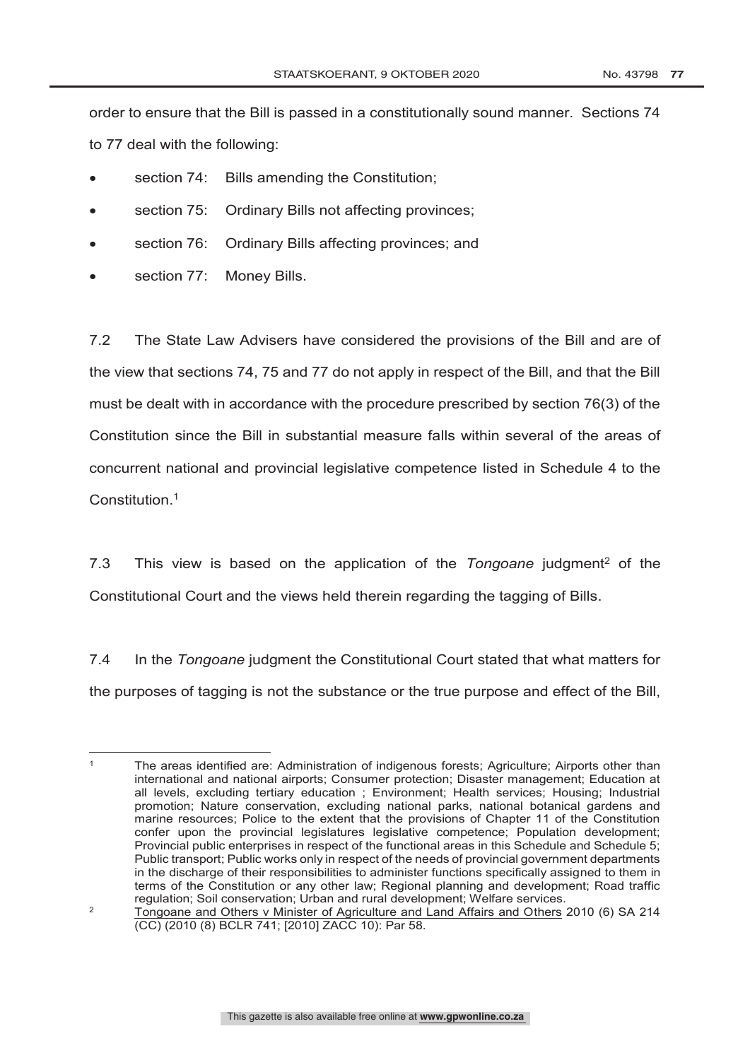order to ensure that the Bill is passed in a constitutionally sound manner. Sections 74 to 77 deal with the following:

- section 74: Bills amending the Constitution;
- section 75: Ordinary Bills not affecting provinces;
- section 76: Ordinary Bills affecting provinces; and
- section 77: Money Bills.

7.2 The State Law Advisers have considered the provisions of the Bill and are of the view that sections 74, 75 and 77 do not apply in respect of the Bill, and that the Bill must be dealt with in accordance with the procedure prescribed by section 76(3) of the Constitution since the Bill in substantial measure falls within several of the areas of concurrent national and provincial legislative competence listed in Schedule 4 to the Constitution. 1

7.3 This view is based on the application of the *Tongoane* judgment2 of the Constitutional Court and the views held therein regarding the tagging of Bills.

7.4 In the *Tongoane* judgment the Constitutional Court stated that what matters for the purposes of tagging is not the substance or the true purpose and effect of the Bill,

 $\overline{a}$ <sup>1</sup> The areas identified are: Administration of indigenous forests; Agriculture; Airports other than international and national airports; Consumer protection; Disaster management; Education at all levels, excluding tertiary education ; Environment; Health services; Housing; Industrial promotion; Nature conservation, excluding national parks, national botanical gardens and marine resources; Police to the extent that the provisions of Chapter 11 of the Constitution confer upon the provincial legislatures legislative competence; Population development; Provincial public enterprises in respect of the functional areas in this Schedule and Schedule 5; Public transport; Public works only in respect of the needs of provincial government departments in the discharge of their responsibilities to administer functions specifically assigned to them in terms of the Constitution or any other law; Regional planning and development; Road traffic regulation; Soil conservation; Urban and rural development; Welfare services.

<sup>&</sup>lt;sup>2</sup> Tongoane and Others v Minister of Agriculture and Land Affairs and Others 2010 (6) SA 214 (CC) (2010 (8) BCLR 741; [2010] ZACC 10): Par 58.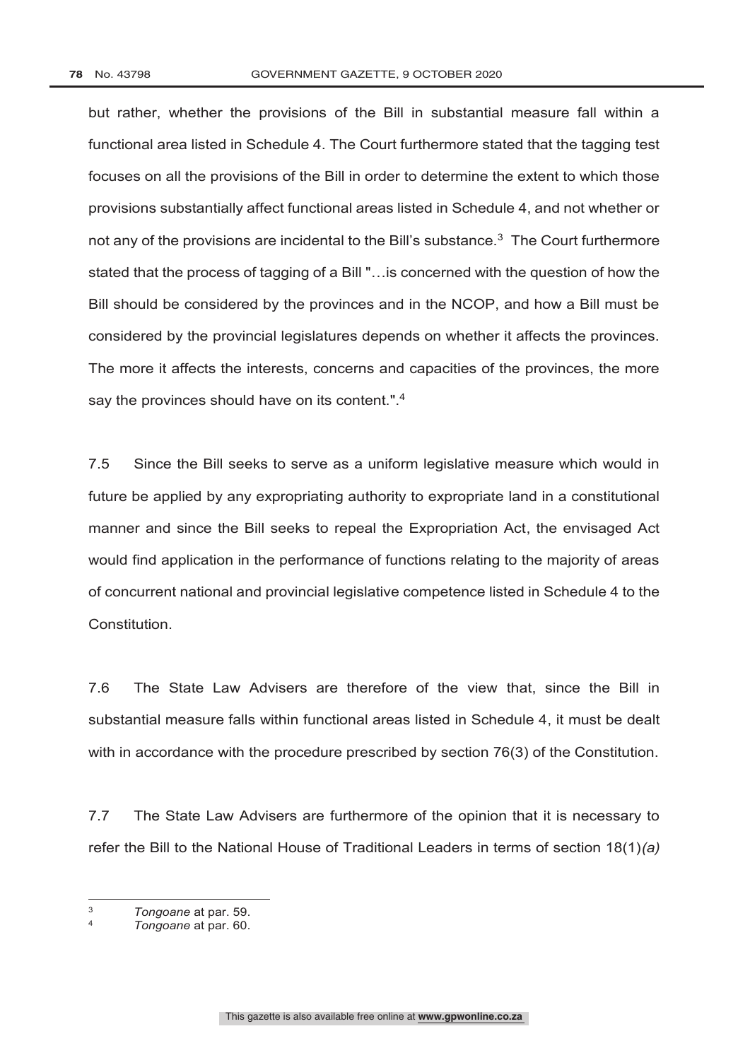but rather, whether the provisions of the Bill in substantial measure fall within a functional area listed in Schedule 4. The Court furthermore stated that the tagging test focuses on all the provisions of the Bill in order to determine the extent to which those provisions substantially affect functional areas listed in Schedule 4, and not whether or not any of the provisions are incidental to the Bill's substance.<sup>3</sup> The Court furthermore stated that the process of tagging of a Bill "…is concerned with the question of how the Bill should be considered by the provinces and in the NCOP, and how a Bill must be considered by the provincial legislatures depends on whether it affects the provinces. The more it affects the interests, concerns and capacities of the provinces, the more say the provinces should have on its content.".<sup>4</sup>

7.5 Since the Bill seeks to serve as a uniform legislative measure which would in future be applied by any expropriating authority to expropriate land in a constitutional manner and since the Bill seeks to repeal the Expropriation Act, the envisaged Act would find application in the performance of functions relating to the majority of areas of concurrent national and provincial legislative competence listed in Schedule 4 to the Constitution.

7.6 The State Law Advisers are therefore of the view that, since the Bill in substantial measure falls within functional areas listed in Schedule 4, it must be dealt with in accordance with the procedure prescribed by section 76(3) of the Constitution.

7.7 The State Law Advisers are furthermore of the opinion that it is necessary to refer the Bill to the National House of Traditional Leaders in terms of section 18(1)*(a)*

 $\overline{a}$ 

<sup>3</sup> *Tongoane* at par. 59.

<sup>4</sup> *Tongoane* at par. 60.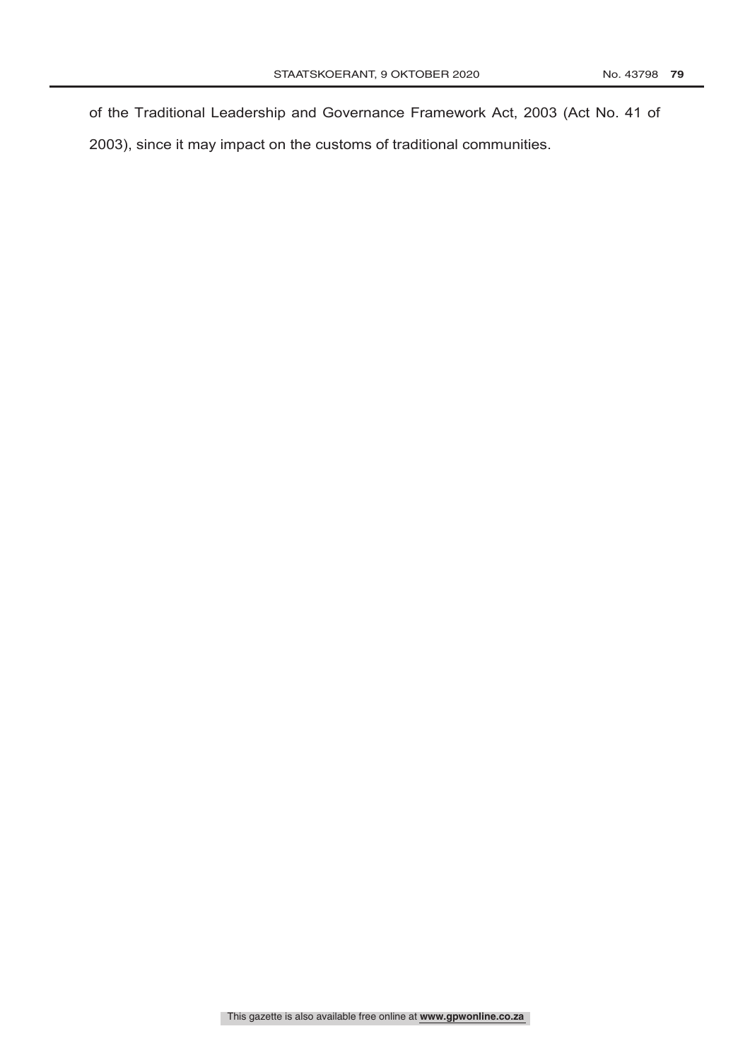of the Traditional Leadership and Governance Framework Act, 2003 (Act No. 41 of 2003), since it may impact on the customs of traditional communities.